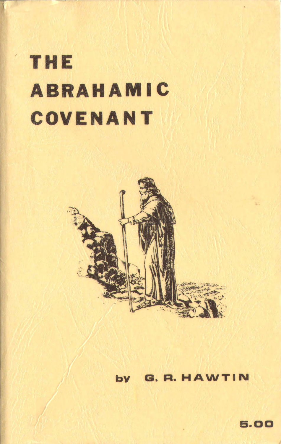

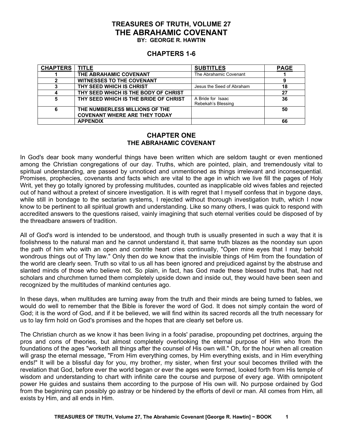#### **TREASURES OF TRUTH, VOLUME 27 THE ABRAHAMIC COVENANT BY: GEORGE R. HAWTIN**

**CHAPTERS 1-6** 

| <b>CHAPTERS   TITLE</b> |                                       | <b>SUBTITLES</b>          | <b>PAGE</b> |
|-------------------------|---------------------------------------|---------------------------|-------------|
|                         | THE ABRAHAMIC COVENANT                | The Abrahamic Covenant    |             |
|                         | <b>WITNESSES TO THE COVENANT</b>      |                           |             |
|                         | THY SEED WHICH IS CHRIST              | Jesus the Seed of Abraham | 18          |
|                         | THY SEED WHICH IS THE BODY OF CHRIST  |                           | 27          |
| 5                       | THY SEED WHICH IS THE BRIDE OF CHRIST | A Bride for Isaac         | 36          |
|                         |                                       | Rebekah's Blessing        |             |
| 6                       | THE NUMBERLESS MILLIONS OF THE        |                           | 50          |
|                         | <b>COVENANT WHERE ARE THEY TODAY</b>  |                           |             |
|                         | <b>APPENDIX</b>                       |                           | 66          |

## **CHAPTER ONE THE ABRAHAMIC COVENANT**

In God's dear book many wonderful things have been written which are seldom taught or even mentioned among the Christian congregations of our day. Truths, which are pointed, plain, and tremendously vital to spiritual understanding, are passed by unnoticed and unmentioned as things irrelevant and inconsequential. Promises, prophecies, covenants and facts which are vital to the age in which we live fill the pages of Holy Writ, yet they go totally ignored by professing multitudes, counted as inapplicable old wives fables and rejected out of hand without a pretext of sincere investigation. It is with regret that I myself confess that in bygone days, while still in bondage to the sectarian systems, I rejected without thorough investigation truth, which I now know to be pertinent to all spiritual growth and understanding. Like so many others, I was quick to respond with accredited answers to the questions raised, vainly imagining that such eternal verities could be disposed of by the threadbare answers of tradition.

All of God's word is intended to be understood, and though truth is usually presented in such a way that it is foolishness to the natural man and he cannot understand it, that same truth blazes as the noonday sun upon the path of him who with an open and contrite heart cries continually, "Open mine eyes that I may behold wondrous things out of Thy law." Only then do we know that the invisible things of Him from the foundation of the world are clearly seen. Truth so vital to us all has been ignored and prejudiced against by the abstruse and slanted minds of those who believe not. So plain, in fact, has God made these blessed truths that, had not scholars and churchmen turned them completely upside down and inside out, they would have been seen and recognized by the multitudes of mankind centuries ago.

In these days, when multitudes are turning away from the truth and their minds are being turned to fables, we would do well to remember that the Bible is forever the word of God. It does not simply contain the word of God; it is the word of God, and if it be believed, we will find within its sacred records all the truth necessary for us to lay firm hold on God's promises and the hopes that are clearly set before us.

The Christian church as we know it has been living in a fools' paradise, propounding pet doctrines, arguing the pros and cons of theories, but almost completely overlooking the eternal purpose of Him who from the foundations of the ages "worketh all things after the counsel of His own will." Oh, for the hour when all creation will grasp the eternal message, "From Him everything comes, by Him everything exists, and in Him everything ends!" It will be a blissful day for you, my brother, my sister, when first your soul becomes thrilled with the revelation that God, before ever the world began or ever the ages were formed, looked forth from His temple of wisdom and understanding to chart with infinite care the course and purpose of every age. With omnipotent power He guides and sustains them according to the purpose of His own will. No purpose ordained by God from the beginning can possibly go astray or be hindered by the efforts of devil or man. All comes from Him, all exists by Him, and all ends in Him.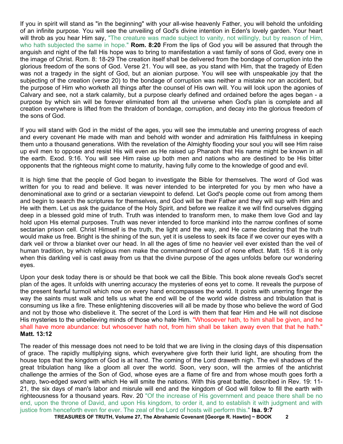If you in spirit will stand as "in the beginning" with your all-wise heavenly Father, you will behold the unfolding of an infinite purpose. You will see the unveiling of God's divine intention in Eden's lovely garden. Your heart will throb as you hear Him say, "The creature was made subject to vanity, not willingly, but by reason of Him, who hath subjected the same in hope." **Rom. 8:20** From the lips of God you will be assured that through the anguish and night of the fall His hope was to bring to manifestation a vast family of sons of God, every one in the image of Christ. Rom. 8: 18-29 The creation itself shall be delivered from the bondage of corruption into the glorious freedom of the sons of God. Verse 21. You will see, as you stand with Him, that the tragedy of Eden was not a tragedy in the sight of God, but an aionian purpose. You will see with unspeakable joy that the subjecting of the creation (verse 20) to the bondage of corruption was neither a mistake nor an accident, but the purpose of Him who worketh all things after the counsel of His own will. You will look upon the agonies of Calvary and see, not a stark calamity, but a purpose clearly defined and ordained before the ages began - a purpose by which sin will be forever eliminated from all the universe when God's plan is complete and all creation everywhere is lifted from the thraldom of bondage, corruption, and decay into the glorious freedom of the sons of God.

If you will stand with God in the midst of the ages, you will see the immutable and unerring progress of each and every covenant He made with man and behold with wonder and admiration His faithfulness in keeping them unto a thousand generations. With the revelation of the Almighty flooding your soul you will see Him raise up evil men to oppose and resist His will even as He raised up Pharaoh that His name might be known in all the earth. Exod. 9:16. You will see Him raise up both men and nations who are destined to be His bitter opponents that the righteous might come to maturity, having fully come to the knowledge of good and evil.

It is high time that the people of God began to investigate the Bible for themselves. The word of God was written for you to read and believe. It was never intended to be interpreted for you by men who have a denominational axe to grind or a sectarian viewpoint to defend. Let God's people come out from among them and begin to search the scriptures for themselves, and God will be their Father and they will sup with Him and He with them. Let us ask the guidance of the Holy Spirit, and before we realize it we will find ourselves digging deep in a blessed gold mine of truth. Truth was intended to transform men, to make them love God and lay hold upon His eternal purposes. Truth was never intended to force mankind into the narrow confines of some sectarian prison cell. Christ Himself is the truth, the light and the way, and He came declaring that the truth would make us free. Bright is the shining of the sun, yet it is useless to seek its face if we cover our eyes with a dark veil or throw a blanket over our head. In all the ages of time no heavier veil ever existed than the veil of human tradition, by which religious men make the commandment of God of none effect. Matt. 15:6 It is only when this darkling veil is cast away from us that the divine purpose of the ages unfolds before our wondering eyes.

Upon your desk today there is or should be that book we call the Bible. This book alone reveals God's secret plan of the ages. It unfolds with unerring accuracy the mysteries of eons yet to come. It reveals the purpose of the present fearful turmoil which now on every hand encompasses the world. It points with unerring finger the way the saints must walk and tells us what the end will be of the world wide distress and tribulation that is consuming us like a fire. These enlightening discoveries will all be made by those who believe the word of God and not by those who disbelieve it. The secret of the Lord is with them that fear Him and He will not disclose His mysteries to the unbelieving minds of those who hate Him. "Whosoever hath, to him shall be given, and he shall have more abundance: but whosoever hath not, from him shall be taken away even that that he hath." **Matt. 13:12** 

The reader of this message does not need to be told that we are living in the closing days of this dispensation of grace. The rapidly multiplying signs, which everywhere give forth their lurid light, are shouting from the house tops that the kingdom of God is at hand. The coming of the Lord draweth nigh. The evil shadows of the great tribulation hang like a gloom all over the world. Soon, very soon, will the armies of the antichrist challenge the armies of the Son of God, whose eyes are a flame of fire and from whose mouth goes forth a sharp, two-edged sword with which He will smite the nations. With this great battle, described in Rev. 19: 11- 21, the six days of man's labor and misrule will end and the kingdom of God will follow to fill the earth with righteousness for a thousand years. Rev. 20 "Of the increase of His government and peace there shall be no end, upon the throne of David, and upon His kingdom, to order it, and to establish it with judgment and with justice from henceforth even for ever. The zeal of the Lord of hosts will perform this." **Isa. 9:7**

**TREASURES OF TRUTH, Volume 27, The Abrahamic Covenant [George R. Hawtin] ~ BOOK 2**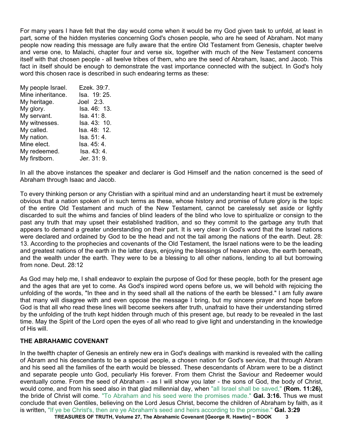For many years I have felt that the day would come when it would be my God given task to unfold, at least in part, some of the hidden mysteries concerning God's chosen people, who are he seed of Abraham. Not many people now reading this message are fully aware that the entire Old Testament from Genesis, chapter twelve and verse one, to Malachi, chapter four and verse six, together with much of the New Testament concerns itself with that chosen people - all twelve tribes of them, who are the seed of Abraham, Isaac, and Jacob. This fact in itself should be enough to demonstrate the vast importance connected with the subject. In God's holy word this chosen race is described in such endearing terms as these:

| My people Israel. | Ezek. 39:7.   |
|-------------------|---------------|
| Mine inheritance. | Isa. 19: 25.  |
| My heritage.      | Joel 2:3.     |
| My glory.         | Isa. 46:  13. |
| My servant.       | Isa. 41: 8.   |
| My witnesses.     | Isa. 43: 10.  |
| My called.        | lsa. 48: 12.  |
| My nation.        | Isa. 51: 4.   |
| Mine elect.       | lsa. 45: 4.   |
| My redeemed.      | Isa. 43: 4.   |
| My firstborn.     | Jer. 31: 9.   |

In all the above instances the speaker and declarer is God Himself and the nation concerned is the seed of Abraham through Isaac and Jacob.

To every thinking person or any Christian with a spiritual mind and an understanding heart it must be extremely obvious that a nation spoken of in such terms as these, whose history and promise of future glory is the topic of the entire Old Testament and much of the New Testament, cannot be carelessly set aside or lightly discarded to suit the whims and fancies of blind leaders of the blind who love to spiritualize or consign to the past any truth that may upset their established tradition, and so they commit to the garbage any truth that appears to demand a greater understanding on their part. It is very clear in God's word that the Israel nations were declared and ordained by God to be the head and not the tail among the nations of the earth. Deut. 28: 13. According to the prophecies and covenants of the Old Testament, the Israel nations were to be the leading and greatest nations of the earth in the latter days, enjoying the blessings of heaven above, the earth beneath, and the wealth under the earth. They were to be a blessing to all other nations, lending to all but borrowing from none. Deut. 28:12

As God may help me, I shall endeavor to explain the purpose of God for these people, both for the present age and the ages that are yet to come. As God's inspired word opens before us, we will behold with rejoicing the unfolding of the words, "In thee and in thy seed shall all the nations of the earth be blessed." I am fully aware that many will disagree with and even oppose the message I bring, but my sincere prayer and hope before God is that all who read these lines will become seekers after truth, unafraid to have their understanding stirred by the unfolding of the truth kept hidden through much of this present age, but ready to be revealed in the last time. May the Spirit of the Lord open the eyes of all who read to give light and understanding in the knowledge of His will.

## **THE ABRAHAMIC COVENANT**

In the twelfth chapter of Genesis an entirely new era in God's dealings with mankind is revealed with the calling of Abram and his descendants to be a special people, a chosen nation for God's service, that through Abram and his seed all the families of the earth would be blessed. These descendants of Abram were to be a distinct and separate people unto God, peculiarly His forever. From them Christ the Saviour and Redeemer would eventually come. From the seed of Abraham - as I will show you later - the sons of God, the body of Christ, would come, and from his seed also in that glad millennial day, when "all Israel shall be saved," **(Rom. 11:26),** the bride of Christ will come. "To Abraham and his seed were the promises made." **Gal. 3:16.** Thus we must conclude that even Gentiles, believing on the Lord Jesus Christ, become the children of Abraham by faith, as it is written, "If ye be Christ's, then are ye Abraham's seed and heirs according to the promise." **Gal. 3:29**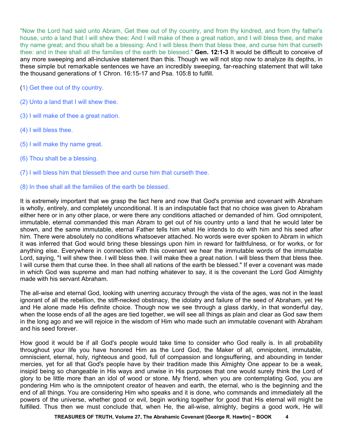"Now the Lord had said unto Abram, Get thee out of thy country, and from thy kindred, and from thy father's house, unto a land that I will shew thee: And I will make of thee a great nation, and I will bless thee, and make thy name great; and thou shalt be a blessing: And I will bless them that bless thee, and curse him that curseth thee: and in thee shall all the families of the earth be blessed." **Gen. 12:1-3** It would be difficult to conceive of any more sweeping and all-inclusive statement than this. Though we will not stop now to analyze its depths, in these simple but remarkable sentences we have an incredibly sweeping, far-reaching statement that will take the thousand generations of 1 Chron. 16:15-17 and Psa. 105:8 to fulfill.

- (1) Get thee out of thy country.
- (2) Unto a land that I will shew thee.
- (3) I will make of thee a great nation.
- (4) I will bless thee.
- (5) I will make thy name great.
- (6) Thou shalt be a blessing.
- (7) I will bless him that blesseth thee and curse him that curseth thee.

#### (8) In thee shall all the families of the earth be blessed.

It is extremely important that we grasp the fact here and now that God's promise and covenant with Abraham is wholly, entirely, and completely unconditional. It is an indisputable fact that no choice was given to Abraham either here or in any other place, or were there any conditions attached or demanded of him. God omnipotent, immutable, eternal commanded this man Abram to get out of his country unto a land that he would later be shown, and the same immutable, eternal Father tells him what He intends to do with him and his seed after him. There were absolutely no conditions whatsoever attached. No words were ever spoken to Abram in which it was inferred that God would bring these blessings upon him in reward for faithfulness, or for works, or for anything else. Everywhere in connection with this covenant we hear the immutable words of the immutable Lord, saying, "I will shew thee. I will bless thee. I will make thee a great nation. I will bless them that bless thee. I will curse them that curse thee. In thee shall all nations of the earth be blessed." If ever a covenant was made in which God was supreme and man had nothing whatever to say, it is the covenant the Lord God Almighty made with his servant Abraham.

The all-wise and eternal God, looking with unerring accuracy through the vista of the ages, was not in the least ignorant of all the rebellion, the stiff-necked obstinacy, the idolatry and failure of the seed of Abraham, yet He and He alone made His definite choice. Though now we see through a glass darkly, in that wonderful day, when the loose ends of all the ages are tied together, we will see all things as plain and clear as God saw them in the long ago and we will rejoice in the wisdom of Him who made such an immutable covenant with Abraham and his seed forever.

How good it would be if all God's people would take time to consider who God really is. In all probability throughout your life you have honored Him as the Lord God, the Maker of all, omnipotent, immutable, omniscient, eternal, holy, righteous and good, full of compassion and longsuffering, and abounding in tender mercies, yet for all that God's people have by their tradition made this Almighty One appear to be a weak, insipid being so changeable in His ways and unwise in His purposes that one would surely think the Lord of glory to be little more than an idol of wood or stone. My friend, when you are contemplating God, you are pondering Him who is the omnipotent creator of heaven and earth, the eternal, who is the beginning and the end of all things. You are considering Him who speaks and it is done, who commands and immediately all the powers of the universe, whether good or evil, begin working together for good that His eternal will might be fulfilled. Thus then we must conclude that, when He, the all-wise, almighty, begins a good work, He will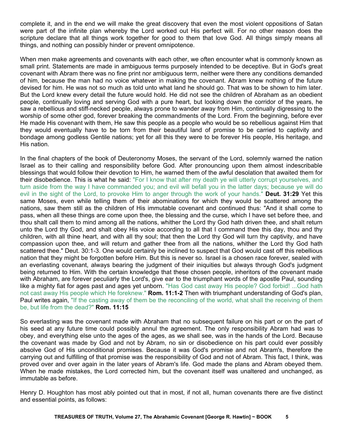complete it, and in the end we will make the great discovery that even the most violent oppositions of Satan were part of the infinite plan whereby the Lord worked out His perfect will. For no other reason does the scripture declare that all things work together for good to them that love God. All things simply means all things, and nothing can possibly hinder or prevent omnipotence.

When men make agreements and covenants with each other, we often encounter what is commonly known as small print. Statements are made in ambiguous terms purposely intended to be deceptive. But in God's great covenant with Abram there was no fine print nor ambiguous term, neither were there any conditions demanded of him, because the man had no voice whatever in making the covenant. Abram knew nothing of the future devised for him. He was not so much as told unto what land he should go. That was to be shown to him later. But the Lord knew every detail the future would hold. He did not see the children of Abraham as an obedient people, continually loving and serving God with a pure heart, but looking down the corridor of the years, he saw a rebellious and stiff-necked people, always prone to wander away from Him, continually digressing to the worship of some other god, forever breaking the commandments of the Lord. From the beginning, before ever He made His covenant with them, He saw this people as a people who would be so rebellious against Him that they would eventually have to be torn from their beautiful land of promise to be carried to captivity and bondage among godless Gentile nations; yet for all this they were to be forever His people, His heritage, and His nation.

In the final chapters of the book of Deuteronomy Moses, the servant of the Lord, solemnly warned the nation Israel as to their calling and responsibility before God. After pronouncing upon them almost indescribable blessings that would follow their devotion to Him, he warned them of the awful desolation that awaited them for their disobedience. This is what he said: "For I know that after my death ye will utterly corrupt yourselves, and turn aside from the way I have commanded you; and evil will befall you in the latter days; because ye will do evil in the sight of the Lord, to provoke Him to anger through the work of your hands." **Deut. 31:29** Yet this same Moses, even while telling them of their abominations for which they would be scattered among the nations, saw them still as the children of His immutable covenant and continued thus: "And it shall come to pass, when all these things are come upon thee, the blessing and the curse, which I have set before thee, and thou shalt call them to mind among all the nations, whither the Lord thy God hath driven thee, and shalt return unto the Lord thy God, and shalt obey His voice according to all that I command thee this day, thou and thy children, with all thine heart, and with all thy soul; that then the Lord thy God will turn thy captivity, and have compassion upon thee, and will return and gather thee from all the nations, whither the Lord thy God hath scattered thee." Deut. 30:1-3. One would certainly be inclined to suspect that God would cast off this rebellious nation that they might be forgotten before Him. But this is never so. Israel is a chosen race forever, sealed with an everlasting covenant, always bearing the judgment of their iniquities but always through God's judgment being returned to Him. With the certain knowledge that these chosen people, inheritors of the covenant made with Abraham, are forever peculiarly the Lord's, give ear to the triumphant words of the apostle Paul, sounding like a mighty fiat for ages past and ages yet unborn. "Has God cast away His people? God forbid! ...God hath not cast away His people which He foreknew." **Rom. 11:1-2** Then with triumphant understanding of God's plan, Paul writes again, "If the casting away of them be the reconciling of the world, what shall the receiving of them be, but life from the dead?" **Rom. 11:15**

So everlasting was the covenant made with Abraham that no subsequent failure on his part or on the part of his seed at any future time could possibly annul the agreement. The only responsibility Abram had was to obey, and everything else unto the ages of the ages, as we shall see, was in the hands of the Lord. Because the covenant was made by God and not by Abram, no sin or disobedience on his part could ever possibly absolve God of His unconditional promises. Because it was God's promise and not Abram's, therefore the carrying out and fulfilling of that promise was the responsibility of God and not of Abram. This fact, I think, was proved over and over again in the later years of Abram's life. God made the plans and Abram obeyed them. When he made mistakes, the Lord corrected him, but the covenant itself was unaltered and unchanged, as immutable as before.

Henry D. Houghton has most ably pointed out that in most, if not all, human covenants there are five distinct and essential points, as follows: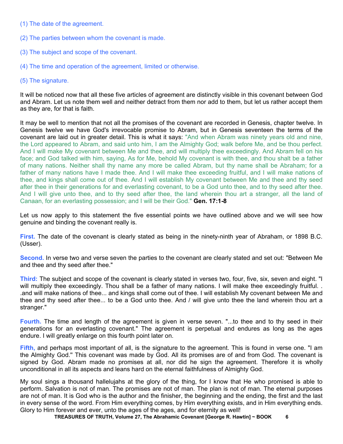- (1) The date of the agreement.
- (2) The parties between whom the covenant is made.
- (3) The subject and scope of the covenant.
- (4) The time and operation of the agreement, limited or otherwise.
- (5) The signature.

It will be noticed now that all these five articles of agreement are distinctly visible in this covenant between God and Abram. Let us note them well and neither detract from them nor add to them, but let us rather accept them as they are, for that is faith.

It may be well to mention that not all the promises of the covenant are recorded in Genesis, chapter twelve. In Genesis twelve we have God's irrevocable promise to Abram, but in Genesis seventeen the terms of the covenant are laid out in greater detail. This is what it says: "And when Abram was ninety years old and nine, the Lord appeared to Abram, and said unto him, I am the Almighty God; walk before Me, and be thou perfect. And I will make My covenant between Me and thee, and will multiply thee exceedingly. And Abram fell on his face; and God talked with him, saying, As for Me, behold My covenant is with thee, and thou shalt be a father of many nations. Neither shall thy name any more be called Abram, but thy name shall be Abraham; for a father of many nations have I made thee. And I will make thee exceeding fruitful, and I will make nations of thee, and kings shall come out of thee. And I will establish My covenant between Me and thee and thy seed after thee in their generations for and everlasting covenant, to be a God unto thee, and to thy seed after thee. And I will give unto thee, and to thy seed after thee, the land wherein thou art a stranger, all the land of Canaan, for an everlasting possession; and I will be their God." **Gen. 17:1-8**

Let us now apply to this statement the five essential points we have outlined above and we will see how genuine and binding the covenant really is.

**First.** The date of the covenant is clearly stated as being in the ninety-ninth year of Abraham, or 1898 B.C. (Usser).

**Second.** In verse two and verse seven the parties to the covenant are clearly stated and set out: "Between Me and thee and thy seed after thee."

**Third:** The subject and scope of the covenant is clearly stated in verses two, four, five, six, seven and eight. "I will multiply thee exceedingly. Thou shall be a father of many nations. I will make thee exceedingly fruitful. .and will make nations of thee... and kings shall come out of thee. I will establish My covenant between Me and thee and thy seed after thee... to be a God unto thee. And / will give unto thee the land wherein thou art a stranger."

**Fourth.** The time and length of the agreement is given in verse seven. "...to thee and to thy seed in their generations for an everlasting covenant." The agreement is perpetual and endures as long as the ages endure. I will greatly enlarge on this fourth point later on.

**Fifth,** and perhaps most important of all, is the signature to the agreement. This is found in verse one. "I am the Almighty God.'' This covenant was made by God. All its promises are of and from God. The covenant is signed by God. Abram made no promises at all, nor did he sign the agreement. Therefore it is wholly unconditional in all its aspects and leans hard on the eternal faithfulness of Almighty God.

My soul sings a thousand hallelujahs at the glory of the thing, for I know that He who promised is able to perform. Salvation is not of man. The promises are not of man. The plan is not of man. The eternal purposes are not of man. It is God who is the author and the finisher, the beginning and the ending, the first and the last in every sense of the word. From Him everything comes, by Him everything exists, and in Him everything ends. Glory to Him forever and ever, unto the ages of the ages, and for eternity as well!

**TREASURES OF TRUTH, Volume 27, The Abrahamic Covenant [George R. Hawtin] ~ BOOK 6**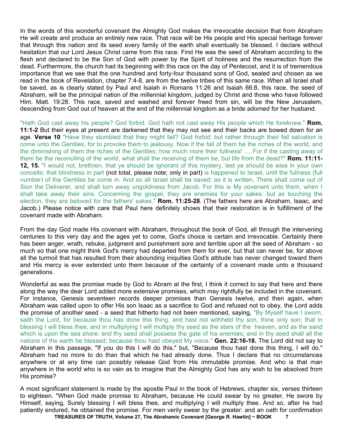In the words of this wonderful covenant the Almighty God makes the irrevocable decision that from Abraham He will create and produce an entirely new race. That race will be His people and His special heritage forever that through this nation and its seed every family of the earth shall eventually be blessed. I declare without hesitation that our Lord Jesus Christ came from this race. First He was the seed of Abraham according to the flesh and declared to be the Son of God with power by the Spirit of holiness and the resurrection from the dead. Furthermore, the church had its beginning with this race on the day of Pentecost, and it is of tremendous importance that we see that the one hundred and forty-four thousand sons of God, sealed and chosen as we read in the book of Revelation, chapter 7:4-8, are from the twelve tribes of this same race. When all Israel shall be saved, as is clearly stated by Paul and Isaiah in Romans 11:26 and Isaiah 66:8, this race, the seed of Abraham, will be the principal nation of the millennial kingdom, judged by Christ and those who have followed Him. Matt. 19:28. This race, saved and washed and forever freed from sin, will be the New Jerusalem, descending from God out of heaven at the end of the millennial kingdom as a bride adorned for her husband.

"Hath God cast away his people? God forbid. God hath not cast away His people which He foreknew." **Rom. 11:1-2** But their eyes at present are darkened that they may not see and their backs are bowed down for an age. **Verse 10** "Have they stumbled that they might fall? God forbid: but rather through their fall salvation is come unto the Gentiles, for to provoke them to jealousy. Now if the fall of them be the riches of the world, and the diminishing of them the riches of the Gentiles; how much more their fullness! .... For if the casting away of them be the reconciling of the world, what shall the receiving of them be, but life from the dead?" **Rom. 11:11- 12, 15.** "I would not, brethren, that ye should be ignorant of this mystery, lest ye should be wise in your own conceits; that blindness in part (not total, please note; only in part) is happened to Israel, until the fullness (full number) of the Gentiles be come in. And so all Israel shall be saved: as it is written, There shall come out of Sion the Deliverer, and shall turn away ungoldiness from Jacob. For this is My covenant unto them, when I shall take away their sins. Concerning the gospel, they are enemies for your sakes: but as touching the election, they are beloved for the fathers' sakes." **Rom. 11:25-28**. (The fathers here are Abraham, Isaac, and Jacob.) Please notice with care that Paul here definitely shows that their restoration is in fulfillment of the covenant made with Abraham.

From the day God made His covenant with Abraham, throughout the book of God, all through the intervening centuries to this very day and the ages yet to come, God's choice is certain and irrevocable. Certainly there has been anger, wrath, rebuke, judgment and punishment sore and terrible upon all the seed of Abraham - so much so that one might think God's mercy had departed from them for ever, but that can never be, for above all the turmoil that has resulted from their abounding iniquities God's attitude has never changed toward them and His mercy is ever extended unto them because of the certainty of a covenant made unto a thousand generations.

Wonderful as was the promise made by God to Abram at the first, I think it correct to say that here and there along the way the dear Lord added more extensive promises, which may rightfully be included in the covenant. For instance, Genesis seventeen records deeper promises than Genesis twelve, and then again, when Abraham was called upon to offer His son Isaac as a sacrifice to God and refused not to obey, the Lord adds the promise of another seed - a seed that hitherto had not been mentioned, saying, "By Myself have I sworn, saith the Lord, for because thou has done this thing, and hast not withheld thy son, thine only son; that in blessing I will bless thee, and in multiplying I will multiply thy seed as the stars of the heaven, and as the sand which is upon the sea shore: and thy seed shall possess the gate of his enemies; and in thy seed shall all the nations of the earth be blessed; because thou hast obeyed My voice." **Gen. 22:16-18.** The Lord did not say to Abraham in this passage, "If you do this I will do this," but, "Because thou hast done this thing, I will do." Abraham had no more to do than that which he had already done. Thus I declare that no circumstances anywhere or at any time can possibly release God from His immutable promise. And who is that man anywhere in the world who is so vain as to imagine that the Almighty God has any wish to be absolved from His promise?

A most significant statement is made by the apostle Paul in the book of Hebrews, chapter six, verses thirteen to eighteen. "When God made promise to Abraham, because He could swear by no greater, He swore by Himself, saying, Surely blessing I will bless thee, and multiplying I will multiply thee. And so, after he had patiently endured, he obtained the promise. For men verily swear by the greater: and an oath for confirmation

**TREASURES OF TRUTH, Volume 27, The Abrahamic Covenant [George R. Hawtin] ~ BOOK 7**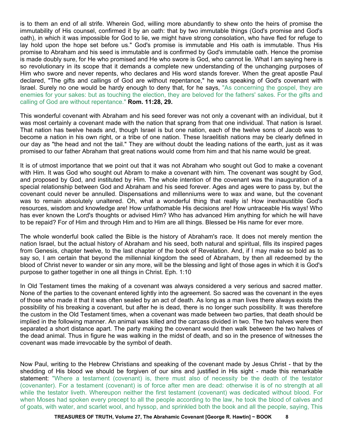is to them an end of all strife. Wherein God, willing more abundantly to shew onto the heirs of promise the immutability of His counsel, confirmed it by an oath: that by two immutable things (God's promise and God's oath), in which it was impossible for God to lie, we might have strong consolation, who have fled for refuge to lay hold upon the hope set before us." God's promise is immutable and His oath is immutable. Thus His promise to Abraham and his seed is immutable and is confirmed by God's immutable oath. Hence the promise is made doubly sure, for He who promised and He who swore is God, who cannot lie. What I am saying here is so revolutionary in its scope that it demands a complete new understanding of the unchanging purposes of Him who swore and never repents, who declares and His word stands forever. When the great apostle Paul declared, "The gifts and callings of God are without repentance," he was speaking of God's covenant with Israel. Surely no one would be hardy enough to deny that, for he says, "As concerning the gospel, they are enemies for your sakes: but as touching the election, they are beloved for the fathers' sakes. For the gifts and calling of God are without repentance." **Rom. 11:28, 29.**

This wonderful covenant with Abraham and his seed forever was not only a covenant with an individual, but it was most certainly a covenant made with the nation that sprang from that one individual. That nation is Israel. That nation has twelve heads and, though Israel is but one nation, each of the twelve sons of Jacob was to become a nation in his own right, or a tribe of one nation. These Israelitish nations may be clearly defined in our day as "the head and not the tail." They are without doubt the leading nations of the earth, just as it was promised to our father Abraham that great nations would come from him and that his name would be great.

It is of utmost importance that we point out that it was not Abraham who sought out God to make a covenant with Him. It was God who sought out Abram to make a covenant with him. The covenant was sought by God, and proposed by God, and instituted by Him. The whole intention of the covenant was the inauguration of a special relationship between God and Abraham and his seed forever. Ages and ages were to pass by, but the covenant could never be annulled. Dispensations and millenniums were to wax and wane, but the covenant was to remain absolutely unaltered. Oh, what a wonderful thing that really is! How inexhaustible God's resources, wisdom and knowledge are! How unfathomable His decisions are! How untraceable His ways! Who has ever known the Lord's thoughts or advised Him? Who has advanced Him anything for which he will have to be repaid? For of Him and through Him and to Him are all things. Blessed be His name for ever more.

The whole wonderful book called the Bible is the history of Abraham's race. It does not merely mention the nation Israel, but the actual history of Abraham and his seed, both natural and spiritual, fills its inspired pages from Genesis, chapter twelve, to the last chapter of the book of Revelation. And, if I may make so bold as to say so, I am certain that beyond the millennial kingdom the seed of Abraham, by then all redeemed by the blood of Christ never to wander or sin any more, will be the blessing and light of those ages in which it is God's purpose to gather together in one all things in Christ. Eph. 1:10

In Old Testament times the making of a covenant was always considered a very serious and sacred matter. None of the parties to the covenant entered lightly into the agreement. So sacred was the covenant in the eyes of those who made it that it was often sealed by an act of death. As long as a man lives there always exists the possibility of his breaking a covenant, but after he is dead, there is no longer such possibility. It was therefore the custom in the Old Testament times, when a covenant was made between two parties, that death should be implied in the following manner. An animal was killed and the carcass divided in two. The two halves were then separated a short distance apart. The party making the covenant would then walk between the two halves of the dead animal. Thus in figure he was walking in the midst of death, and so in the presence of witnesses the covenant was made irrevocable by the symbol of death.

Now Paul, writing to the Hebrew Christians and speaking of the covenant made by Jesus Christ - that by the shedding of His blood we should be forgiven of our sins and justified in His sight - made this remarkable statement: "Where a testament (covenant) is, there must also of necessity be the death of the testator (covenanter). For a testament (covenant) is of force after men are dead: otherwise it is of no strength at all while the testator liveth. Whereupon neither the first testament (covenant) was dedicated without blood. For when Moses had spoken every precept to all the people according to the law, he took the blood of calves and of goats, with water, and scarlet wool, and hyssop, and sprinkled both the book and all the people, saying, This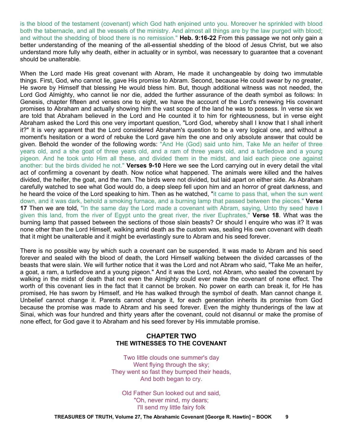is the blood of the testament (covenant) which God hath enjoined unto you. Moreover he sprinkled with blood both the tabernacle, and all the vessels of the ministry. And almost all things are by the law purged with blood; and without the shedding of blood there is no remission." **Heb. 9:16-22** From this passage we not only gain a better understanding of the meaning of the all-essential shedding of the blood of Jesus Christ, but we also understand more fully why death, either in actuality or in symbol, was necessary to guarantee that a covenant should be unalterable.

When the Lord made His great covenant with Abram, He made it unchangeable by doing two immutable things. First, God, who cannot lie, gave His promise to Abram. Second, because He could swear by no greater, He swore by Himself that blessing He would bless him. But, though additional witness was not needed, the Lord God Almighty, who cannot lie nor die, added the further assurance of the death symbol as follows: In Genesis, chapter fifteen and verses one to eight, we have the account of the Lord's renewing His covenant promises to Abraham and actually showing him the vast scope of the land he was to possess. In verse six we are told that Abraham believed in the Lord and He counted it to him for righteousness, but in verse eight Abraham asked the Lord this one very important question, "Lord God, whereby shall I know that I shall inherit it?" It is very apparent that the Lord considered Abraham's question to be a very logical one, and without a moment's hesitation or a word of rebuke the Lord gave him the one and only absolute answer that could be given. Behold the wonder of the following words: "And He (God) said unto him, Take Me an heifer of three years old, and a she goat of three years old, and a ram of three years old, and a turtledove and a young pigeon. And he took unto Him all these, and divided them in the midst, and laid each piece one against another: but the birds divided he not." **Verses 9-10** Here we see the Lord carrying out in every detail the vital act of confirming a covenant by death. Now notice what happened. The animals were killed and the halves divided, the heifer, the goat, and the ram. The birds were not divided, but laid apart on either side. As Abraham carefully watched to see what God would do, a deep sleep fell upon him and an horror of great darkness, and he heard the voice of the Lord speaking to him. Then as he watched, "it came to pass that, when the sun went down, and it was dark, behold a smoking furnace, and a burning lamp that passed between the pieces." **Verse 17** Then we are told, "In the same day the Lord made a covenant with Abram, saying, Unto thy seed have I given this land, from the river of Egypt unto the great river, the river Euphrates," **Verse 18**. What was the burning lamp that passed between the sections of those slain beasts? Or should I enquire who was it? It was none other than the Lord Himself, walking amid death as the custom was, sealing His own covenant with death that it might be unalterable and it might be everlastingly sure to Abram and his seed forever.

There is no possible way by which such a covenant can be suspended. It was made to Abram and his seed forever and sealed with the blood of death, the Lord Himself walking between the divided carcasses of the beasts that were slain. We will further notice that it was the Lord and not Abram who said, "Take Me an heifer, a goat, a ram, a turtledove and a young pigeon." And it was the Lord, not Abram, who sealed the covenant by walking in the midst of death that not even the Almighty could ever make the covenant of none effect. The worth of this covenant lies in the fact that it cannot be broken. No power on earth can break it, for He has promised, He has sworn by Himself, and He has walked through the symbol of death. Man cannot change it. Unbelief cannot change it. Parents cannot change it, for each generation inherits its promise from God because the promise was made to Abram and his seed forever. Even the mighty thunderings of the law at Sinai, which was four hundred and thirty years after the covenant, could not disannul or make the promise of none effect, for God gave it to Abraham and his seed forever by His immutable promise.

## **CHAPTER TWO THE WITNESSES TO THE COVENANT**

Two little clouds one summer's day Went flying through the sky; They went so fast they bumped their heads, And both began to cry.

Old Father Sun looked out and said, "Oh, never mind, my dears; I'll send my little fairy folk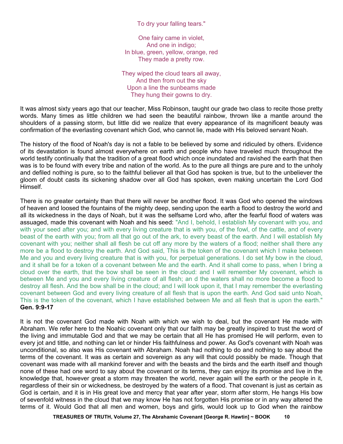To dry your falling tears."

One fairy came in violet, And one in indigo; In blue, green, yellow, orange, red They made a pretty row.

They wiped the cloud tears all away, And then from out the sky Upon a line the sunbeams made They hung their gowns to dry.

It was almost sixty years ago that our teacher, Miss Robinson, taught our grade two class to recite those pretty words. Many times as little children we had seen the beautiful rainbow, thrown like a mantle around the shoulders of a passing storm, but little did we realize that every appearance of its magnificent beauty was confirmation of the everlasting covenant which God, who cannot lie, made with His beloved servant Noah.

The history of the flood of Noah's day is not a fable to be believed by some and ridiculed by others. Evidence of its devastation is found almost everywhere on earth and people who have traveled much throughout the world testify continually that the tradition of a great flood which once inundated and ravished the earth that then was is to be found with every tribe and nation of the world. As to the pure all things are pure and to the unholy and defiled nothing is pure, so to the faithful believer all that God has spoken is true, but to the unbeliever the gloom of doubt casts its sickening shadow over all God has spoken, even making uncertain the Lord God Himself.

There is no greater certainty than that there will never be another flood. It was God who opened the windows of heaven and loosed the fountains of the mighty deep, sending upon the earth a flood to destroy the world and all its wickedness in the days of Noah, but it was the selfsame Lord who, after the fearful flood of waters was assuaged, made this covenant with Noah and his seed: "And I, behold, I establish My covenant with you, and with your seed after you; and with every living creature that is with you, of the fowl, of the cattle, and of every beast of the earth with you; from all that go out of the ark, to every beast of the earth. And I will establish My covenant with you; neither shall all flesh be cut off any more by the waters of a flood; neither shall there any more be a flood to destroy the earth. And God said, This is the token of the covenant which I make between Me and you and every living creature that is with you, for perpetual generations. I do set My bow in the cloud, and it shall be for a token of a covenant between Me and the earth. And it shall come to pass, when I bring a cloud over the earth, that the bow shall be seen in the cloud: and I will remember My covenant, which is between Me and you and every living creature of all flesh; an d the waters shall no more become a flood to destroy all flesh. And the bow shall be in the cloud; and I will look upon it, that I may remember the everlasting covenant between God and every living creature of all flesh that is upon the earth. And God said unto Noah, This is the token of the covenant, which I have established between Me and all flesh that is upon the earth." **Gen. 9:9-17** 

It is not the covenant God made with Noah with which we wish to deal, but the covenant He made with Abraham. We refer here to the Noahic covenant only that our faith may be greatly inspired to trust the word of the living and immutable God and that we may be certain that all He has promised He will perform, even to every jot and tittle, and nothing can let or hinder His faithfulness and power. As God's covenant with Noah was unconditional, so also was His covenant with Abraham. Noah had nothing to do and nothing to say about the terms of the covenant. It was as certain and sovereign as any will that could possibly be made. Though that covenant was made with all mankind forever and with the beasts and the birds and the earth itself and though none of these had one word to say about the covenant or its terms, they can enjoy its promise and live in the knowledge that, however great a storm may threaten the world, never again will the earth or the people in it, regardless of their sin or wickedness, be destroyed by the waters of a flood. That covenant is just as certain as God is certain, and it is in His great love and mercy that year after year, storm after storm, He hangs His bow of sevenfold witness in the cloud that we may know He has not forgotten His promise or in any way altered the terms of it. Would God that all men and women, boys and girls, would look up to God when the rainbow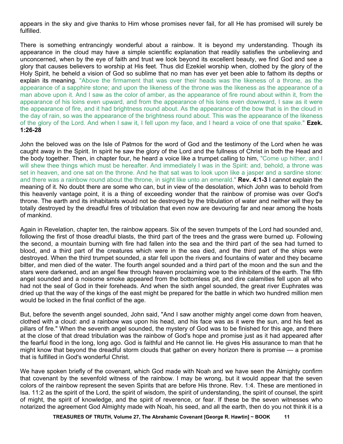appears in the sky and give thanks to Him whose promises never fail, for all He has promised will surely be fulfilled.

There is something entrancingly wonderful about a rainbow. It is beyond my understanding. Though its appearance in the cloud may have a simple scientific explanation that readily satisfies the unbelieving and unconcerned, when by the eye of faith and trust we look beyond its excellent beauty, we find God and see a glory that causes believers to worship at His feet. Thus did Ezekiel worship when, clothed by the glory of the Holy Spirit, he beheld a vision of God so sublime that no man has ever yet been able to fathom its depths or explain its meaning. "Above the firmament that was over their heads was the likeness of a throne, as the appearance of a sapphire stone; and upon the likeness of the throne was the likeness as the appearance of a man above upon it. And I saw as the color of amber, as the appearance of fire round about within it, from the appearance of his loins even upward, and from the appearance of his loins even downward, I saw as it were the appearance of fire, and it had brightness round about. As the appearance of the bow that is in the cloud in the day of rain, so was the appearance of the brightness round about. This was the appearance of the likeness of the glory of the Lord. And when I saw it, I fell upon my face, and I heard a voice of one that spake." **Ezek. 1:26-28** 

John the beloved was on the Isle of Patmos for the word of God and the testimony of the Lord when he was caught away in the Spirit. In spirit he saw the glory of the Lord and the fullness of Christ in both the Head and the body together. Then, in chapter four, he heard a voice like a trumpet calling to him, "Come up hither, and I will shew thee things which must be hereafter. And immediately I was in the Spirit: and, behold, a throne was set in heaven, and one sat on the throne. And he that sat was to look upon like a jasper and a sardine stone: and there was a rainbow round about the throne, in sight like unto an emerald." **Rev. 4:1-3** I cannot explain the meaning of it. No doubt there are some who can, but in view of the desolation, which John was to behold from this heavenly vantage point, it is a thing of exceeding wonder that the rainbow of promise was over God's throne. The earth and its inhabitants would not be destroyed by the tribulation of water and neither will they be totally destroyed by the dreadful fires of tribulation that even now are devouring far and near among the hosts of mankind.

Again in Revelation, chapter ten, the rainbow appears. Six of the seven trumpets of the Lord had sounded and, following the first of those dreadful blasts, the third part of the trees and the grass were burned up. Following the second, a mountain burning with fire had fallen into the sea and the third part of the sea had turned to blood, and a third part of the creatures which were in the sea died, and the third part of the ships were destroyed. When the third trumpet sounded, a star fell upon the rivers and fountains of water and they became bitter, and men died of the water. The fourth angel sounded and a third part of the moon and the sun and the stars were darkened, and an angel flew through heaven proclaiming woe to the inhibiters of the earth. The fifth angel sounded and a noisome smoke appeared from the bottomless pit, and dire calamities fell upon all who had not the seal of God in their foreheads. And when the sixth angel sounded, the great river Euphrates was dried up that the way of the kings of the east might be prepared for the battle in which two hundred million men would be locked in the final conflict of the age.

But, before the seventh angel sounded, John said, "And I saw another mighty angel come down from heaven, clothed with a cloud: and a rainbow was upon his head, and his face was as it were the sun, and his feet as pillars of fire." When the seventh angel sounded, the mystery of God was to be finished for this age, and there at the close of that dread tribulation was the rainbow of God's hope and promise just as it had appeared after the fearful flood in the long, long ago. God is faithful and He cannot lie. He gives His assurance to man that he might know that beyond the dreadful storm clouds that gather on every horizon there is promise — a promise that is fulfilled in God's wonderful Christ.

We have spoken briefly of the covenant, which God made with Noah and we have seen the Almighty confirm that covenant by the sevenfold witness of the rainbow. I may be wrong, but it would appear that the seven colors of the rainbow represent the seven Spirits that are before His throne. Rev. 1:4. These are mentioned in Isa. 11:2 as the spirit of the Lord, the spirit of wisdom, the spirit of understanding, the spirit of counsel, the spirit of might, the spirit of knowledge, and the spirit of reverence, or fear. If these be the seven witnesses who notarized the agreement God Almighty made with Noah, his seed, and all the earth, then do you not think it is a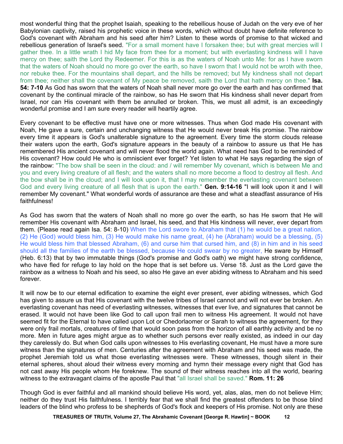most wonderful thing that the prophet Isaiah, speaking to the rebellious house of Judah on the very eve of her Babylonian captivity, raised his prophetic voice in these words, which without doubt have definite reference to God's covenant with Abraham and his seed after him? Listen to these words of promise to that wicked and rebellious generation of Israel's seed. "For a small moment have I forsaken thee; but with great mercies will I gather thee. In a little wrath I hid My face from thee for a moment; but with everlasting kindness will I have mercy on thee; saith the Lord thy Redeemer. For this is as the waters of Noah unto Me: for as I have sworn that the waters of Noah should no more go over the earth, so have I sworn that I would not be wroth with thee, nor rebuke thee. For the mountains shall depart, and the hills be removed; but My kindness shall not depart from thee; neither shall the covenant of My peace be removed, saith the Lord that hath mercy on thee." **Isa. 54: 7-10** As God has sworn that the waters of Noah shall never more go over the earth and has confirmed that covenant by the continual miracle of the rainbow, so has He sworn that His kindness shall never depart from Israel, nor can His covenant with them be annulled or broken. This, we must all admit, is an exceedingly wonderful promise and I am sure every reader will heartily agree.

Every covenant to be effective must have one or more witnesses. Thus when God made His covenant with Noah, He gave a sure, certain and unchanging witness that He would never break His promise. The rainbow every time it appears is God's unalterable signature to the agreement. Every time the storm clouds release their waters upon the earth, God's signature appears in the beauty of a rainbow to assure us that He has remembered His ancient covenant and will never flood the world again. What need has God to be reminded of His covenant? How could He who is omniscient ever forget? Yet listen to what He says regarding the sign of the rainbow: "The bow shall be seen in the cloud: and / will remember My covenant, which is between Me and you and every living creature of all flesh; and the waters shall no more become a flood to destroy all flesh. And the bow shall be in the cloud; and I will look upon it, that I may remember the everlasting covenant between God and every living creature of all flesh that is upon the earth." **Gen. 9:14-16** "I will look upon it and I will remember My covenant." What wonderful words of assurance are these and what a steadfast assurance of His faithfulness!

As God has sworn that the waters of Noah shall no more go over the earth, so has He sworn that He will remember His covenant with Abraham and Israel, his seed, and that His kindness will never, ever depart from them. (Please read again Isa. 54: 8-10) When the Lord swore to Abraham that (1) he would be a great nation, (2) He (God) would bless him, (3) He would make his name great, (4) he (Abraham) would be a blessing, (5) He would bless him that blessed Abraham, (6) and curse him that cursed him, and (8) in him and in his seed should all the families of the earth be blessed, because He could swear by no greater. He sware by Himself (Heb. 6:13) that by two immutable things (God's promise and God's oath) we might have strong confidence, who have fled for refuge to lay hold on the hope that is set before us. Verse 18. Just as the Lord gave the rainbow as a witness to Noah and his seed, so also He gave an ever abiding witness to Abraham and his seed forever.

It will now be to our eternal edification to examine the eight ever present, ever abiding witnesses, which God has given to assure us that His covenant with the twelve tribes of Israel cannot and will not ever be broken. An everlasting covenant has need of everlasting witnesses, witnesses that ever live, and signatures that cannot be erased. It would not have been like God to call upon frail men to witness His agreement. It would not have seemed fit for the Eternal to have called upon Lot or Chedorlaomer or Sarah to witness the agreement, for they were only frail mortals, creatures of time that would soon pass from the horizon of all earthly activity and be no more. Men in future ages might argue as to whether such persons ever really existed, as indeed in our day they carelessly do. But when God calls upon witnesses to His everlasting covenant, He must have a more sure witness than the signatures of men. Centuries after the agreement with Abraham and his seed was made, the prophet Jeremiah told us what those everlasting witnesses were. These witnesses, though silent in their eternal spheres, shout aloud their witness every morning and hymn their message every night that God has not cast away His people whom He foreknew. The sound of their witness reaches into all the world, bearing witness to the extravagant claims of the apostle Paul that "all Israel shall be saved." **Rom. 11: 26**

Though God is ever faithful and all mankind should believe His word, yet, alas, alas, men do not believe Him; neither do they trust His faithfulness. I terribly fear that we shall find the greatest offenders to be those blind leaders of the blind who profess to be shepherds of God's flock and keepers of His promise. Not only are these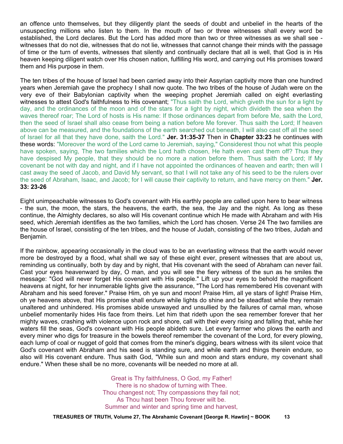an offence unto themselves, but they diligently plant the seeds of doubt and unbelief in the hearts of the unsuspecting millions who listen to them. In the mouth of two or three witnesses shall every word be established, the Lord declares. But the Lord has added more than two or three witnesses as we shall see witnesses that do not die, witnesses that do not lie, witnesses that cannot change their minds with the passage of time or the turn of events, witnesses that silently and continually declare that all is well, that God is in His heaven keeping diligent watch over His chosen nation, fulfilling His word, and carrying out His promises toward them and His purpose in them.

The ten tribes of the house of Israel had been carried away into their Assyrian captivity more than one hundred years when Jeremiah gave the prophecy I shall now quote. The two tribes of the house of Judah were on the very eve of their Babylonian captivity when the weeping prophet Jeremiah called on eight everlasting witnesses to attest God's faithfulness to His covenant; "Thus saith the Lord, which giveth the sun for a light by day, and the ordinances of the moon and of the stars for a light by night, which divideth the sea when the waves thereof roar; The Lord of hosts is His name: If those ordinances depart from before Me, saith the Lord, then the seed of Israel shall also cease from being a nation before Me forever. Thus saith the Lord; If heaven above can be measured, and the foundations of the earth searched out beneath, I will also cast off all the seed of Israel for all that they have done, saith the Lord." **Jer. 31:35-37** Then in **Chapter 33:23** he continues with these words: "Moreover the word of the Lord came to Jeremiah, saying," Considerest thou not what this people have spoken, saying, The two families which the Lord hath chosen, He hath even cast them off? Thus they have despised My people, that they should be no more a nation before them. Thus saith the Lord; If My covenant be not with day and night, and if I have not appointed the ordinances of heaven and earth; then will I cast away the seed of Jacob, and David My servant, so that I will not take any of his seed to be the rulers over the seed of Abraham, Isaac, and Jacob; for I will cause their captivity to return, and have mercy on them." **Jer. 33: 23-26** 

Eight unimpeachable witnesses to God's covenant with His earthly people are called upon here to bear witness - the sun, the moon, the stars, the heavens, the earth, the sea, the Jay and the night. As long as these continue, the Almighty declares, so also will His covenant continue which He made with Abraham and with His seed, which Jeremiah identifies as the two families, which the Lord has chosen. Verse 24 The two families are the house of Israel, consisting of the ten tribes, and the house of Judah, consisting of the two tribes, Judah and Benjamin.

If the rainbow, appearing occasionally in the cloud was to be an everlasting witness that the earth would never more be destroyed by a flood, what shall we say of these eight ever, present witnesses that are about us, reminding us continually, both by day and by night, that His covenant with the seed of Abraham can never fail. Cast your eyes heavenward by day, O man, and you will see the fiery witness of the sun as he smiles the message: "God will never forget His covenant with His people." Lift up your eyes to behold the magnificent heavens at night, for her innumerable lights give the assurance, "The Lord has remembered His covenant with Abraham and his seed forever." Praise Him, oh ye sun and moon! Praise Him, all ye stars of light! Praise Him, oh ye heavens above, that His promise shall endure while lights do shine and be steadfast while they remain unaltered and unhindered. His promises abide unswayed and unsullied by the failures of carnal man, whose unbelief momentarily hides His face from theirs. Let him that rideth upon the sea remember forever that her mighty waves, crashing with violence upon rock and shore, call with their every rising and falling that, while her waters fill the seas, God's covenant with His people abideth sure. Let every farmer who plows the earth and every miner who digs for treasure in the bowels thereof remember the covenant of the Lord, for every plowing, each lump of coal or nugget of gold that comes from the miner's digging, bears witness with its silent voice that God's covenant with Abraham and his seed is standing sure, and while earth and things therein endure, so also will His covenant endure. Thus saith God, "While sun and moon and stars endure, my covenant shall endure." When these shall be no more, covenants will be needed no more at all.

> Great is Thy faithfulness, O God, my Father! There is no shadow of turning with Thee. Thou changest not; Thy compassions they fail not; As Thou hast been Thou forever wilt be. Summer and winter and spring time and harvest,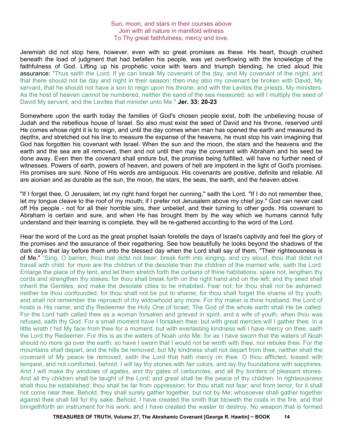#### Sun, moon, and stars in their courses above Join with all nature in manifold witness To Thy great faithfulness, mercy and love.

Jeremiah did not stop here, however, even with so great promises as these. His heart, though crushed beneath the load of judgment that had befallen his people, was yet overflowing with the knowledge of the faithfulness of God. Lifting up his prophetic voice with tears and triumph blending, he cried aloud this assurance: "Thus saith the Lord; If ye can break My covenant of the day, and My covenant of the night, and that there should not be day and night in their season; then may also my covenant be broken with David, My servant, that he should not have a son to reign upon his throne; and with the Levites the priests, My ministers. As the host of heaven cannot be numbered, neither the sand of the sea measured: so will I multiply the seed of David My servant, and the Levites that minister unto Me." **Jer. 33: 20-23**

Somewhere upon the earth today the families of God's chosen people exist, both the unbelieving house of Judah and the rebellious house of Israel. So also must exist the seed of David and his throne, reserved until He comes whose right it is to reign, and until the day comes when man has opened the earth and measured its depths, and stretched out his line to measure the expanse of the heavens, he must stop his vain imagining that God has forgotten his covenant with Israel. When the sun and the moon, the stars and the heavens and the earth and the sea are all removed, then and not until then may the covenant with Abraham and his seed be done away. Even then the covenant shall endure but, the promise being fulfilled, will have no further need of witnesses. Powers of earth, powers of heaven, and powers of hell are impotent in the light of God's promises. His promises are sure. None of His words are ambiguous. His covenants are positive, definite and reliable. All are aionian and as durable as the sun, the moon, the stars, the seas, the earth, and the heaven above.

"If I forget thee, O Jerusalem, let my right hand forget her cunning," saith the Lord. "If I do not remember thee, let my tongue cleave to the roof of my mouth; if I prefer not Jerusalem above my chief joy." God can never cast off His people - not for all their horrible sins, their unbelief, and their turning to other gods. His covenant to Abraham is certain and sure, and when He has brought them by the way which we humans cannot fully understand and their learning is complete, they will be re-gathered according to the word of the Lord.

Hear the word of the Lord as the great prophet Isaiah foretells the days of Israel's captivity and feel the glory of the promises and the assurance of their regathering. See how beautifully he looks beyond the shadows of the dark days that lay before them unto the blessed day when the Lord shall say of them, "Their righteousness is of Me." "Sing, O barren, thou that didst not bear; break forth into singing, and cry aloud, thou that didst not travail with child: for more are the children of the desolate than the children of the married wife, saith the Lord. Enlarge the place of thy tent, and let them stretch forth the curtains of thine habitations: spare not, lengthen thy cords and strengthen thy stakes; for thou shall break forth on the right hand and on the left; and thy seed shall inherit the Gentiles, and make the desolate cities to be inhabited. Fear not; for thou shall not be ashamed: neither be thou confounded; for thou shalt not be put to shame; for thou shalt forget the shame of thy youth; and shall not remember the reproach of thy widowhood any more. For thy maker is thine husband; the Lord of hosts is His name; and thy Redeemer the Holy One of Israel; The God of the whole earth shall He be called. For the Lord hath called thee as a woman forsaken and grieved in spirit, and a wife of youth, when thou was refused, saith thy God. For a small moment have I forsaken thee; but with great mercies will I gather thee. In a little wrath I hid My face from thee for a moment; but with everlasting kindness will I have mercy on thee, saith the Lord thy Redeemer. For this is as the waters of Noah unto Me: for as I have sworn that the waters of Noah should no more go over the earth; so have I sworn that I would not be wroth with thee, nor rebuke thee. For the mountains shall depart, and the hills be removed; but My kindness shall not depart from thee, neither shall the covenant of My peace be removed, saith the Lord that hath mercy on thee. O thou afflicted, tossed with tempest, and not comforted, behold. I will lay thy stones with fair colors, and lay thy foundations with sapphires. And I will make thy windows of agates, and thy gates of carbuncles, and all thy borders of pleasant stones. And all thy children shall be taught of the Lord; and great shall be the peace of thy children. In righteousness shalt thou be established: thou shall be far from oppression; for thou shalt not fear; and from terror, for it shall not come near thee. Behold, they shall surely gather together, but not by Me; whosoever shall gather together against thee shall fall for thy sake. Behold, I have created the smith that bloweth the coals in the fire, and that bringethforth an instrument for his work; and I have created the waster to destroy. No weapon that is formed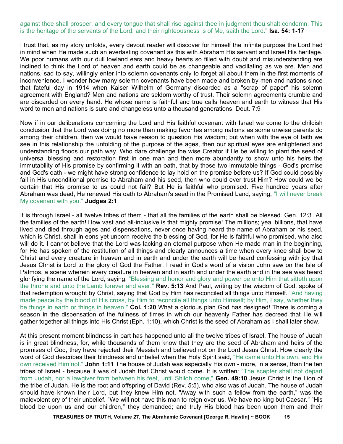#### against thee shall prosper; and every tongue that shall rise against thee in judgment thou shalt condemn. This is the heritage of the servants of the Lord, and their righteousness is of Me, saith the Lord." **Isa. 54: 1-17**

I trust that, as my story unfolds, every devout reader will discover for himself the infinite purpose the Lord had in mind when He made such an everlasting covenant as this with Abraham His servant and Israel His heritage. We poor humans with our dull lowland ears and heavy hearts so filled with doubt and misunderstanding are inclined to think the Lord of heaven and earth could be as changeable and vacillating as we are. Men and nations, sad to say, willingly enter into solemn covenants only to forget all about them in the first moments of inconvenience. I wonder how many solemn covenants have been made and broken by men and nations since that fateful day in 1914 when Kaiser Wilhelm of Germany discarded as a "scrap of paper" his solemn agreement with England? Men and nations are seldom worthy of trust. Their solemn agreements crumble and are discarded on every hand. He whose name is faithful and true calls heaven and earth to witness that His word to men and nations is sure and changeless unto a thousand generations. Deut. 7:9

Now if in our deliberations concerning the Lord and His faithful covenant with Israel we come to the childish conclusion that the Lord was doing no more than making favorites among nations as some unwise parents do among their children, then we would have reason to question His wisdom; but when with the eye of faith we see in this relationship the unfolding of the purpose of the ages, then our spiritual eyes are enlightened and understanding floods our path way. Who dare challenge the wise Creator if He be willing to plant the seed of universal blessing and restoration first in one man and then more abundantly to show unto his heirs the immutability of His promise by confirming it with an oath, that by those two immutable things - God's promise and God's oath - we might have strong confidence to lay hold on the promise before us? If God could possibly fail in His unconditional promise to Abraham and his seed, then who could ever trust Him? How could we be certain that His promise to us could not fail? But He is faithful who promised. Five hundred years after Abraham was dead, He renewed His oath to Abraham's seed in the Promised Land, saying, "I will never break My covenant with you." **Judges 2:1**

It is through Israel - all twelve tribes of them - that all the families of the earth shall be blessed. Gen. 12:3 All the families of the earth! How vast and all-inclusive is that mighty promise! The millions; yea, billions, that have lived and died through ages and dispensations, never once having heard the name of Abraham or his seed, which is Christ, shall in eons yet unborn receive the blessing of God, for He is faithful who promised, who also will do it. I cannot believe that the Lord was lacking an eternal purpose when He made man in the beginning, for He has spoken of the restitution of all things and clearly announces a time when every knee shall bow to Christ and every creature in heaven and in earth and under the earth will be heard confessing with joy that Jesus Christ is Lord to the glory of God the Father. I read in God's word of a vision John saw on the Isle of Patmos, a scene wherein every creature in heaven and in earth and under the earth and in the sea was heard glorifying the name of the Lord, saying, "Blessing and honor and glory and power be unto Him that sitteth upon the throne and unto the Lamb forever and ever." **Rev. 5:13** And Paul, writing by the wisdom of God, spoke of that redemption wrought by Christ, saying that God by Him has reconciled all things unto Himself. "And having made peace by the blood of His cross, by Him to reconcile all things unto Himself; by Him, I say, whether they be things in earth or things in heaven." **Col. 1:20** What a glorious plan God has designed! There is coming a season in the dispensation of the fullness of times in which our heavenly Father has decreed that He will gather together all things into His Christ (Eph. 1:10), which Christ is the seed of Abraham as I shall later show.

At this present moment blindness in part has happened unto all the twelve tribes of Israel. The house of Judah is in great blindness, for, while thousands of them know that they are the seed of Abraham and heirs of the promises of God, they have rejected their Messiah and believed not on the Lord Jesus Christ. How clearly the word of God describes their blindness and unbelief when the Holy Spirit said, "He came unto His own, and His own received Him not." **John 1:11** The house of Judah was especially His own - more, in a sense, than the ten tribes of Israel - because it was of Judah that Christ would come. It is written: "The scepter shall not depart from Judah, nor a lawgiver from between his feet, until Shiloh come," **Gen. 49:10** Jesus Christ is the Lion of the tribe of Judah. He is the root and offspring of David (Rev. 5:5), who also was of Judah. The house of Judah should have known their Lord, but they knew Him not. "Away with such a fellow from the earth," was the malevolent cry of their unbelief. "We will not have this man to reign over us. We have no king but Caesar." "His blood be upon us and our children," they demanded; and truly His blood has been upon them and their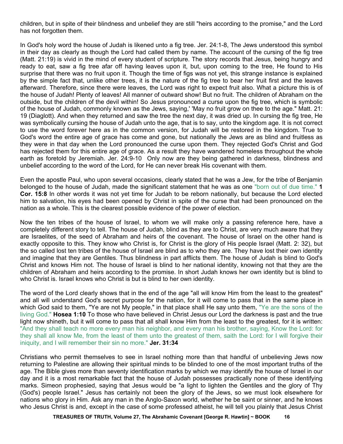children, but in spite of their blindness and unbelief they are still "heirs according to the promise," and the Lord has not forgotten them.

In God's holy word the house of Judah is likened unto a fig tree. Jer. 24:1-8, The Jews understood this symbol in their day as clearly as though the Lord had called them by name. The account of the cursing of the fig tree (Matt. 21:19) is vivid in the mind of every student of scripture. The story records that Jesus, being hungry and ready to eat, saw a fig tree afar off having leaves upon it, but, upon coming to the tree, He found to His surprise that there was no fruit upon it. Though the time of figs was not yet, this strange instance is explained by the simple fact that, unlike other trees, it is the nature of the fig tree to bear her fruit first and the leaves afterward. Therefore, since there were leaves, the Lord was right to expect fruit also. What a picture this is of the house of Judah! Plenty of leaves! All manner of outward show! But no fruit. The children of Abraham on the outside, but the children of the devil within! So Jesus pronounced a curse upon the fig tree, which is symbolic of the house of Judah, commonly known as the Jews, saying,' 'May no fruit grow on thee to the age." Matt. 21: 19 (Diaglott). And when they returned and saw the tree the next day, it was dried up. In cursing the fig tree, He was symbolically cursing the house of Judah unto the age, that is to say, unto the kingdom age. It is not correct to use the word forever here as in the common version, for Judah will be restored in the kingdom. True to God's word the entire age of grace has come and gone, but nationally the Jews are as blind and fruitless as they were in that day when the Lord pronounced the curse upon them. They rejected God's Christ and God has rejected them for this entire age of grace. As a result they have wandered homeless throughout the whole earth as foretold by Jeremiah. Jer. 24:9-10 Only now are they being gathered in darkness, blindness and unbelief according to the word of the Lord, for He can never break His covenant with them.

Even the apostle Paul, who upon several occasions, clearly stated that he was a Jew, for the tribe of Benjamin belonged to the house of Judah, made the significant statement that he was as one "born out of due time." **1 Cor. 15:8** In other words it was not yet time for Judah to be reborn nationally, but because the Lord elected him to salvation, his eyes had been opened by Christ in spite of the curse that had been pronounced on the nation as a whole. This is the clearest possible evidence of the power of election.

Now the ten tribes of the house of Israel, to whom we will make only a passing reference here, have a completely different story to tell. The house of Judah, blind as they are to Christ, are very much aware that they are Israelites, of the seed of Abraham and heirs of the covenant. The house of Israel on the other hand is exactly opposite to this. They know who Christ is, for Christ is the glory of His people Israel (Matt. 2: 32), but the so called lost ten tribes of the house of Israel are blind as to who they are. They have lost their own identity and imagine that they are Gentiles. Thus blindness in part afflicts them. The house of Judah is blind to God's Christ and knows Him not. The house of Israel is blind to her national identity, knowing not that they are the children of Abraham and heirs according to the promise. In short Judah knows her own identity but is blind to who Christ is. Israel knows who Christ is but is blind to her own identity.

The word of the Lord clearly shows that in the end of the age "all will know Him from the least to the greatest" and all will understand God's secret purpose for the nation, for it will come to pass that in the same place in which God said to them, "Ye are not My people," in that place shall He say unto them, "Ye are the sons of the living God." **Hosea 1:10** To those who have believed in Christ Jesus our Lord the darkness is past and the true light now shineth, but it will come to pass that all shall know Him from the least to the greatest, for it is written: "And they shall teach no more every man his neighbor, and every man his brother, saying, Know the Lord: for they shall all know Me, from the least of them unto the greatest of them, saith the Lord: for I will forgive their iniquity, and I will remember their sin no more." **Jer. 31:34**

Christians who permit themselves to see in Israel nothing more than that handful of unbelieving Jews now returning to Palestine are allowing their spiritual minds to be blinded to one of the most important truths of the age. The Bible gives more than seventy identification marks by which we may identify the house of Israel in our day and it is a most remarkable fact that the house of Judah possesses practically none of these identifying marks. Simeon prophesied, saying that Jesus would be "a light to lighten the Gentiles and the glory of Thy (God's) people Israel." Jesus has certainly not been the glory of the Jews, so we must look elsewhere for nations who glory in Him. Ask any man in the Anglo-Saxon world, whether he be saint or sinner, and he knows who Jesus Christ is and, except in the case of some professed atheist, he will tell you plainly that Jesus Christ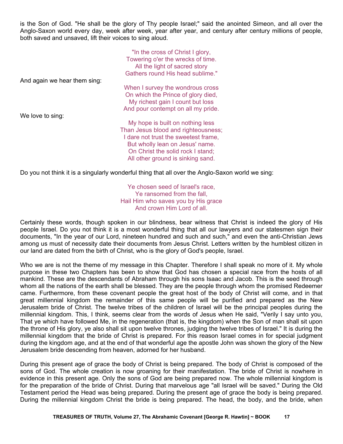is the Son of God. "He shall be the glory of Thy people Israel;" said the anointed Simeon, and all over the Anglo-Saxon world every day, week after week, year after year, and century after century millions of people, both saved and unsaved, lift their voices to sing aloud.

|                              | "In the cross of Christ I glory,     |
|------------------------------|--------------------------------------|
|                              | Towering o'er the wrecks of time.    |
|                              | All the light of sacred story        |
|                              | Gathers round His head sublime."     |
| And again we hear them sing: |                                      |
|                              | When I survey the wondrous cross     |
|                              | On which the Prince of glory died,   |
|                              | My richest gain I count but loss     |
|                              | And pour contempt on all my pride.   |
| We love to sing:             |                                      |
|                              | My hope is built on nothing less     |
|                              | Than Jesus blood and righteousness;  |
|                              | I dare not trust the sweetest frame, |
|                              | But wholly lean on Jesus' name.      |
|                              | On Christ the solid rock I stand;    |
|                              |                                      |
|                              | All other ground is sinking sand.    |
|                              |                                      |

Do you not think it is a singularly wonderful thing that all over the Anglo-Saxon world we sing:

Ye chosen seed of Israel's race, Ye ransomed from the fall, Hail Him who saves you by His grace And crown Him Lord of all.

Certainly these words, though spoken in our blindness, bear witness that Christ is indeed the glory of His people Israel. Do you not think it is a most wonderful thing that all our lawyers and our statesmen sign their documents, "In the year of our Lord, nineteen hundred and such and such," and even the anti-Christian Jews among us must of necessity date their documents from Jesus Christ. Letters written by the humblest citizen in our land are dated from the birth of Christ, who is the glory of God's people, Israel.

Who we are is not the theme of my message in this Chapter. Therefore I shall speak no more of it. My whole purpose in these two Chapters has been to show that God has chosen a special race from the hosts of all mankind. These are the descendants of Abraham through his sons Isaac and Jacob. This is the seed through whom all the nations of the earth shall be blessed. They are the people through whom the promised Redeemer came. Furthermore, from these covenant people the great host of the body of Christ will come, and in that great millennial kingdom the remainder of this same people will be purified and prepared as the New Jerusalem bride of Christ. The twelve tribes of the children of Israel will be the principal peoples during the millennial kingdom. This, I think, seems clear from the words of Jesus when He said, "Verily I say unto you, That ye which have followed Me, in the regeneration (that is, the kingdom) when the Son of man shall sit upon the throne of His glory, ye also shall sit upon twelve thrones, judging the twelve tribes of Israel." It is during the millennial kingdom that the bride of Christ is prepared. For this reason Israel comes in for special judgment during the kingdom age, and at the end of that wonderful age the apostle John was shown the glory of the New Jerusalem bride descending from heaven, adorned for her husband.

During this present age of grace the body of Christ is being prepared. The body of Christ is composed of the sons of God. The whole creation is now groaning for their manifestation. The bride of Christ is nowhere in evidence in this present age. Only the sons of God are being prepared now. The whole millennial kingdom is for the preparation of the bride of Christ. During that marvelous age "all Israel will be saved." During the Old Testament period the Head was being prepared. During the present age of grace the body is being prepared. During the millennial kingdom Christ the bride is being prepared. The head, the body, and the bride, when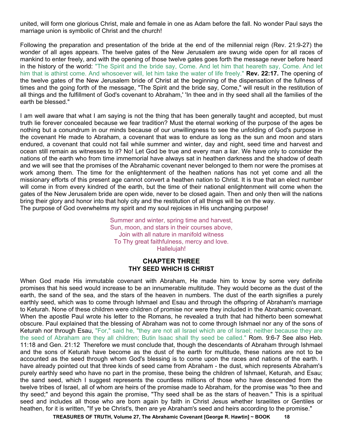united, will form one glorious Christ, male and female in one as Adam before the fall. No wonder Paul says the marriage union is symbolic of Christ and the church!

Following the preparation and presentation of the bride at the end of the millennial reign (Rev. 21:9-27) the wonder of all ages appears. The twelve gates of the New Jerusalem are swung wide open for all races of mankind to enter freely, and with the opening of those twelve gates goes forth the message never before heard in the history of the world: "The Spirit and the bride say, Come. And let him that heareth say, Come. And let him that is athirst come. And whosoever will, let him take the water of life freely." **Rev. 22:17.** The opening of the twelve gates of the New Jerusalem bride of Christ at the beginning of the dispensation of the fullness of times and the going forth of the message, "The Spirit and the bride say, Come," will result in the restitution of all things and the fulfillment of God's covenant to Abraham,' 'In thee and in thy seed shall all the families of the earth be blessed."

I am well aware that what I am saying is not the thing that has been generally taught and accepted, but must truth lie forever concealed because we fear tradition? Must the eternal working of the purpose of the ages be nothing but a conundrum in our minds because of our unwillingness to see the unfolding of God's purpose in the covenant He made to Abraham, a covenant that was to endure as long as the sun and moon and stars endured, a covenant that could not fail while summer and winter, day and night, seed time and harvest and ocean still remain as witnesses to it? No! Let God be true and every man a liar. We have only to consider the nations of the earth who from time immemorial have always sat in heathen darkness and the shadow of death and we will see that the promises of the Abrahamic covenant never belonged to them nor were the promises at work among them. The time for the enlightenment of the heathen nations has not yet come and all the missionary efforts of this present age cannot convert a heathen nation to Christ. It is true that an elect number will come in from every kindred of the earth, but the time of their national enlightenment will come when the gates of the New Jerusalem bride are open wide, never to be closed again. Then and only then will the nations bring their glory and honor into that holy city and the restitution of all things will be on the way. The purpose of God overwhelms my spirit and my soul rejoices in His unchanging purpose!

> Summer and winter, spring time and harvest, Sun, moon, and stars in their courses above, Join with all nature in manifold witness To Thy great faithfulness, mercy and love. Hallelujah!

## **CHAPTER THREE THY SEED WHICH IS CHRIST**

When God made His immutable covenant with Abraham, He made him to know by some very definite promises that his seed would increase to be an innumerable multitude. They would become as the dust of the earth, the sand of the sea, and the stars of the heaven in numbers. The dust of the earth signifies a purely earthly seed, which was to come through Ishmael and Esau and through the offspring of Abraham's marriage to Keturah. None of these children were children of promise nor were they included in the Abrahamic covenant. When the apostle Paul wrote his letter to the Romans, he revealed a truth that had hitherto been somewhat obscure. Paul explained that the blessing of Abraham was not to come through Ishmael nor any of the sons of Keturah nor through Esau, "For," said he, "they are not all Israel which are of Israel; neither because they are the seed of Abraham are they all children; Butin Isaac shall thy seed be called." Rom. 9:6-7 See also Heb. 11:18 and Gen. 21:12 Therefore we must conclude that, though the descendants of Abraham through Ishmael and the sons of Keturah have become as the dust of the earth for multitude, these nations are not to be accounted as the seed through whom God's blessing is to come upon the races and nations of the earth. I have already pointed out that three kinds of seed came from Abraham - the dust, which represents Abraham's purely earthly seed who have no part in the promise, these being the children of Ishmael, Keturah, and Esau; the sand seed, which I suggest represents the countless millions of those who have descended from the twelve tribes of Israel, all of whom are heirs of the promise made to Abraham, for the promise was "to thee and thy seed;" and beyond this again the promise, "Thy seed shall be as the stars of heaven." This is a spiritual seed and includes all those who are born again by faith in Christ Jesus whether Israelites or Gentiles or heathen, for it is written, "If ye be Christ's, then are ye Abraham's seed and heirs according to the promise."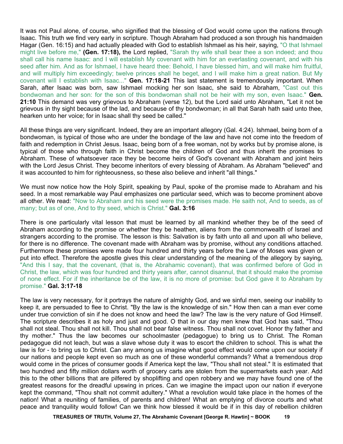It was not Paul alone, of course, who signified that the blessing of God would come upon the nations through Isaac. This truth we find very early in scripture. Though Abraham had produced a son through his handmaiden Hagar (Gen. 16:15) and had actually pleaded with God to establish Ishmael as his heir, saying, "O that Ishmael might live before me," **(Gen. 17:18),** the Lord replied, "Sarah thy wife shall bear thee a son indeed; and thou shall call his name Isaac: and I will establish My covenant with him for an everlasting covenant, and with his seed after him. And as for Ishmael, I have heard thee: Behold, I have blessed him, and will make him fruitful, and will multiply him exceedingly; twelve princes shall he beget, and I will make him a great nation. But My covenant will I establish with Isaac..." **Gen. 17:18-21** This last statement is tremendously important. When Sarah, after Isaac was born, saw Ishmael mocking her son Isaac, she said to Abraham, "Cast out this bondwoman and her son: for the son of this bondwoman shall not be heir with my son, even Isaac." **Gen. 21:10** This demand was very grievous to Abraham (verse 12), but the Lord said unto Abraham, "Let it not be grievous in thy sight because of the lad, and because of thy bondwoman; in all that Sarah hath said unto thee, hearken unto her voice; for in Isaac shall thy seed be called.''

All these things are very significant. Indeed, they are an important allegory (Gal. 4:24). Ishmael, being born of a bondwoman, is typical of those who are under the bondage of the law and have not come into the freedom of faith and redemption in Christ Jesus. Isaac, being born of a free woman, not by works but by promise alone, is typical of those who through faith in Christ become the children of God and thus inherit the promises to Abraham. These of whatsoever race they be become heirs of God's covenant with Abraham and joint heirs with the Lord Jesus Christ. They become inheritors of every blessing of Abraham. As Abraham "believed" and it was accounted to him for righteousness, so these also believe and inherit "all things."

We must now notice how the Holy Spirit, speaking by Paul, spoke of the promise made to Abraham and his seed. In a most remarkable way Paul emphasizes one particular seed, which was to become prominent above all other. We read: "Now to Abraham and his seed were the promises made. He saith not, And to seeds, as of many; but as of one, And to thy seed, which is Christ." **Gal. 3:16**

There is one particularly vital lesson that must be learned by all mankind whether they be of the seed of Abraham according to the promise or whether they be heathen, aliens from the commonwealth of Israel and strangers according to the promise. The lesson is this: Salvation is by faith unto all and upon all who believe, for there is no difference. The covenant made with Abraham was by promise, without any conditions attached. Furthermore these promises were made four hundred and thirty years before the Law of Moses was given or put into effect. Therefore the apostle gives this clear understanding of the meaning of the allegory by saying, "And this I say, that the covenant, (that is, the Abrahamic covenant), that was confirmed before of God in Christ, the law, which was four hundred and thirty years after, cannot disannul, that it should make the promise of none effect. For if the inheritance be of the law, it is no more of promise: but God gave it to Abraham by promise." **Gal. 3:17-18**

The law is very necessary, for it portrays the nature of almighty God, and we sinful men, seeing our inability to keep it, are persuaded to flee to Christ. "By the law is the knowledge of sin." How then can a man ever come under true conviction of sin if he does not know and heed the law? The law is the very nature of God Himself. The scripture describes it as holy and just and good. O that in our day men knew that God has said, "Thou shall not steal. Thou shall not kill. Thou shall not bear false witness. Thou shall not covet. Honor thy father and thy mother." Thus the law becomes our schoolmaster (pedagogue) to bring us to Christ. The Roman pedagogue did not leach, but was a slave whose duty it was to escort the children to school. This is what the law is for - to bring us to Christ. Can any among us imagine what good effect would come upon our society if our nations and people kept even so much as one of these wonderful commands? What a tremendous drop would come in the prices of consumer goods if America kept the law, "Thou shall not steal." It is estimated that two hundred and fifty million dollars worth of grocery carts are stolen from the supermarkets each year. Add this to the other billions that are pilfered by shoplifting and open robbery and we may have found one of the greatest reasons for the dreadful upswing in prices. Can we imagine the impact upon our nation if everyone kept the command, "Thou shalt not commit adultery." What a revolution would take place in the homes of the nation! What a reuniting of families, of parents and children! What an emptying of divorce courts and what peace and tranquility would follow! Can we think how blessed it would be if in this day of rebellion children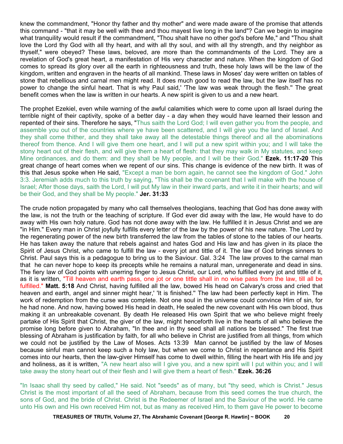knew the commandment, "Honor thy father and thy mother" and were made aware of the promise that attends this command - "that it may be well with thee and thou mayest live long in the land"? Can we begin to imagine what tranquility would result if the commandment, "Thou shalt have no other god's before Me," and "Thou shalt love the Lord thy God with all thy heart, and with all thy soul, and with all thy strength, and thy neighbor as thyself," were obeyed? These laws, beloved, are more than the commandments of the Lord. They are a revelation of God's great heart, a manifestation of His very character and nature. When the kingdom of God comes to spread its glory over all the earth in righteousness and truth, these holy laws will be the law of the kingdom, written and engraven in the hearts of all mankind. These laws in Moses' day were written on tables of stone that rebellious and carnal men might read. It does much good to read the law, but the law itself has no power to change the sinful heart. That is why Paul said,' 'The law was weak through the flesh.'' The great benefit comes when the law is written in our hearts. A new spirit is given to us and a new heart.

The prophet Ezekiel, even while warning of the awful calamities which were to come upon all Israel during the terrible night of their captivity, spoke of a better day - a day when they would have learned their lesson and repented of their sins. Therefore he says, "Thus saith the Lord God; I will even gather you from the people, and assemble you out of the countries where ye have been scattered, and I will give you the land of Israel. And they shall come thither, and they shall take away all the detestable things thereof and all the abominations thereof from thence. And I will give them one heart, and I will put a new spirit within you; and I will take the stony heart out of their flesh, and will give them a heart of flesh: that they may walk in My statutes, and keep Mine ordinances, and do them: and they shall be My people, and I will be their God." **Ezek. 11:17-20** This great change of heart comes when we repent of our sins. This change is evidence of the new birth. It was of this that Jesus spoke when He said, "Except a man be born again, he cannot see the kingdom of God." John 3:3. Jeremiah adds much to this truth by saying, "This shall be the covenant that I will make with the house of Israel; After those days, saith the Lord, I will put My law in their inward parts, and write it in their hearts; and will be their God, and they shall be My people." **Jer. 31:33**

The crude notion propagated by many who call themselves theologians, teaching that God has done away with the law, is not the truth or the teaching of scripture. If God ever did away with the law, He would have to do away with His own holy nature. God has not done away with the law. He fulfilled it in Jesus Christ and we are "in Him." Every man in Christ joyfully fulfills every letter of the law by the power of his new nature. The Lord by the regenerating power of the new birth transferred the law from the tables of stone to the tables of our hearts. He has taken away the nature that rebels against and hates God and His law and has given in its place the Spirit of Jesus Christ, who came to fulfill the law - every jot and tittle of it. The law of God brings sinners to Christ. Paul says this is a pedagogue to bring us to the Saviour. Gal. 3:24 The law proves to the carnal man that he can never hope to keep its precepts while he remains a natural man, unregenerate and dead in sins. The fiery law of God points with unerring finger to Jesus Christ, our Lord, who fulfilled every jot and tittle of it, as it is written, "Till heaven and earth pass, one jot or one tittle shall in no wise pass from the law, till all be fulfilled." **Matt. 5:18** And Christ, having fulfilled all the law, bowed His head on Calvary's cross and cried that heaven and earth, angel and sinner might hear,' 'It is finished.'' The law had been perfectly kept in Him. The work of redemption from the curse was complete. Not one soul in the universe could convince Him of sin, for he had none. And now, having bowed His head in death, He sealed the new covenant with His own blood, thus making it an unbreakable covenant. By death He released His own Spirit that we who believe might freely partake of His Spirit that Christ, the giver of the law, might henceforth live in the hearts of all who believe the promise long before given to Abraham, "In thee and in thy seed shall all nations be blessed." The first true blessing of Abraham is justification by faith, for all who believe in Christ are justified from all things, from which we could not be justified by the Law of Moses. Acts 13:39 Man cannot be justified by the law of Moses because sinful man cannot keep such a holy law, but when we come to Christ in repentance and His Spirit comes into our hearts, then the law-giver Himself has come to dwell within, filling the heart with His life and joy and holiness, as it is written, "A new heart also will I give you, and a new spirit will I put within you; and I will take away the stony heart out of their flesh and I will give them a heart of flesh." **Ezek. 36:26**

"In Isaac shall thy seed by called," He said. Not "seeds" as of many, but "thy seed, which is Christ." Jesus Christ is the most important of all the seed of Abraham, because from this seed comes the true church, the sons of God, and the bride of Christ. Christ is the Redeemer of Israel and the Saviour of the world. He came unto His own and His own received Him not, but as many as received Him, to them gave He power to become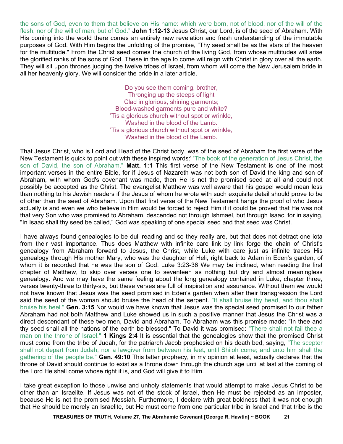the sons of God, even to them that believe on His name: which were born, not of blood, nor of the will of the flesh, nor of the will of man, but of God." **John 1:12-13** Jesus Christ, our Lord, is of the seed of Abraham. With His coming into the world there comes an entirely new revelation and fresh understanding of the immutable purposes of God. With Him begins the unfolding of the promise, "Thy seed shall be as the stars of the heaven for the multitude." From the Christ seed comes the church of the living God, from whose multitudes will arise the glorified ranks of the sons of God. These in the age to come will reign with Christ in glory over all the earth. They will sit upon thrones judging the twelve tribes of Israel, from whom will come the New Jerusalem bride in all her heavenly glory. We will consider the bride in a later article.

> Do you see them coming, brother, Thronging up the steeps of light Clad in glorious, shining garments; Blood-washed garments pure and white? 'Tis a glorious church without spot or wrinkle, Washed in the blood of the Lamb. 'Tis a glorious church without spot or wrinkle, Washed in the blood of the Lamb.

That Jesus Christ, who is Lord and Head of the Christ body, was of the seed of Abraham the first verse of the New Testament is quick to point out with these inspired words:' 'The book of the generation of Jesus Christ, the son of David, the son of Abraham." **Matt. 1:1** This first verse of the New Testament is one of the most important verses in the entire Bible, for if Jesus of Nazareth was not both son of David the king and son of Abraham, with whom God's covenant was made, then He is not the promised seed at all and could not possibly be accepted as the Christ. The evangelist Matthew was well aware that his gospel would mean less than nothing to his Jewish readers if the Jesus of whom he wrote with such exquisite detail should prove to be of other than the seed of Abraham. Upon that first verse of the New Testament hangs the proof of who Jesus actually is and even we who believe in Him would be forced to reject Him if it could be proved that He was not that very Son who was promised to Abraham, descended not through Ishmael, but through Isaac, for in saying, "In Isaac shall thy seed be called," God was speaking of one special seed and that seed was Christ.

I have always found genealogies to be dull reading and so they really are, but that does not detract one iota from their vast importance. Thus does Matthew with infinite care link by link forge the chain of Christ's genealogy from Abraham forward to Jesus, the Christ, while Luke with care just as infinite traces His genealogy through His mother Mary, who was the daughter of Heli, right back to Adam in Eden's garden, of whom it is recorded that he was the son of God. Luke 3:23-36 We may be inclined, when reading the first chapter of Matthew, to skip over verses one to seventeen as nothing but dry and almost meaningless genealogy. And we may have the same feeling about the long genealogy contained in Luke, chapter three, verses twenty-three to thirty-six, but these verses are full of inspiration and assurance. Without them we would not have known that Jesus was the seed promised in Eden's garden when after their transgression the Lord said the seed of the woman should bruise the head of the serpent. "It shall bruise thy head, and thou shalt bruise his heel." **Gen. 3:15** Nor would we have known that Jesus was the special seed promised to our father Abraham had not both Matthew and Luke showed us in such a positive manner that Jesus the Christ was a direct descendant of these two men, David and Abraham. To Abraham was this promise made: "In thee and thy seed shall all the nations of the earth be blessed." To David it was promised: "There shall not fail thee a man on the throne of Israel." **1 Kings 2:4** It is essential that the genealogies show that the promised Christ must come from the tribe of Judah, for the patriarch Jacob prophesied on his death bed, saying, "The scepter shall not depart from Judah, nor a lawgiver from between his feet, until Shiloh come; and unto him shall the gathering of the people be." **Gen. 49:10** This latter prophecy, in my opinion at least, actually declares that the throne of David should continue to exist as a throne down through the church age until at last at the coming of the Lord He shall come whose right it is, and God will give it to Him.

I take great exception to those unwise and unholy statements that would attempt to make Jesus Christ to be other than an Israelite. If Jesus was not of the stock of Israel, then He must be rejected as an imposter, because He is not the promised Messiah. Furthermore, I declare with great boldness that it was not enough that He should be merely an Israelite, but He must come from one particular tribe in Israel and that tribe is the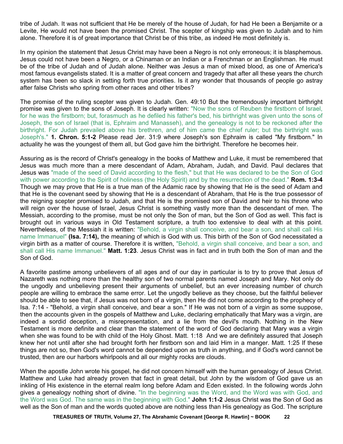tribe of Judah. It was not sufficient that He be merely of the house of Judah, for had He been a Benjamite or a Levite, He would not have been the promised Christ. The scepter of kingship was given to Judah and to him alone. Therefore it is of great importance that Christ be of this tribe, as indeed He most definitely is.

In my opinion the statement that Jesus Christ may have been a Negro is not only erroneous; it is blasphemous. Jesus could not have been a Negro, or a Chinaman or an Indian or a Frenchman or an Englishman. He must be of the tribe of Judah and of Judah alone. Neither was Jesus a man of mixed blood, as one of America's most famous evangelists stated. It is a matter of great concern and tragedy that after all these years the church system has been so slack in setting forth true priorities. Is it any wonder that thousands of people go astray after false Christs who spring from other races and other tribes?

The promise of the ruling scepter was given to Judah. Gen. 49:10 But the tremendously important birthright promise was given to the sons of Joseph. It is clearly written: "Now the sons of Reuben the firstborn of Israel, for he was the firstborn; but, forasmuch as he defiled his father's bed, his birthright was given unto the sons of Joseph, the son of Israel (that is, Ephraim and Manasseh), and the genealogy is not to be reckoned after the birthright. For Judah prevailed above his brethren, and of him came the chief ruler; but the birthright was Joseph's." **1. Chron. 5:1-2** Please read Jer. 31:9 where Joseph's son Ephraim is called "My firstborn." In actuality he was the youngest of them all, but God gave him the birthright. Therefore he becomes heir.

Assuring as is the record of Christ's genealogy in the books of Matthew and Luke, it must be remembered that Jesus was much more than a mere descendant of Adam, Abraham, Judah, and David. Paul declares that Jesus was "made of the seed of David according to the flesh," but that He was declared to be the Son of God with power according to the Spirit of holiness (the Holy Spirit) and by the resurrection of the dead." **Rom. 1:3-4** Though we may prove that He is a true man of the Adamic race by showing that He is the seed of Adam and that He is the covenant seed by showing that He is a descendant of Abraham, that He is the true possessor of the reigning scepter promised to Judah, and that He is the promised son of David and heir to his throne who will reign over the house of Israel, Jesus Christ is something vastly more than the descendant of men. The Messiah, according to the promise, must be not only the Son of man, but the Son of God as well. This fact is brought out in various ways in Old Testament scripture, a truth too extensive to deal with at this point. Nevertheless, of the Messiah it is written: "Behold, a virgin shall conceive, and bear a son, and shall call His name Immanuel" **(Isa. 7:14),** the meaning of which is God with us. This birth of the Son of God necessitated a virgin birth as a matter of course. Therefore it is written, "Behold, a virgin shall conceive, and bear a son, and shall call His name Immanuel." **Matt. 1:23**. Jesus Christ was in fact and in truth both the Son of man and the Son of God.

A favorite pastime among unbelievers of all ages and of our day in particular is to try to prove that Jesus of Nazareth was nothing more than the healthy son of two normal parents named Joseph and Mary. Not only do the ungodly and unbelieving present their arguments of unbelief, but an ever increasing number of church people are willing to embrace the same error. Let the ungodly believe as they choose, but the faithful believer should be able to see that, if Jesus was not born of a virgin, then He did not come according to the prophecy of Isa. 7:14 - "Behold, a virgin shall conceive, and bear a son." If He was not born of a virgin as some suppose, then the accounts given in the gospels of Matthew and Luke, declaring emphatically that Mary was a virgin, are indeed a sordid deception, a misrepresentation, and a lie from the devil's mouth. Nothing in the New Testament is more definite and clear than the statement of the word of God declaring that Mary was a virgin when she was found to be with child of the Holy Ghost. Matt. 1:18 And we are definitely assured that Joseph knew her not until after she had brought forth her firstborn son and laid Him in a manger. Matt. 1:25 If these things are not so, then God's word cannot be depended upon as truth in anything, and if God's word cannot be trusted, then are our harbors whirlpools and all our mighty rocks are clouds.

When the apostle John wrote his gospel, he did not concern himself with the human genealogy of Jesus Christ. Matthew and Luke had already proven that fact in great detail, but John by the wisdom of God gave us an inkling of His existence in the eternal realm long before Adam and Eden existed. In the following words John gives a genealogy nothing short of divine. "In the beginning was the Word, and the Word was with God, and the Word was God. The same was in the beginning with God." **John 1:1-2** Jesus Christ was the Son of God as well as the Son of man and the words quoted above are nothing less than His genealogy as God. The scripture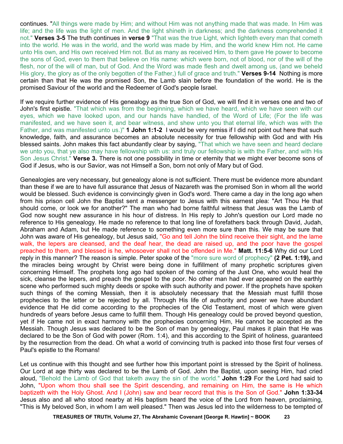continues. "All things were made by Him; and without Him was not anything made that was made. In Him was life; and the life was the light of men. And the light shineth in darkness; and the darkness comprehended it not." **Verses 3-5** The truth continues in **verse 9** "That was the true Light, which lighteth every man that cometh into the world. He was in the world, and the world was made by Him, and the world knew Him not. He came unto His own, and His own received Him not. But as many as received Him, to them gave He power to become the sons of God, even to them that believe on His name: which were born, not of blood, nor of the will of the flesh, nor of the will of man, but of God. And the Word was made flesh and dwelt among us, (and we beheld His glory, the glory as of the only begotten of the Father,) full of grace and truth." **Verses 9-14** Nothing is more certain than that He was the promised Son, the Lamb slain before the foundation of the world. He is the promised Saviour of the world and the Redeemer of God's people Israel.

If we require further evidence of His genealogy as the true Son of God, we will find it in verses one and two of John's first epistle. "That which was from the beginning, which we have heard, which we have seen with our eyes, which we have looked upon, and our hands have handled, of the Word of Life; (For the life was manifested, and we have seen it, and bear witness, and shew unto you that eternal life, which was with the Father, and was manifested unto us.)" **1 John 1:1-2** I would be very remiss if I did not point out here that such knowledge, faith, and assurance becomes an absolute necessity for true fellowship with God and with His blessed saints. John makes this fact abundantly clear by saying, "That which we have seen and heard declare we unto you, that ye also may have fellowship with us: and truly our fellowship is with the Father, and with His Son Jesus Christ." **Verse 3.** There is not one possibility in time or eternity that we might ever become sons of God if Jesus, who is our Savior, was not Himself a Son, born not only of Mary but of God.

Genealogies are very necessary, but genealogy alone is not sufficient. There must be evidence more abundant than these if we are to have full assurance that Jesus of Nazareth was the promised Son in whom all the world would be blessed. Such evidence is convincingly given in God's word. There came a day in the long ago when from his prison cell John the Baptist sent a messenger to Jesus with this earnest plea: "Art Thou He that should come, or look we for another?" The man who had borne faithful witness that Jesus was the Lamb of God now sought new assurance in his hour of distress. In His reply to John's question our Lord made no reference to His genealogy. He made no reference to that long line of forefathers back through David, Judah, Abraham and Adam, but He made reference to something even more sure than this. We may be sure that John was aware of His genealogy, but Jesus said, "Go and tell John the blind receive their sight, and the lame walk, the lepers are cleansed, and the deaf hear, the dead are raised up, and the poor have the gospel preached to them, and blessed is he, whosoever shall not be offended in Me." **Matt. 11:5-6** Why did our Lord reply in this manner? The reason is simple. Peter spoke of the "more sure word of prophecy" **(2 Pet. 1:19),** and the miracles being wrought by Christ were being done in fulfillment of many prophetic scriptures given concerning Himself. The prophets long ago had spoken of the coming of the Just One, who would heal the sick, cleanse the lepers, and preach the gospel to the poor. No other man had ever appeared on the earthly scene who performed such mighty deeds or spoke with such authority and power. If the prophets have spoken such things of the coming Messiah, then it is absolutely necessary that the Messiah must fulfill those prophecies to the letter or be rejected by all. Through His life of authority and power we have abundant evidence that He did come according to the prophecies of the Old Testament, most of which were given hundreds of years before Jesus came to fulfill them. Though His genealogy could be proved beyond question, yet if He came not in exact harmony with the prophecies concerning Him, He cannot be accepted as the Messiah. Though Jesus was declared to be the Son of man by genealogy, Paul makes it plain that He was declared to be the Son of God with power (Rom. 1:4), and this according to the Spirit of holiness, guaranteed by the resurrection from the dead. Oh what a world of convincing truth is packed into those first four verses of Paul's epistle to the Romans!

Let us continue with this thought and see further how this important point is stressed by the Spirit of holiness. Our Lord at age thirty was declared to be the Lamb of God. John the Baptist, upon seeing Him, had cried aloud, "Behold the Lamb of God that taketh away the sin of the world." **John 1:29** For the Lord had said to John, "Upon whom thou shall see the Spirit descending, and remaining on Him, the same is He which baptizeth with the Holy Ghost. And I (John) saw and bear record that this is the Son of God." **John 1:33-34** Jesus also and all who stood nearby at His baptism heard the voice of the Lord from heaven, proclaiming, "This is My beloved Son, in whom I am well pleased." Then was Jesus led into the wilderness to be tempted of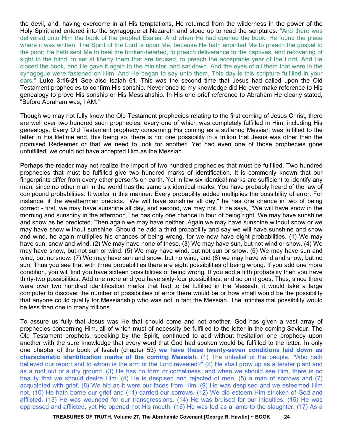the devil, and, having overcome in all His temptations, He returned from the wilderness in the power of the Holy Spirit and entered into the synagogue at Nazareth and stood up to read the scriptures. "And there was delivered unto Him the book of the prophet Esaias. And when He had opened the book, He found the place where it was written, The Spirit of the Lord is upon Me, because He hath anointed Me to preach the gospel to the poor; He hath sent Me to heal the broken-hearted, to preach deliverance to the captives, and recovering of sight to the blind, to set at liberty them that are bruised, to preach the acceptable year of the Lord. And He closed the book, and He gave it again to the minister, and sat down. And the eyes of all them that were in the synagogue were fastened on Him. And He began to say unto them, This day is this scripture fulfilled in your ears." **Luke 3:16-21** See also Isaiah 61. This was the second time that Jesus had called upon the Old Testament prophecies to confirm His sonship. Never once to my knowledge did He ever make reference to His genealogy to prove His sonship or His Messiahship. In His one brief reference to Abraham He clearly stated, "Before Abraham was, I AM."

Though we may not fully know the Old Testament prophecies relating to the first coming of Jesus Christ, there are well over two hundred such prophecies, every one of which was completely fulfilled in Him, including His genealogy. Every Old Testament prophecy concerning His coming as a suffering Messiah was fulfilled to the letter in His lifetime and, this being so, there is not one possibility in a trillion that Jesus was other than the promised Redeemer or that we need to look for another. Yet had even one of those prophecies gone unfulfilled, we could not have accepted Him as the Messiah.

Perhaps the reader may not realize the import of two hundred prophecies that must be fulfilled. Two hundred prophecies that must be fulfilled give two hundred marks of identification. It is commonly known that our fingerprints differ from every other person's on earth. Yet in law six identical marks are sufficient to identify any man, since no other man in the world has the same six identical marks. You have probably heard of the law of compound probabilities. It works in this manner: Every probability added multiplies the possibility of error. For instance, if the weatherman predicts, "We will have sunshine all day," he has one chance in two of being correct - first, we may have sunshine all day, and second, we may not. If he says,' 'We will have snow in the morning and sunshiny in the afternoon," he has only one chance in four of being right. We may have sunshine and snow as he predicted. Then again we may have neither. Again we may have sunshine without snow or we may have snow without sunshine. Should he add a third probability and say we will have sunshine and snow and wind, he again multiplies his chances of being wrong, for we now have eight probabilities. (1) We may have sun, snow and wind. (2) We may have none of these. (3) We may have sun, but not wind or snow. (4) We may have snow, but not sun or wind. (5) We may have wind, but not sun or snow. (6) We may have sun and wind, but no snow. (7) We may have sun and snow, but no wind, and (8) we may have wind and snow, but no sun. Thus you see that with three probabilities there are eight possibilities of being wrong. If you add one more condition, you will find you have sixteen possibilities of being wrong. If you add a fifth probability then you have thirty-two possibilities. Add one more and you have sixty-four possibilities, and so on it goes. Thus, since there were over two hundred identification marks that had to be fulfilled in the Messiah, it would take a large computer to discover the number of possibilities of error there would be or how small would be the possibility that anyone could qualify for Messiahship who was not in fact the Messiah. The infinitesimal possibility would be less than one in many trillions.

To assure us fully that Jesus was He that should come and not another, God has given a vast array of prophecies concerning Him, all of which must of necessity be fulfilled to the letter in the coming Saviour. The Old Testament prophets, speaking by the Spirit, continued to add without hesitation one prophecy upon another with the sure knowledge that every word that God had spoken would be fulfilled to the letter. In only one chapter of the book of Isaiah (chapter 53) **we have these twenty-seven conditions laid down as characteristic identification marks of the coming Messiah.** (1) The unbelief of the people. "Who hath believed our report and to whom is the arm of the Lord revealed?" (2) He shall grow up as a tender plant and as a root out of a dry ground. (3) He has no form or comeliness, and when we should see Him, there is no beauty that we should desire Him. (4) He is despised and rejected of men. (5) a man of sorrows and (7) acquainted with grief. (8) We hid as it were our faces from Him. (9) He was despised and we esteemed Him not. (10) He hath borne our grief and (11) carried our sorrows. (12) We did esteem Him stricken of God and afflicted. (13) He was wounded for our transgressions. (14) He was bruised for our iniquities. (15) He was oppressed and afflicted, yet He opened not His mouth. (16) He was led as a lamb to the slaughter. (17) As a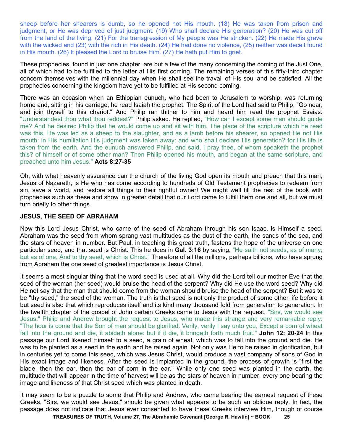sheep before her shearers is dumb, so he opened not His mouth. (18) He was taken from prison and judgment, or He was deprived of just judgment. (19) Who shall declare His generation? (20) He was cut off from the land of the living. (21) For the transgression of My people was He stricken. (22) He made His grave with the wicked and (23) with the rich in His death. (24) He had done no violence, (25) neither was deceit found in His mouth. (26) It pleased the Lord to bruise Him. (27) He hath put Him to grief.

These prophecies, found in just one chapter, are but a few of the many concerning the coming of the Just One, all of which had to be fulfilled to the letter at His first coming. The remaining verses of this fifty-third chapter concern themselves with the millennial day when He shall see the travail of His soul and be satisfied. All the prophecies concerning the kingdom have yet to be fulfilled at His second coming.

There was an occasion when an Ethiopian eunuch, who had been to Jerusalem to worship, was returning home and, sitting in his carriage, he read Isaiah the prophet. The Spirit of the Lord had said to Philip, "Go near, and join thyself to this chariot." And Philip ran thither to him and heard him read the prophet Esaias. "Understandest thou what thou reddest?" Philip asked. He replied, "How can I except some man should guide me? And he desired Philip that he would come up and sit with him. The place of the scripture which he read was this, He was led as a sheep to the slaughter, and as a lamb before his shearer, so opened He not His mouth: in His humiliation His judgment was taken away: and who shall declare His generation? for His life is taken from the earth. And the eunuch answered Philip, and said, I pray thee, of whom speaketh the prophet this? of himself or of some other man? Then Philip opened his mouth, and began at the same scripture, and preached unto him Jesus." **Acts 8:27-35**

Oh, with what heavenly assurance can the church of the living God open its mouth and preach that this man, Jesus of Nazareth, is He who has come according to hundreds of Old Testament prophecies to redeem from sin, save a world, and restore all things to their rightful owner! We might well fill the rest of the book with prophecies such as these and show in greater detail that our Lord came to fulfill them one and all, but we must turn briefly to other things.

#### **JESUS, THE SEED OF ABRAHAM**

Now this Lord Jesus Christ, who came of the seed of Abraham through his son Isaac, is Himself a seed. Abraham was the seed from whom sprang vast multitudes as the dust of the earth, the sands of the sea, and the stars of heaven in number. But Paul, in teaching this great truth, fastens the hope of the universe on one particular seed, and that seed is Christ. This he does in **Gal. 3:16** by saying, "He saith not seeds, as of many; but as of one, And to thy seed, which is Christ." Therefore of all the millions, perhaps billions, who have sprung from Abraham the one seed of greatest importance is Jesus Christ.

It seems a most singular thing that the word seed is used at all. Why did the Lord tell our mother Eve that the seed of the woman (her seed) would bruise the head of the serpent? Why did He use the word seed? Why did He not say that the man that should come from the woman should bruise the head of the serpent? But it was to be "thy seed," the seed of the woman. The truth is that seed is not only the product of some other life before it but seed is also that which reproduces itself and its kind many thousand fold from generation to generation. In the twelfth chapter of the gospel of John certain Greeks came to Jesus with the request, "Sirs, we would see Jesus." Philip and Andrew brought the request to Jesus, who made this strange and very remarkable reply: "The hour is come that the Son of man should be glorified. Verily, verily I say unto you, Except a corn of wheat fall into the ground and die, it abideth alone: but if it die, it bringeth forth much fruit." **John 12: 20-24** In this passage our Lord likened Himself to a seed, a grain of wheat, which was to fall into the ground and die. He was to be planted as a seed in the earth and be raised again. Not only was He to be raised in glorification, but in centuries yet to come this seed, which was Jesus Christ, would produce a vast company of sons of God in His exact image and likeness. After the seed is implanted in the ground, the process of growth is "first the blade, then the ear, then the ear of corn in the ear." While only one seed was planted in the earth, the multitude that will appear in the time of harvest will be as the stars of heaven in number, every one bearing the image and likeness of that Christ seed which was planted in death.

It may seem to be a puzzle to some that Philip and Andrew, who came bearing the earnest request of these Greeks, "Sirs, we would see Jesus," should be given what appears to be such an oblique reply. In fact, the passage does not indicate that Jesus ever consented to have these Greeks interview Him, though of course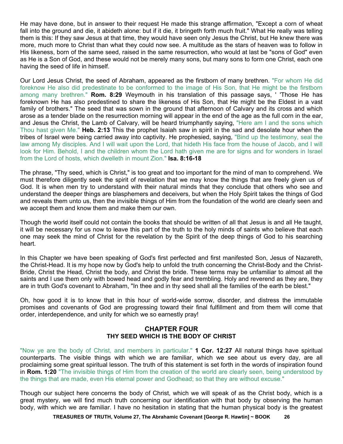He may have done, but in answer to their request He made this strange affirmation, "Except a corn of wheat fall into the ground and die, it abideth alone: but if it die, it bringeth forth much fruit." What He really was telling them is this: If they saw Jesus at that time, they would have seen only Jesus the Christ, but He knew there was more, much more to Christ than what they could now see. A multitude as the stars of heaven was to follow in His likeness, born of the same seed, raised in the same resurrection, who would at last be "sons of God" even as He is a Son of God, and these would not be merely many sons, but many sons to form one Christ, each one having the seed of life in himself.

Our Lord Jesus Christ, the seed of Abraham, appeared as the firstborn of many brethren. "For whom He did foreknow He also did predestinate to be conformed to the image of His Son, that He might be the firstborn among many brethren." **Rom. 8:29** Weymouth in his translation of this passage says, ' 'Those He has foreknown He has also predestined to share the likeness of His Son, that He might be the Eldest in a vast family of brothers." The seed that was sown in the ground that afternoon of Calvary and its cross and which arose as a tender blade on the resurrection morning will appear in the end of the age as the full corn in the ear, and Jesus the Christ, the Lamb of Calvary, will be heard triumphantly saying, "Here am I and the sons which Thou hast given Me." **Heb. 2:13** This the prophet Isaiah saw in spirit in the sad and desolate hour when the tribes of Israel were being carried away into captivity. He prophesied, saying, "Bind up the testimony, seal the law among My disciples. And I will wait upon the Lord, that hideth His face from the house of Jacob, and I will look for Him. Behold, I and the children whom the Lord hath given me are for signs and for wonders in Israel from the Lord of hosts, which dwelleth in mount Zion." **Isa. 8:16-18**

The phrase, "Thy seed, which is Christ," is too great and too important for the mind of man to comprehend. We must therefore diligently seek the spirit of revelation that we may know the things that are freely given us of God. It is when men try to understand with their natural minds that they conclude that others who see and understand the deeper things are blasphemers and deceivers, but when the Holy Spirit takes the things of God and reveals them unto us, then the invisible things of Him from the foundation of the world are clearly seen and we accept them and know them and make them our own.

Though the world itself could not contain the books that should be written of all that Jesus is and all He taught, it will be necessary for us now to leave this part of the truth to the holy minds of saints who believe that each one may seek the mind of Christ for the revelation by the Spirit of the deep things of God to his searching heart.

In this Chapter we have been speaking of God's first perfected and first manifested Son, Jesus of Nazareth, the Christ-Head. It is my hope now by God's help to unfold the truth concerning the Christ-Body and the Christ-Bride, Christ the Head, Christ the body, and Christ the bride. These terms may be unfamiliar to almost all the saints and I use them only with bowed head and godly fear and trembling. Holy and reverend as they are, they are in truth God's covenant to Abraham, "In thee and in thy seed shall all the families of the earth be blest."

Oh, how good it is to know that in this hour of world-wide sorrow, disorder, and distress the immutable promises and covenants of God are progressing toward their final fulfillment and from them will come that order, interdependence, and unity for which we so earnestly pray!

# **CHAPTER FOUR THY SEED WHICH IS THE BODY OF CHRIST**

"Now ye are the body of Christ, and members in particular." **1 Cor. 12:27** All natural things have spiritual counterparts. The visible things with which we are familiar, which we see about us every day, are all proclaiming some great spiritual lesson. The truth of this statement is set forth in the words of inspiration found in **Rom. 1:20** "The invisible things of Him from the creation of the world are clearly seen, being understood by the things that are made, even His eternal power and Godhead; so that they are without excuse."

Though our subject here concerns the body of Christ, which we will speak of as the Christ body, which is a great mystery, we will find much truth concerning our identification with that body by observing the human body, with which we are familiar. I have no hesitation in stating that the human physical body is the greatest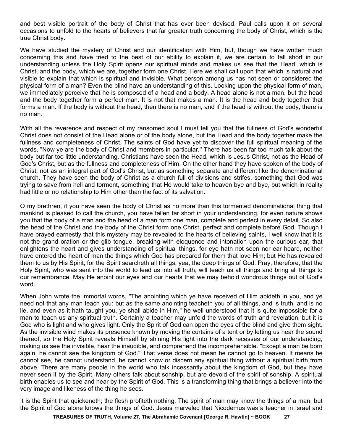and best visible portrait of the body of Christ that has ever been devised. Paul calls upon it on several occasions to unfold to the hearts of believers that far greater truth concerning the body of Christ, which is the true Christ body.

We have studied the mystery of Christ and our identification with Him, but, though we have written much concerning this and have tried to the best of our ability to explain it, we are certain to fall short in our understanding unless the Holy Spirit opens our spiritual minds and makes us see that the Head, which is Christ, and the body, which we are, together form one Christ. Here we shall call upon that which is natural and visible to explain that which is spiritual and invisible. What person among us has not seen or considered the physical form of a man? Even the blind have an understanding of this. Looking upon the physical form of man, we immediately perceive that he is composed of a head and a body. A head alone is not a man, but the head and the body together form a perfect man. It is not that makes a man. It is the head and body together that forms a man. If the body is without the head, then there is no man, and if the head is without the body, there is no man.

With all the reverence and respect of my ransomed soul I must tell you that the fullness of God's wonderful Christ does not consist of the Head alone or of the body alone, but the Head and the body together make the fullness and completeness of Christ. The saints of God have yet to discover the full spiritual meaning of the words, "Now ye are the body of Christ and members in particular.'' There has been far too much talk about the body but far too little understanding. Christians have seen the Head, which is Jesus Christ, not as the Head of God's Christ, but as the fullness and completeness of Him. On the other hand they have spoken of the body of Christ, not as an integral part of God's Christ, but as something separate and different like the denominational church. They have seen the body of Christ as a church full of divisions and strifes, something that God was trying to save from hell and torment, something that He would take to heaven bye and bye, but which in reality had little or no relationship to Him other than the fact of its salvation.

O my brethren, if you have seen the body of Christ as no more than this tormented denominational thing that mankind is pleased to call the church, you have fallen far short in your understanding, for even nature shows you that the body of a man and the head of a man form one man, complete and perfect in every detail. So also the head of the Christ and the body of the Christ form one Christ, perfect and complete before God. Though I have prayed earnestly that this mystery may be revealed to the hearts of believing saints, I well know that it is not the grand oration or the glib tongue, breaking with eloquence and intonation upon the curious ear, that enlightens the heart and gives understanding of spiritual things, for eye hath not seen nor ear heard, neither have entered the heart of man the things which God has prepared for them that love Him; but He has revealed them to us by His Spirit, for the Spirit searcheth all things, yea, the deep things of God. Pray, therefore, that the Holy Spirit, who was sent into the world to lead us into all truth, will teach us all things and bring all things to our remembrance. May He anoint our eyes and our hearts that we may behold wondrous things out of God's word.

When John wrote the immortal words, "The anointing which ye have received of Him abideth in you, and ye need not that any man teach you: but as the same anointing teacheth you of all things, and is truth, and is no lie, and even as it hath taught you, ye shall abide in Him," he well understood that it is quite impossible for a man to teach us any spiritual truth. Certainly a teacher may unfold the words of truth and revelation, but it is God who is light and who gives light. Only the Spirit of God can open the eyes of the blind and give them sight. As the invisible wind makes its presence known by moving the curtains of a tent or by letting us hear the sound thereof, so the Holy Spirit reveals Himself by shining His light into the dark recesses of our understanding, making us see the invisible, hear the inaudible, and comprehend the incomprehensible. "Except a man be born again, he cannot see the kingdom of God." That verse does not mean he cannot go to heaven. It means he cannot see, he cannot understand, he cannot know or discern any spiritual thing without a spiritual birth from above. There are many people in the world who talk incessantly about the kingdom of God, but they have never seen it by the Spirit. Many others talk about sonship, but are devoid of the spirit of sonship. A spiritual birth enables us to see and hear by the Spirit of God. This is a transforming thing that brings a believer into the very image and likeness of the thing he sees.

It is the Spirit that quickeneth; the flesh profiteth nothing. The spirit of man may know the things of a man, but the Spirit of God alone knows the things of God. Jesus marveled that Nicodemus was a teacher in Israel and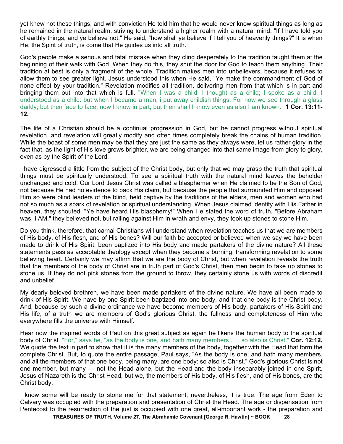yet knew not these things, and with conviction He told him that he would never know spiritual things as long as he remained in the natural realm, striving to understand a higher realm with a natural mind. "If I have told you of earthly things, and ye believe not," He said, "how shall ye believe if I tell you of heavenly things?" It is when He, the Spirit of truth, is come that He guides us into all truth.

God's people make a serious and fatal mistake when they cling desperately to the tradition taught them at the beginning of their walk with God. When they do this, they shut the door for God to teach them anything. Their tradition at best is only a fragment of the whole. Tradition makes men into unbelievers, because it refuses to allow them to see greater light. Jesus understood this when He said, "Ye make the commandment of God of none effect by your tradition." Revelation modifies all tradition, delivering men from that which is in part and bringing them out into that which is full. "When I was a child, I thought as a child; I spoke as a child; I understood as a child: but when I became a man, i put away childish things. For now we see through a glass darkly; but then face to face: now I know in part; but then shall I know even as also I am known." **1 Cor. 13:11- 12.** 

The life of a Christian should be a continual progression in God, but he cannot progress without spiritual revelation, and revelation will greatly modify and often times completely break the chains of human tradition. While the boast of some men may be that they are just the same as they always were, let us rather glory in the fact that, as the light of His love grows brighter, we are being changed into that same image from glory to glory, even as by the Spirit of the Lord.

I have digressed a little from the subject of the Christ body, but only that we may grasp the truth that spiritual things must be spiritually understood. To see a spiritual truth with the natural mind leaves the beholder unchanged and cold. Our Lord Jesus Christ was called a blasphemer when He claimed to be the Son of God, not because He had no evidence to back His claim, but because the people that surrounded Him and opposed Him so were blind leaders of the blind, held captive by the traditions of the elders, men and women who had not so much as a spark of revelation or spiritual understanding. When Jesus claimed identity with His Father in heaven, they shouted, "Ye have heard His blasphemy!" When He stated the word of truth, "Before Abraham was, I AM," they believed not, but railing against Him in wrath and envy, they took up stones to stone Him.

Do you think, therefore, that carnal Christians will understand when revelation teaches us that we are members of His body, of His flesh, and of His bones? Will our faith be accepted or believed when we say we have been made to drink of His Spirit, been baptized into His body and made partakers of the divine nature? All these statements pass as acceptable theology except when they become a burning, transforming revelation to some believing heart. Certainly we may affirm that we are the body of Christ, but when revelation reveals the truth that the members of the body of Christ are in truth part of God's Christ, then men begin to take up stones to stone us. If they do not pick stones from the ground to throw, they certainly stone us with words of discredit and unbelief.

My dearly beloved brethren, we have been made partakers of the divine nature. We have all been made to drink of His Spirit. We have by one Spirit been baptized into one body, and that one body is the Christ body. And, because by such a divine ordinance we have become members of His body, partakers of His Spirit and His life, of a truth we are members of God's glorious Christ, the fullness and completeness of Him who everywhere fills the universe with Himself.

Hear now the inspired words of Paul on this great subject as again he likens the human body to the spiritual body of Christ. "For," says he, "as the body is one, and hath many members . . . so also is Christ." **Cor. 12:12.** We quote the text in part to show that it is the many members of the body, together with the Head that form the complete Christ. But, to quote the entire passage, Paul says, "As the body is one, and hath many members, and all the members of that one body, being many, are one body: so also is Christ." God's glorious Christ is not one member, but many — not the Head alone, but the Head and the body inseparably joined in one Spirit. Jesus of Nazareth is the Christ Head, but we, the members of His body, of His flesh, and of His bones, are the Christ body.

I know some will be ready to stone me for that statement; nevertheless, it is true. The age from Eden to Calvary was occupied with the preparation and presentation of Christ the Head. The age or dispensation from Pentecost to the resurrection of the just is occupied with one great, all-important work - the preparation and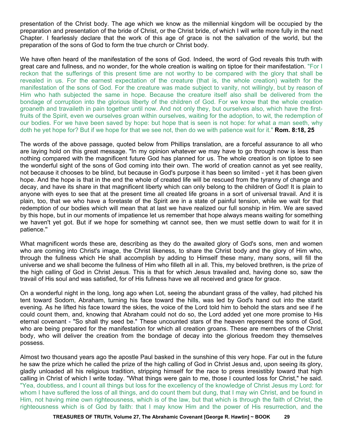presentation of the Christ body. The age which we know as the millennial kingdom will be occupied by the preparation and presentation of the bride of Christ, or the Christ bride, of which I will write more fully in the next Chapter. I fearlessly declare that the work of this age of grace is not the salvation of the world, but the preparation of the sons of God to form the true church or Christ body.

We have often heard of the manifestation of the sons of God. Indeed, the word of God reveals this truth with great care and fullness, and no wonder, for the whole creation is waiting on tiptoe for their manifestation. "For I reckon that the sufferings of this present time are not worthy to be compared with the glory that shall be revealed in us. For the earnest expectation of the creature (that is, the whole creation) waiteth for the manifestation of the sons of God. For the creature was made subject to vanity, not willingly, but by reason of Him who hath subjected the same in hope. Because the creature itself also shall be delivered from the bondage of corruption into the glorious liberty of the children of God. For we know that the whole creation groaneth and travaileth in pain together until now. And not only they, but ourselves also, which have the firstfruits of the Spirit, even we ourselves groan within ourselves, waiting for the adoption, to wit, the redemption of our bodies. For we have been saved by hope: but hope that is seen is not hope: for what a man seeth, why doth he yet hope for? But if we hope for that we see not, then do we with patience wait for it." **Rom. 8:18, 25**

The words of the above passage, quoted below from Phillips translation, are a forceful assurance to all who are laying hold on this great message. "In my opinion whatever we may have to go through now is less than nothing compared with the magnificent future God has planned for us. The whole creation is on tiptoe to see the wonderful sight of the sons of God coming into their own. The world of creation cannot as yet see reality, not because it chooses to be blind, but because in God's purpose it has been so limited - yet it has been given hope. And the hope is that in the end the whole of created life will be rescued from the tyranny of change and decay, and have its share in that magnificent liberty which can only belong to the children of God! It is plain to anyone with eyes to see that at the present time all created life groans in a sort of universal travail. And it is plain, too, that we who have a foretaste of the Spirit are in a state of painful tension, while we wait for that redemption of our bodies which will mean that at last we have realized our full sonship in Him. We are saved by this hope, but in our moments of impatience let us remember that hope always means waiting for something we haven't yet got. But if we hope for something wt cannot see, then we must settle down to wait for it in patience.''

What magnificent words these are, describing as they do the awaited glory of God's sons, men and women who are coming into Christ's image, the Christ likeness, to share the Christ body and the glory of Him who, through the fullness which He shall accomplish by adding to Himself these many, many sons, will fill the universe and we shall become the fullness of Him who filleth all in all. This, my beloved brethren, is the prize of the high calling of God in Christ Jesus. This is that for which Jesus travailed and, having done so, saw the travail of His soul and was satisfied, for of His fullness have we all received and grace for grace.

On a wonderful night in the long, long ago when Lot, seeing the abundant grass of the valley, had pitched his tent toward Sodom, Abraham, turning his face toward the hills, was led by God's hand out into the starlit evening. As he lifted his face toward the skies, the voice of the Lord told him to behold the stars and see if he could count them, and, knowing that Abraham could not do so, the Lord added yet one more promise to His eternal covenant - "So shall thy seed be." These uncounted stars of the heaven represent the sons of God, who are being prepared for the manifestation for which all creation groans. These are members of the Christ body, who will deliver the creation from the bondage of decay into the glorious freedom they themselves possess.

Almost two thousand years ago the apostle Paul basked in the sunshine of this very hope. Far out in the future he saw the prize which he called the prize of the high calling of God in Christ Jesus and, upon seeing its glory, gladly unloaded all his religious tradition, stripping himself for the race to press irresistibly toward that high calling in Christ of which I write today. "What things were gain to me, those I counted loss for Christ," he said. "Yea, doubtless, and I count all things but loss for the excellency of the knowledge of Christ Jesus my Lord: for whom I have suffered the loss of all things, and do count them but dung, that I may win Christ, and be found in Him, not having mine own righteousness, which is of the law, but that which is through the faith of Christ, the righteousness which is of God by faith: that I may know Him and the power of His resurrection, and the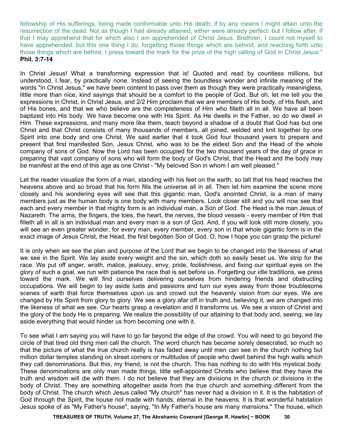fellowship of His sufferings, being made conformable unto His death; if by any means I might attain unto the resurrection of the dead. Not as though I had already attained, either were already perfect: but I follow after, if that I may apprehend that for which also I am apprehended of Christ Jesus. Brethren, I count not myself to have apprehended: but this one thing I do, forgetting those things which are behind, and reaching forth unto those things which are before, I press toward the mark for the prize of the high calling of God in Christ Jesus." **Phil. 3:7-14** 

In Christ Jesus! What a transforming expression that is! Quoted and read by countless millions, but understood, I fear, by practically none. Instead of seeing the boundless wonder and infinite meaning of the words "in Christ Jesus," we have been content to pass over them as though they were practically meaningless, little more than nice, kind sayings that should be a comfort to the people of God. But oh, let me tell you the expressions in Christ, in Christ Jesus, and 2/2 Him proclaim that we are members of His body, of His flesh, and of His bones, and that we who believe are the completeness of Him who filleth all in all. We have all been baptized into His body. We have become one with His Spirit. As He dwells in the Father, so do we dwell in Him. These expressions, and many more like them, teach beyond a shadow of a doubt that God has but one Christ and that Christ consists of many thousands of members, all joined, welded and knit together by one Spirit into one body and one Christ. We said earlier that it took God four thousand years to prepare and present that first manifested Son, Jesus Christ, who was to be the eldest Son and the Head of the whole company of sons of God. Now the Lord has been occupied for the two thousand years of the day of grace in preparing that vast company of sons who will form the body of God's Christ, that the Head and the body may be manifest at the end of this age as one Christ - "My beloved Son in whom I am well pleased."

Let the reader visualize the form of a man, standing with his feet on the earth, so tall that his head reaches the heavens above and so broad that his form fills the universe all in all. Then let him examine the scene more closely and his wondering eyes will see that this gigantic man, God's anointed Christ, is a man of many members just as the human body is one body with many members. Look closer still and you will now see that each and every member in that mighty form is an individual man, a Son of God. The Head is the man Jesus of Nazareth. The arms, the fingers, the toes, the heart, the nerves, the blood vessels - every member of Him that filleth all in all is an individual man and every man is a son of God. And, if you will look still more closely, you will see an even greater wonder, for every man, every member, every son in that whole gigantic form is in the exact image of Jesus Christ, the Head, the first begotten Son of God. O, how I hope you can grasp the picture!

It is only when we see the plan and purpose of the Lord that we begin to be changed into the likeness of what we see in the Spirit. We lay aside every weight and the sin, which doth so easily beset us. We strip for the race. We put off anger, wrath, malice, jealousy, envy, pride, foolishness, and fixing our spiritual eyes on the glory of such a goal, we run with patience the race that is set before us. Forgetting our idle traditions, we press toward the mark. We will find ourselves delivering ourselves from hindering friends and obstructing occupations. We will begin to lay aside lusts and passions and turn our eyes away from those troublesome scenes of earth that force themselves upon us and crowd out the heavenly vision from our eyes. We are changed by His Spirit from glory to glory. We see a glory afar off in truth and, believing it, we are changed into the likeness of what we see. Our hearts grasp a revelation and it transforms us. We see a vision of Christ and the glory of the body He is preparing. We realize the possibility of our attaining to that body and, seeing, we lay aside everything that would hinder us from becoming one with it.

To see what I am saying you will have to go far beyond the edge of the crowd. You will need to go beyond the circle of that tired old thing men call the church. The word church has become sorely desecrated, so much so that the picture of what the true church really is has faded away until men can see in the church nothing but million dollar temples standing on street corners or multitudes of people who dwell behind the high walls which they call denominations. But this, my friend, is not the church. This has nothing to do with His mystical body. These denominations are only man made things, little self-appointed Christs who believe that they have the truth and wisdom will die with them. I do not believe that they are divisions in the church or divisions in the body of Christ. They are something altogether aside from the true church and something different from the body of Christ. The church which Jesus called "My church" has never had a division in it. It is the habitation of God through the Spirit, the house not made with hands, eternal in the heavens. It is that wonderful habitation Jesus spoke of as "My Father's house", saying, "In My Father's house are many mansions." The house, which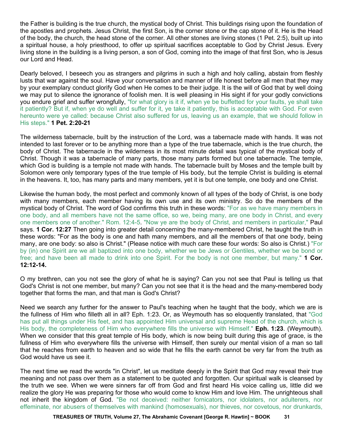the Father is building is the true church, the mystical body of Christ. This buildings rising upon the foundation of the apostles and prophets. Jesus Christ, the first Son, is the corner stone or the cap stone of it. He is the Head of the body, the church, the head stone of the corner. All other stones are living stones (1 Pet. 2:5), built up into a spiritual house, a holy priesthood, to offer up spiritual sacrifices acceptable to God by Christ Jesus. Every living stone in the building is a living person, a son of God, coming into the image of that first Son, who is Jesus our Lord and Head.

Dearly beloved, I beseech you as strangers and pilgrims in such a high and holy calling, abstain from fleshly lusts that war against the soul. Have your conversation and manner of life honest before all men that they may by your exemplary conduct glorify God when He comes to be their judge. It is the will of God that by well doing we may put to silence the ignorance of foolish men. It is well pleasing in His sight if for your godly convictions you endure grief and suffer wrongfully, "for what glory is it if, when ye be buffetted for your faults, ye shall take it patiently? But if, when ye do well and suffer for it, ye take it patiently, this is acceptable with God. For even hereunto were ye called: because Christ also suffered for us, leaving us an example, that we should follow in His steps." **1 Pet. 2:20-21**

The wilderness tabernacle, built by the instruction of the Lord, was a tabernacle made with hands. It was not intended to last forever or to be anything more than a type of the true tabernacle, which is the true church, the body of Christ. The tabernacle in the wilderness in its most minute detail was typical of the mystical body of Christ. Though it was a tabernacle of many parts, those many parts formed but one tabernacle. The temple, which God is building is a temple not made with hands. The tabernacle built by Moses and the temple built by Solomon were only temporary types of the true temple of His body, but the temple Christ is building is eternal in the heavens. It, too, has many parts and many members, yet it is but one temple, one body and one Christ.

Likewise the human body, the most perfect and commonly known of all types of the body of Christ, is one body with many members, each member having its own use and its own ministry. So do the members of the mystical body of Christ. The word of God confirms this truth in these words: "For as we have many members in one body, and all members have not the same office, so we, being many, are one body in Christ, and every one members one of another." Rom. 12:4-5. "Now ye are the body of Christ, and members in particular," Paul says. **1 Cor. 12:27** Then going into greater detail concerning the many-membered Christ, he taught the truth in these words: "For as the body is one and hath many members, and all the members of that one body, being many, are one body: so also is Christ." (Please notice with much care these four words: So also is Christ.) "For by (in) one Spirit are we all baptized into one body, whether we be Jews or Gentiles, whether we be bond or free; and have been all made to drink into one Spirit. For the body is not one member, but many." **1 Cor. 12:12-14.**

O my brethren, can you not see the glory of what he is saying? Can you not see that Paul is telling us that God's Christ is not one member, but many? Can you not see that it is the head and the many-membered body together that forms the man, and that man is God's Christ?

Need we search any further for the answer to Paul's teaching when he taught that the body, which we are is the fullness of Him who filleth all in all? Eph. 1:23. Or, as Weymouth has so eloquently translated, that "God has put all things under His feet, and has appointed Him universal and supreme Head of the church, which is His body, the completeness of Him who everywhere fills the universe with Himself." **Eph. 1:23**. (Weymouth). When we consider that this great temple of His body, which is now being built during this age of grace, is the fullness of Him who everywhere fills the universe with Himself, then surely our mental vision of a man so tall that he reaches from earth to heaven and so wide that he fills the earth cannot be very far from the truth as God would have us see it.

The next time we read the words "in Christ", let us meditate deeply in the Spirit that God may reveal their true meaning and not pass over them as a statement to be quoted and forgotten. Our spiritual walk is cleansed by the truth we see. When we were sinners far off from God and first heard His voice calling us, little did we realize the glory He was preparing for those who would come to know Him and love Him. The unrighteous shall not inherit the kingdom of God. "Be not deceived: neither fornicators, nor idolaters, nor adulterers, nor effeminate, nor abusers of themselves with mankind (homosexuals), nor thieves, nor covetous, nor drunkards,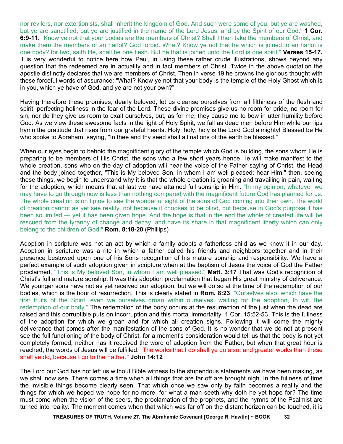nor revilers, nor extortionists, shall inherit the kingdom of God. And such were some of you: but ye are washed, but ye are sanctified, but ye are justified in the name of the Lord Jesus, and by the Spirit of our God." **1 Cor. 6:9-11.** "Know ye not that your bodies are the members of Christ? Shall I then take the members of Christ, and make them the members of an harlot? God forbid. What? Know ye not that he which is joined to an harlot is one body? for two, saith He, shall be one flesh. But he that is joined unto the Lord is one spirit." **Verses 15-17.** It is very wonderful to notice here how Paul, in using these rather crude illustrations, shows beyond any question that the redeemed are in actuality and in fact members of Christ. Twice in the above quotation the apostle distinctly declares that we are members of Christ. Then in verse 19 he crowns the glorious thought with these forceful words of assurance: "What? Know ye not that your body is the temple of the Holy Ghost which is in you, which ye have of God, and ye are not your own?"

Having therefore these promises, dearly beloved, let us cleanse ourselves from all filthiness of the flesh and spirit, perfecting holiness in the fear of the Lord. These divine promises give us no room for pride, no room for sin, nor do they give us room to exalt ourselves, but, as for me, they cause me to bow in utter humility before God. As we view these awesome facts in the light of Holy Spirit, we fall as dead men before Him while our lips hymn the gratitude that rises from our grateful hearts. Holy, holy, holy is the Lord God almighty! Blessed be He who spoke to Abraham, saying, "In thee and thy seed shall all nations of the earth be blessed."

When our eyes begin to behold the magnificent glory of the temple which God is building, the sons whom He is preparing to be members of His Christ, the sons who a few short years hence He will make manifest to the whole creation, sons who on the day of adoption will hear the voice of the Father saying of Christ, the Head and the body joined together, "This is My beloved Son, in whom I am well pleased; hear Him," then, seeing these things, we begin to understand why it is that the whole creation is groaning and travailing in pain, waiting for the adoption, which means that at last we have attained full sonship in Him. "In my opinion, whatever we may have to go through now is less than nothing compared with the magnificent future God has planned for us. The whole creation is on tiptoe to see the wonderful sight of the sons of God coming into their own. The world of creation cannot as yet see reality, not because it chooses to be blind, but because in God's purpose it has been so limited — yet it has been given hope. And the hope is that in the end the whole of created life will be rescued from the tyranny of change and decay, and have its share in that magnificent liberty which can only belong to the children of God!" **Rom. 8:18-20** (Phillips)

Adoption in scripture was not an act by which a family adopts a fatherless child as we know it in our day. Adoption in scripture was a rite in which a father called his friends and neighbors together and in their presence bestowed upon one of his Sons recognition of his mature sonship and responsibility. We have a perfect example of such adoption given in scripture when at the baptism of Jesus the voice of God the Father proclaimed, "This is My beloved Son, in whom I am well pleased." **Matt. 3:17** That was God's recognition of Christ's full and mature sonship. It was this adoption proclamation that began His great ministry of deliverance. We younger sons have not as yet received our adoption, but we will do so at the time of the redemption of our bodies, which is the hour of resurrection. This is clearly stated in **Rom. 8:23**: "Ourselves also, which have the first fruits of the Spirit, even we ourselves groan within ourselves, waiting for the adoption, to wit, the redemption of our body." The redemption of the body occurs at the resurrection of the just when the dead are raised and this corruptible puts on incorruption and this mortal immortality. 1 Cor. 15:52-53 This is the fullness of the adoption for which we groan and for which all creation sighs. Following it will come the mighty deliverance that comes after the manifestation of the sons of God. It is no wonder that we do not at present see the full functioning of the body of Christ, for a moment's consideration would tell us that the body is not yet completely formed; neither has it received the word of adoption from the Father, but when that great hour is reached, the words of Jesus will be fulfilled: "The works that I do shall ye do also; and greater works than these shall ye do, because I go to the Father." **John 14:12**

The Lord our God has not left us without Bible witness to the stupendous statements we have been making, as we shall now see. There comes a time when all things that are far off are brought nigh. In the fullness of time the invisible things become clearly seen. That which once we saw only by faith becomes a reality and the things for which we hoped we hope for no more, for what a man seeth why doth he yet hope for? The time must come when the vision of the seers, the proclamation of the prophets, and the hymns of the Psalmist are turned into reality. The moment comes when that which was far off on the distant horizon can be touched, it is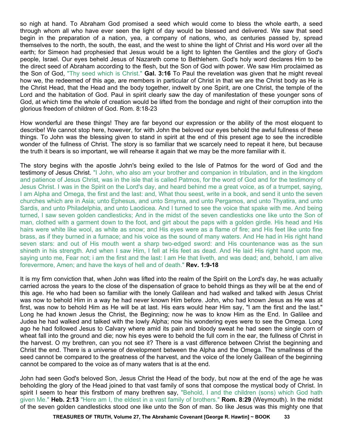so nigh at hand. To Abraham God promised a seed which would come to bless the whole earth, a seed through whom all who have ever seen the light of day would be blessed and delivered. We saw that seed begin in the preparation of a nation, yea, a company of nations, who, as centuries passed by, spread themselves to the north, the south, the east, and the west to shine the light of Christ and His word over all the earth; for Simeon had prophesied that Jesus would be a light to lighten the Gentiles and the glory of God's people, Israel. Our eyes beheld Jesus of Nazareth come to Bethlehem. God's holy word declares Him to be the direct seed of Abraham according to the flesh, but the Son of God with power. We saw Him proclaimed as the Son of God, "Thy seed which is Christ." **Gal. 3:16** To Paul the revelation was given that he might reveal how we, the redeemed of this age, are members in particular of Christ in that we are the Christ body as He is the Christ Head, that the Head and the body together, indwelt by one Spirit, are one Christ, the temple of the Lord and the habitation of God. Paul in spirit clearly saw the day of manifestation of these younger sons of God, at which time the whole of creation would be lifted from the bondage and night of their corruption into the glorious freedom of children of God. Rom. 8:18-23

How wonderful are these things! They are far beyond our expression or the ability of the most eloquent to describe! We cannot stop here, however, for with John the beloved our eyes behold the awful fullness of these things. To John was the blessing given to stand in spirit at the end of this present age to see the incredible wonder of the fullness of Christ. The story is so familiar that we scarcely need to repeat it here, but because the truth it bears is so important, we will rehearse it again that we may be the more familiar with it.

The story begins with the apostle John's being exiled to the Isle of Patmos for the word of God and the testimony of Jesus Christ. "I John, who also am your brother and companion in tribulation, and in the kingdom and patience of Jesus Christ, was in the isle that is called Patmos, for the word of God and for the testimony of Jesus Christ. I was in the Spirit on the Lord's day, and heard behind me a great voice, as of a trumpet, saying, I am Alpha and Omega, the first and the last: and, What thou seest, write in a book, and send it unto the seven churches which are in Asia; unto Ephesus, and unto Smyrna, and unto Pergamos, and unto Thyatira, and unto Sardis, and unto Philadelphia, and unto Laodicea. And I turned to see the voice that spake with me. And being turned, I saw seven golden candlesticks; And in the midst of the seven candlesticks one like unto the Son of man, clothed with a garment down to the foot, and girt about the paps with a golden girdle. His head and His hairs were white like wool, as white as snow; and His eyes were as a flame of fire; and His feet like unto fine brass, as if they burned in a furnace; and his voice as the sound of many waters. And He had in His right hand seven stars: and out of His mouth went a sharp two-edged sword: and His countenance was as the sun shineth in his strength. And when I saw Him, I fell at His feet as dead. And He laid His right hand upon me, saying unto me, Fear not; i am the first and the last: I am He that liveth, and was dead; and, behold, I am alive forevermore, Amen; and have the keys of hell and of death." **Rev. 1:9-18**

It is my firm conviction that, when John was lifted into the realm of the Spirit on the Lord's day, he was actually carried across the years to the close of the dispensation of grace to behold things as they will be at the end of this age. He who had been so familiar with the lonely Galilean and had walked and talked with Jesus Christ was now to behold Him in a way he had never known Him before. John, who had known Jesus as He was at first, was now to behold Him as He will be at last. His ears would hear Him say, "l am the first and the last." Long he had known Jesus the Christ, the Beginning; now he was to know Him as the End. In Galilee and Judea he had walked and talked with the lowly Alpha; now his wondering eyes were to see the Omega. Long ago he had followed Jesus to Calvary where amid its pain and bloody sweat he had seen the single corn of wheat fall into the ground and die; now his eyes were to behold the full corn in the ear, the fullness of Christ in the harvest. O my brethren, can you not see it? There is a vast difference between Christ the beginning and Christ the end. There is a universe of development between the Alpha and the Omega. The smallness of the seed cannot be compared to the greatness of the harvest, and the voice of the lonely Galilean of the beginning cannot be compared to the voice as of many waters that is at the end.

John had seen God's beloved Son, Jesus Christ the Head of the body, but now at the end of the age he was beholding the glory of the Head joined to that vast family of sons that compose the mystical body of Christ. In spirit I seem to hear this firstborn of many brethren say, "Behold, I and the children (sons) which God hath given Me." **Heb. 2:13** "Here am I, the eldest in a vast family of brothers." **Rom. 8:29** (Weymouth). In the midst of the seven golden candlesticks stood one like unto the Son of man. So like Jesus was this mighty one that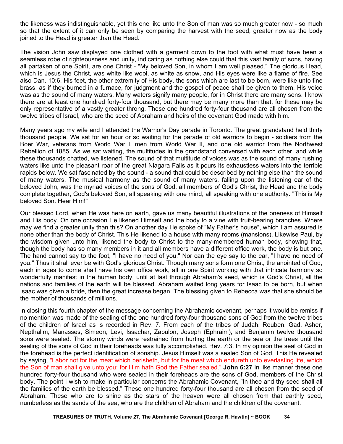the likeness was indistinguishable, yet this one like unto the Son of man was so much greater now - so much so that the extent of it can only be seen by comparing the harvest with the seed, greater now as the body joined to the Head is greater than the Head.

The vision John saw displayed one clothed with a garment down to the foot with what must have been a seamless robe of righteousness and unity, indicating as nothing else could that this vast family of sons, having all partaken of one Spirit, are one Christ - "My beloved Son, in whom I am well pleased." The glorious Head, which is Jesus the Christ, was white like wool, as white as snow, and His eyes were like a flame of fire. See also Dan. 10:6. His feet, the other extremity of His body, the sons which are last to be born, were like unto fine brass, as if they burned in a furnace, for judgment and the gospel of peace shall be given to them. His voice was as the sound of many waters. Many waters signify many people, for in Christ there are many sons. I know there are at least one hundred forty-four thousand, but there may be many more than that, for these may be only representative of a vastly greater throng. These one hundred forty-four thousand are all chosen from the twelve tribes of Israel, who are the seed of Abraham and heirs of the covenant God made with him.

Many years ago my wife and I attended the Warrior's Day parade in Toronto. The great grandstand held thirty thousand people. We sat for an hour or so waiting for the parade of old warriors to begin - soldiers from the Boer War, veterans from World War I, men from World War II, and one old warrior from the Northwest Rebellion of 1885. As we sat waiting, the multitudes in the grandstand conversed with each other, and while these thousands chatted, we listened. The sound of that multitude of voices was as the sound of many rushing waters like unto the pleasant roar of the great Niagara Falls as it pours its exhaustless waters into the terrible rapids below. We sat fascinated by the sound - a sound that could be described by nothing else than the sound of many waters. The musical harmony as the sound of many waters, falling upon the listening ear of the beloved John, was the myriad voices of the sons of God, all members of God's Christ, the Head and the body complete together, God's beloved Son, all speaking with one mind, all speaking with one authority. "This is My beloved Son. Hear Him!"

Our blessed Lord, when He was here on earth, gave us many beautiful illustrations of the oneness of Himself and His body. On one occasion He likened Himself and the body to a vine with fruit-bearing branches. Where may we find a greater unity than this? On another day He spoke of "My Father's house", which I am assured is none other than the body of Christ. This He likened to a house with many rooms (mansions). Likewise Paul, by the wisdom given unto him, likened the body to Christ to the many-membered human body, showing that, though the body has so many members in it and all members have a different office work, the body is but one. The hand cannot say to the foot, "I have no need of you." Nor can the eye say to the ear, "I have no need of you." Thus it shall ever be with God's glorious Christ. Though many sons form one Christ, the anointed of God, each in ages to come shall have his own office work, all in one Spirit working with that intricate harmony so wonderfully manifest in the human body, until at last through Abraham's seed, which is God's Christ, all the nations and families of the earth will be blessed. Abraham waited long years for Isaac to be born, but when Isaac was given a bride, then the great increase began. The blessing given to Rebecca was that she should be the mother of thousands of millions.

In closing this fourth chapter of the message concerning the Abrahamic covenant, perhaps it would be remiss if no mention was made of the sealing of the one hundred forty-four thousand sons of God from the twelve tribes of the children of Israel as is recorded in Rev. 7. From each of the tribes of Judah, Reuben, Gad, Asher, Nepthalim, Manasses, Simeon, Levi, Issachar, Zabulon, Joseph (Ephraim), and Benjamin twelve thousand sons were sealed. The stormy winds were restrained from hurting the earth or the sea or the trees until the sealing of the sons of God in their foreheads was fully accomplished. Rev. 7:3. In my opinion the seal of God in the forehead is the perfect identification of sonship. Jesus Himself was a sealed Son of God. This He revealed by saying, "Labor not for the meat which perisheth, but for the meat which endureth unto everlasting life, which the Son of man shall give unto you: for Him hath God the Father sealed." **John 6:27** In like manner these one hundred forty-four thousand who were sealed in their foreheads are the sons of God, members of the Christ body. The point I wish to make in particular concerns the Abrahamic Covenant, "In thee and thy seed shall all the families of the earth be blessed." These one hundred forty-four thousand are all chosen from the seed of Abraham. These who are to shine as the stars of the heaven were all chosen from that earthly seed, numberless as the sands of the sea, who are the children of Abraham and the children of the covenant.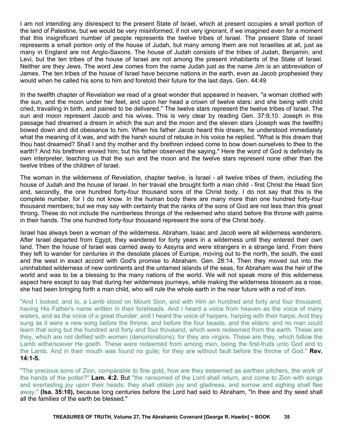I am not intending any disrespect to the present State of Israel, which at present occupies a small portion of the land of Palestine, but we would be very misinformed, if not very ignorant, if we imagined even for a moment that this insignificant number of people represents the twelve tribes of Israel. The present State of Israel represents a small portion only of the house of Judah, but many among them are not Israelites at all, just as many in England are not Anglo-Saxons. The house of Judah consists of the tribes of Judah, Benjamin, and Levi, but the ten tribes of the house of Israel are not among the present inhabitants of the State of Israel. Neither are they Jews. The word Jew comes from the name Judah just as the name Jim is an abbreviation of James. The ten tribes of the house of Israel have become nations in the earth, even as Jacob prophesied they would when he called his sons to him and foretold their future for the last days. Gen. 44:49

In the twelfth chapter of Revelation we read of a great wonder that appeared in heaven, "a woman clothed with the sun, and the moon under her feet, and upon her head a crown of twelve stars: and she being with child cried, travailing in birth, and pained to be delivered." The twelve stars represent the twelve tribes of Israel. The sun and moon represent Jacob and his wives. This is very clear by reading Gen. 37:9,10. Joseph in this passage had dreamed a dream in which the sun and the moon and the eleven stars (Joseph was the twelfth) bowed down and did obeisance to him. When his father Jacob heard this dream, he understood immediately what the meaning of it was, and with the harsh sound of rebuke in his voice he replied, "What is this dream that thou hast dreamed? Shall I and thy mother and thy brethren indeed come to bow down ourselves to thee to the earth? And his brethren envied him; but his father observed the saying." Here the word of God is definitely its own interpreter, teaching us that the sun and the moon and the twelve stars represent none other than the twelve tribes of the children of Israel.

The woman in the wilderness of Revelation, chapter twelve, is Israel - all twelve tribes of them, including the house of Judah and the house of Israel. In her travail she brought forth a man child - first Christ the Head Son and, secondly, the one hundred forty-four thousand sons of the Christ body. I do not say that this is the complete number, for I do not know. In the human body there are many more than one hundred forty-four thousand members; but we may say with certainty that the ranks of the sons of God are not less than this great throng. These do not include the numberless throngs of the redeemed who stand before the throne with palms in their hands. The one hundred forty-four thousand represent the sons of the Christ body.

Israel has always been a woman of the wilderness. Abraham, Isaac and Jacob were all wilderness wanderers. After Israel departed from Egypt, they wandered for forty years in a wilderness until they entered their own land. Then the house of Israel was carried away to Assyria and were strangers in a strange land. From there they left to wander for centuries in the desolate places of Europe, moving out to the north, the south, the east and the west in exact accord with God's promise to Abraham. Gen. 28:14. Then they moved out into the uninhabited wilderness of new continents and the untamed islands of the seas, for Abraham was the heir of the world and was to be a blessing to the many nations of the world. We will not speak more of this wilderness aspect here except to say that during her wilderness journeys, while making the wilderness blossom as a rose, she had been bringing forth a man child, who will rule the whole earth in the near future with a rod of iron.

"And I looked, and lo, a Lamb stood on Mount Sion, and with Him an hundred and forty and four thousand, having His Father's name written in their foreheads. And I heard a voice from heaven as the voice of many waters, and as the voice of a great thunder: and I heard the voice of harpers, harping with their harps: And they sung as it were a new song before the throne, and before the four beasts, and the elders: and no man could learn that song but the hundred and forty and four thousand, which were redeemed from the earth. These are they, which are not defiled with women (denominations); for they are virgins. These are they, which follow the Lamb withersoever He goeth. These were redeemed from among men, being the first-fruits unto God and to the Lamb. And in their mouth was found no guile; for they are without fault before the throne of God." **Rev. 14:1-5.** 

"The precious sons of Zion, comparable to fine gold, how are they esteemed as earthen pitchers, the work of the hands of the potter?" **Lam. 4:2.** But "the ransomed of the Lord shall return, and come to Zion with songs and everlasting joy upon their heads: they shall obtain joy and gladness, and sorrow and sighing shall flee away," **(Isa. 35:10),** because long centuries before the Lord had said to Abraham, "In thee and thy seed shall all the families of the earth be blessed."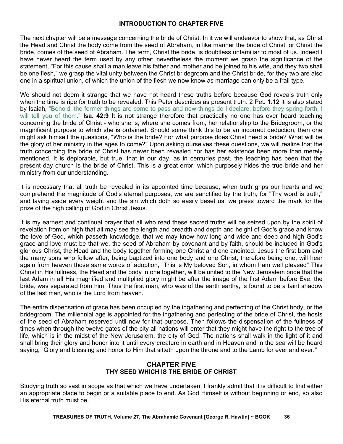#### **INTRODUCTION TO CHAPTER FIVE**

The next chapter will be a message concerning the bride of Christ. In it we will endeavor to show that, as Christ the Head and Christ the body come from the seed of Abraham, in like manner the bride of Christ, or Christ the bride, comes of the seed of Abraham. The term, Christ the bride, is doubtless unfamiliar to most of us. Indeed I have never heard the term used by any other; nevertheless the moment we grasp the significance of the statement, "For this cause shall a man leave his father and mother and be joined to his wife, and they two shall be one flesh," we grasp the vital unity between the Christ bridegroom and the Christ bride, for they two are also one in a spiritual union, of which the union of the flesh we now know as marriage can only be a frail type.

We should not deem it strange that we have not heard these truths before because God reveals truth only when the time is ripe for truth to be revealed. This Peter describes as present truth. 2 Pet. 1:12 It is also stated by Isaiah, "Behold, the former things are come to pass and new things do I declare: before they spring forth, I will tell you of them." **Isa. 42:9** It is not strange therefore that practically no one has ever heard teaching concerning the bride of Christ - who she is, where she comes from, her relationship to the Bridegroom, or the magnificent purpose to which she is ordained. Should some think this to be an incorrect deduction, then one might ask himself the questions, "Who is the bride? For what purpose does Christ need a bride? What will be the glory of her ministry in the ages to come?" Upon asking ourselves these questions, we will realize that the truth concerning the bride of Christ has never been revealed nor has her existence been more than merely mentioned. It is deplorable, but true, that in our day, as in centuries past, the teaching has been that the present day church is the bride of Christ. This is a great error, which purposely hides the true bride and her ministry from our understanding.

It is necessary that all truth be revealed in its appointed time because, when truth grips our hearts and we comprehend the magnitude of God's eternal purposes, we are sanctified by the truth, for "Thy word is truth," and laying aside every weight and the sin which doth so easily beset us, we press toward the mark for the prize of the high calling of God in Christ Jesus.

It is my earnest and continual prayer that all who read these sacred truths will be seized upon by the spirit of revelation from on high that all may see the length and breadth and depth and height of God's grace and know the love of God, which passeth knowledge, that we may know how long and wide and deep and high God's grace and love must be that we, the seed of Abraham by covenant and by faith, should be included in God's glorious Christ, the Head and the body together forming one Christ and one anointed. Jesus the first born and the many sons who follow after, being baptized into one body and one Christ, therefore being one, will hear again from heaven those same words of adoption, "This is My beloved Son, in whom I am well pleased" This Christ in His fullness, the Head and the body in one together, will be united to the New Jerusalem bride that the last Adam in all His magnified and multiplied glory might be after the image of the first Adam before Eve, the bride, was separated from him. Thus the first man, who was of the earth earthy, is found to be a faint shadow of the last man, who is the Lord from heaven.

The entire dispensation of grace has been occupied by the ingathering and perfecting of the Christ body, or the bridegroom. The millennial age is appointed for the ingathering and perfecting of the bride of Christ, the hosts of the seed of Abraham reserved until now for that purpose. Then follows the dispensation of the fullness of times when through the twelve gates of the city all nations will enter that they might have the right to the tree of life, which is in the midst of the New Jerusalem, the city of God. The nations shall walk in the light of it and shall bring their glory and honor into it until every creature in earth and in Heaven and in the sea will be heard saying, "Glory and blessing and honor to Him that sitteth upon the throne and to the Lamb for ever and ever."

## **CHAPTER FIVE THY SEED WHICH IS THE BRIDE OF CHRIST**

Studying truth so vast in scope as that which we have undertaken, I frankly admit that it is difficult to find either an appropriate place to begin or a suitable place to end. As God Himself is without beginning or end, so also His eternal truth must be.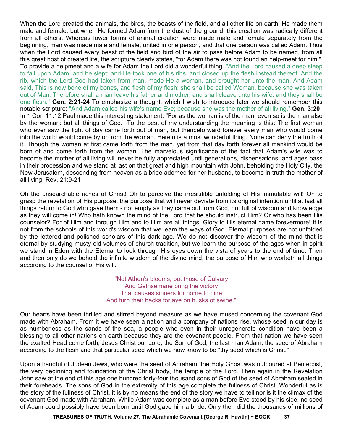When the Lord created the animals, the birds, the beasts of the field, and all other life on earth, He made them male and female; but when He formed Adam from the dust of the ground, this creation was radically different from all others. Whereas lower forms of animal creation were made male and female separately from the beginning, man was made male and female, united in one person, and that one person was called Adam. Thus when the Lord caused every beast of the field and bird of the air to pass before Adam to be named, from all this great host of created life, the scripture clearly states, "for Adam there was not found an help-meet for him." To provide a helpmeet and a wife for Adam the Lord did a wonderful thing. "And the Lord caused a deep sleep to fall upon Adam, and he slept: and He took one of his ribs, and closed up the flesh instead thereof; And the rib, which the Lord God had taken from man, made He a woman, and brought her unto the man. And Adam said, This is now bone of my bones, and flesh of my flesh: she shall be called Woman, because she was taken out of Man. Therefore shall a man leave his father and mother, and shall cleave unto his wife: and they shall be one flesh." **Gen. 2:21-24** To emphasize a thought, which I wish to introduce later we should remember this notable scripture: "And Adam called his wife's name Eve; because she was the mother of all living." **Gen. 3:20** In 1 Cor. 11:12 Paul made this interesting statement: "For as the woman is of the man, even so is the man also by the woman: but all things of God." To the best of my understanding the meaning is this: The first woman who ever saw the light of day came forth out of man, but thenceforward forever every man who would come into the world would come by or from the woman. Herein is a most wonderful thing. None can deny the truth of it. Though the woman at first came forth from the man, yet from that day forth forever all mankind would be born of and come forth from the woman. The marvelous significance of the fact that Adam's wife was to become the mother of all living will never be fully appreciated until generations, dispensations, and ages pass in their procession and we stand at last on that great and high mountain with John, beholding the Holy City, the New Jerusalem, descending from heaven as a bride adorned for her husband, to become in truth the mother of all living. Rev. 21:9-21

Oh the unsearchable riches of Christ! Oh to perceive the irresistible unfolding of His immutable will! Oh to grasp the revelation of His purpose, the purpose that will never deviate from its original intention until at last all things return to God who gave them - not empty as they came out from God, but full of wisdom and knowledge as they will come in! Who hath known the mind of the Lord that he should instruct Him? Or who has been His counselor? For of Him and through Him and to Him are all things. Glory to His eternal name forevermore! It is not from the schools of this world's wisdom that we learn the ways of God. Eternal purposes are not unfolded by the lettered and polished scholars of this dark age. We do not discover the wisdom of the mind that is eternal by studying musty old volumes of church tradition, but we learn the purpose of the ages when in spirit we stand in Eden with the Eternal to look through His eyes down the vista of years to the end of time. Then and then only do we behold the infinite wisdom of the divine mind, the purpose of Him who worketh all things according to the counsel of His will.

> "Not Athen's blooms, but those of Calvary And Gethsemane bring the victory That causes sinners for home to pine And turn their backs for aye on husks of swine."

Our hearts have been thrilled and stirred beyond measure as we have mused concerning the covenant God made with Abraham. From it we have seen a nation and a company of nations rise, whose seed in our day is as numberless as the sands of the sea, a people who even in their unregenerate condition have been a blessing to all other nations on earth because they are the covenant people. From that nation we have seen the exalted Head come forth, Jesus Christ our Lord, the Son of God, the last man Adam, the seed of Abraham according to the flesh and that particular seed which we now know to be "thy seed which is Christ."

Upon a handful of Judean Jews, who were the seed of Abraham, the Holy Ghost was outpoured at Pentecost, the very beginning and foundation of the Christ body, the temple of the Lord. Then again in the Revelation John saw at the end of this age one hundred forty-four thousand sons of God of the seed of Abraham sealed in their foreheads. The sons of God in the extremity of this age complete the fullness of Christ. Wonderful as is the story of the fullness of Christ, it is by no means the end of the story we have to tell nor is it the climax of the covenant God made with Abraham. While Adam was complete as a man before Eve stood by his side, no seed of Adam could possibly have been born until God gave him a bride. Only then did the thousands of millions of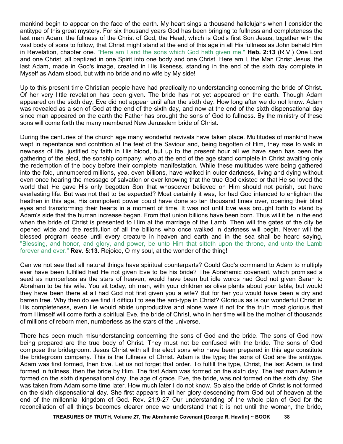mankind begin to appear on the face of the earth. My heart sings a thousand hallelujahs when I consider the antitype of this great mystery. For six thousand years God has been bringing to fullness and completeness the last man Adam, the fullness of the Christ of God, the Head, which is God's first Son Jesus, together with the vast body of sons to follow, that Christ might stand at the end of this age in all His fullness as John beheld Him in Revelation, chapter one. "Here am I and the sons which God hath given me." **Heb. 2:13** (R.V.) One Lord and one Christ, all baptized in one Spirit into one body and one Christ. Here am I, the Man Christ Jesus, the last Adam, made in God's image, created in His likeness, standing in the end of the sixth day complete in Myself as Adam stood, but with no bride and no wife by My side!

Up to this present time Christian people have had practically no understanding concerning the bride of Christ. Of her very little revelation has been given. The bride has not yet appeared on the earth. Though Adam appeared on the sixth day, Eve did not appear until after the sixth day. How long after we do not know. Adam was revealed as a son of God at the end of the sixth day, and now at the end of the sixth dispensational day since man appeared on the earth the Father has brought the sons of God to fullness. By the ministry of these sons will come forth the many membered New Jerusalem bride of Christ.

During the centuries of the church age many wonderful revivals have taken place. Multitudes of mankind have wept in repentance and contrition at the feet of the Saviour and, being begotten of Him, they rose to walk in newness of life, justified by faith in His blood, but up to the present hour all we have seen has been the gathering of the elect, the sonship company, who at the end of the age stand complete in Christ awaiting only the redemption of the body before their complete manifestation. While these multitudes were being gathered into the fold, unnumbered millions, yea, even billions, have walked in outer darkness, living and dying without even once hearing the message of salvation or ever knowing that the true God existed or that He so loved the world that He gave His only begotten Son that whosoever believed on Him should not perish, but have everlasting life. But was not that to be expected? Most certainly it was, for had God intended to enlighten the heathen in this age, His omnipotent power could have done so ten thousand times over, opening their blind eyes and transforming their hearts in a moment of time. It was not until Eve was brought forth to stand by Adam's side that the human increase began. From that union billions have been born. Thus will it be in the end when the bride of Christ is presented to Him at the marriage of the Lamb. Then will the gates of the city be opened wide and the restitution of all the billions who once walked in darkness will begin. Never will the blessed program cease until every creature in heaven and earth and in the sea shall be heard saying, "Blessing, and honor, and glory, and power, be unto Him that sitteth upon the throne, and unto the Lamb forever and ever." **Rev. 5:13.** Rejoice, O my soul, at the wonder of the thing!

Can we not see that all natural things have spiritual counterparts? Could God's command to Adam to multiply ever have been fulfilled had He not given Eve to be his bride? The Abrahamic covenant, which promised a seed as numberless as the stars of heaven, would have been but idle words had God not given Sarah to Abraham to be his wife. You sit today, oh man, with your children as olive plants about your table, but would they have been there at all had God not first given you a wife? But for her you would have been a dry and barren tree. Why then do we find it difficult to see the anti-type in Christ? Glorious as is our wonderful Christ in His completeness, even He would abide unproductive and alone were it not for the truth most glorious that from Himself will come forth a spiritual Eve, the bride of Christ, who in her time will be the mother of thousands of millions of reborn men, numberless as the stars of the universe.

There has been much misunderstanding concerning the sons of God and the bride. The sons of God now being prepared are the true body of Christ. They must not be confused with the bride. The sons of God compose the bridegroom. Jesus Christ with all the elect sons who have been prepared in this age constitute the bridegroom company. This is the fullness of Christ. Adam is the type; the sons of God are the antitype. Adam was first formed, then Eve. Let us not forget that order. To fulfill the type, Christ, the last Adam, is first formed in fullness, then the bride by Him. The first Adam was formed on the sixth day. The last man Adam is formed on the sixth dispensational day, the age of grace. Eve, the bride, was not formed on the sixth day. She was taken from Adam some time later. How much later I do not know. So also the bride of Christ is not formed on the sixth dispensational day. She first appears in all her glory descending from God out of heaven at the end of the millennial kingdom of God. Rev. 21:9-27 Our understanding of the whole plan of God for the reconciliation of all things becomes clearer once we understand that it is not until the woman, the bride,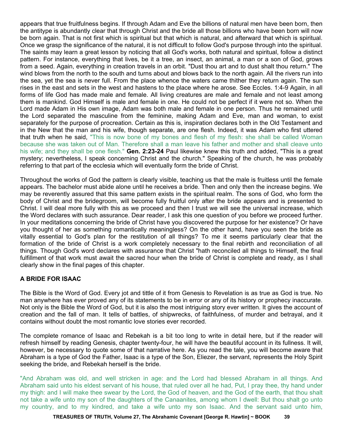appears that true fruitfulness begins. If through Adam and Eve the billions of natural men have been born, then the antitype is abundantly clear that through Christ and the bride all those billions who have been born will now be born again. That is not first which is spiritual but that which is natural, and afterward that which is spiritual. Once we grasp the significance of the natural, it is not difficult to follow God's purpose through into the spiritual. The saints may learn a great lesson by noticing that all God's works, both natural and spiritual, follow a distinct pattern. For instance, everything that lives, be it a tree, an insect, an animal, a man or a son of God, grows from a seed. Again, everything in creation travels in an orbit. "Dust thou art and to dust shalt thou return." The wind blows from the north to the south and turns about and blows back to the north again. All the rivers run into the sea, yet the sea is never full. From the place whence the waters came thither they return again. The sun rises in the east and sets in the west and hastens to the place where he arose. See Eccles. 1:4-9 Again, in all forms of life God has made male and female. All living creatures are male and female and not least among them is mankind. God Himself is male and female in one. He could not be perfect if it were not so. When the Lord made Adam in His own image, Adam was both male and female in one person. Thus he remained until the Lord separated the masculine from the feminine, making Adam and Eve, man and woman, to exist separately for the purpose of procreation. Certain as this is, inspiration declares both in the Old Testament and in the New that the man and his wife, though separate, are one flesh. Indeed, it was Adam who first uttered that truth when he said, "This is now bone of my bones and flesh of my flesh: she shall be called Woman because she was taken out of Man. Therefore shall a man leave his father and mother and shall cleave unto his wife; and they shall be one flesh." **Gen. 2:23-24** Paul likewise knew this truth and added, "This is a great mystery; nevertheless, I speak concerning Christ and the church." Speaking of the church, he was probably referring to that part of the ecclesia which will eventually form the bride of Christ.

Throughout the works of God the pattern is clearly visible, teaching us that the male is fruitless until the female appears. The bachelor must abide alone until he receives a bride. Then and only then the increase begins. We may be reverently assured that this same pattern exists in the spiritual realm. The sons of God, who form the body of Christ and the bridegroom, will become fully fruitful only after the bride appears and is presented to Christ. I will deal more fully with this as we proceed and then I trust we will see the universal increase, which the Word declares with such assurance. Dear reader, I ask this one question of you before we proceed further. In your meditations concerning the bride of Christ have you discovered the purpose for her existence? Or have you thought of her as something romantically meaningless? On the other hand, have you seen the bride as vitally essential to God's plan for the restitution of all things? To me it seems particularly clear that the formation of the bride of Christ is a work completely necessary to the final rebirth and reconciliation of all things. Though God's word declares with assurance that Christ "hath reconciled all things to Himself, the final fulfillment of that work must await the sacred hour when the bride of Christ is complete and ready, as I shall clearly show in the final pages of this chapter.

# **A BRIDE FOR ISAAC**

The Bible is the Word of God. Every jot and tittle of it from Genesis to Revelation is as true as God is true. No man anywhere has ever proved any of its statements to be in error or any of its history or prophecy inaccurate. Not only is the Bible the Word of God, but it is also the most intriguing story ever written. It gives the account of creation and the fall of man. It tells of battles, of shipwrecks, of faithfulness, of murder and betrayal, and it contains without doubt the most romantic love stories ever recorded.

The complete romance of Isaac and Rebekah is a bit too long to write in detail here, but if the reader will refresh himself by reading Genesis, chapter twenty-four, he will have the beautiful account in its fullness. It will, however, be necessary to quote some of that narrative here. As you read the tale, you will become aware that Abraham is a type of God the Father, Isaac is a type of the Son, Eliezer, the servant, represents the Holy Spirit seeking the bride, and Rebekah herself is the bride.

"And Abraham was old, and well stricken in age: and the Lord had blessed Abraham in all things. And Abraham said unto his eldest servant of his house, that ruled over all he had, Put, I pray thee, thy hand under my thigh: and I will make thee swear by the Lord, the God of heaven, and the God of the earth, that thou shalt not take a wife unto my son of the daughters of the Canaanites, among whom I dwell: But thou shalt go unto my country, and to my kindred, and take a wife unto my son Isaac. And the servant said unto him,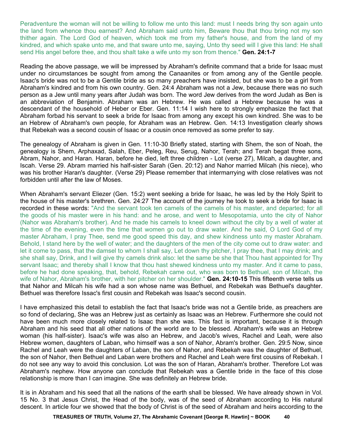Peradventure the woman will not be willing to follow me unto this land: must I needs bring thy son again unto the land from whence thou earnest? And Abraham said unto him, Beware thou that thou bring not my son thither again. The Lord God of heaven, which took me from my father's house, and from the land of my kindred, and which spake unto me, and that sware unto me, saying, Unto thy seed will I give this land: He shall send His angel before thee, and thou shalt take a wife unto my son from thence." **Gen. 24:1-7**

Reading the above passage, we will be impressed by Abraham's definite command that a bride for Isaac must under no circumstances be sought from among the Canaanites or from among any of the Gentile people. Isaac's bride was not to be a Gentile bride as so many preachers have insisted, but she was to be a girl from Abraham's kindred and from his own country. Gen. 24:4 Abraham was not a Jew, because there was no such person as a Jew until many years after Judah was born. The word Jew derives from the word Judah as Ben is an abbreviation of Benjamin. Abraham was an Hebrew. He was called a Hebrew because he was a descendant of the household of Heber or Eber. Gen. 11:14 I wish here to strongly emphasize the fact that Abraham forbad his servant to seek a bride for Isaac from among any except his own kindred. She was to be an Hebrew of Abraham's own people, for Abraham was an Hebrew. Gen. 14:13 Investigation clearly shows that Rebekah was a second cousin of Isaac or a cousin once removed as some prefer to say.

The genealogy of Abraham is given in Gen. 11:10-30 Briefly stated, starting with Shem, the son of Noah, the genealogy is Shem, Arphaxad, Salah, Eber, Peleg, Reu, Serug, Nahor, Terah; and Terah begat three sons, Abram, Nahor, and Haran. Haran, before he died, left three children - Lot (verse 27), Milcah, a daughter, and Iscah. Verse 29. Abram married his half-sister Sarah (Gen. 20:12) and Nahor married Milcah (his niece), who was his brother Haran's daughter. (Verse 29) Please remember that intermarrying with close relatives was not forbidden until after the law of Moses.

When Abraham's servant Eliezer (Gen. 15:2) went seeking a bride for Isaac, he was led by the Holy Spirit to the house of his master's brethren. Gen. 24:27 The account of the journey he took to seek a bride for Isaac is recorded in these words: "And the servant took ten camels of the camels of his master, and departed; for all the goods of his master were in his hand: and he arose, and went to Mesopotamia, unto the city of Nahor (Nahor was Abraham's brother). And he made his camels to kneel down without the city by a well of water at the time of the evening, even the time that women go out to draw water. And he said, O Lord God of my master Abraham, I pray Thee, send me good speed this day, and shew kindness unto my master Abraham. Behold, I stand here by the well of water; and the daughters of the men of the city come out to draw water: and let it come to pass, that the damsel to whom I shall say, Let down thy pitcher, I pray thee, that I may drink; and she shall say, Drink, and I will give thy camels drink also: let the same be she that Thou hast appointed for Thy servant Isaac; and thereby shall I know that thou hast shewed kindness unto my master. And it came to pass, before he had done speaking, that, behold, Rebekah came out, who was born to Bethuel, son of Milcah, the wife of Nahor, Abraham's brother, with her pitcher on her shoulder." **Gen. 24:10-15** This fifteenth verse tells us that Nahor and Milcah his wife had a son whose name was Bethuel, and Rebekah was Bethuel's daughter. Bethuel was therefore Issac's first cousin and Rebekah was Isaac's second cousin.

I have emphasized this detail to establish the fact that Isaac's bride was not a Gentile bride, as preachers are so fond of declaring, She was an Hebrew just as certainly as Isaac was an Hebrew. Furthermore she could not have been much more closely related to Isaac than she was. This fact is important, because it is through Abraham and his seed that all other nations of the world are to be blessed. Abraham's wife was an Hebrew woman (his half-sister). Isaac's wife was also an Hebrew, and Jacob's wives, Rachel and Leah, were also Hebrew women, daughters of Laban, who himself was a son of Nahor, Abram's brother. Gen. 29:5 Now, since Rachel and Leah were the daughters of Laban, the son of Nahor, and Rebekah was the daughter of Bethuel, the son of Nahor, then Bethuel and Laban were brothers and Rachel and Leah were first cousins of Rebekah. I do not see any way to avoid this conclusion. Lot was the son of Haran, Abraham's brother. Therefore Lot was Abraham's nephew. How anyone can conclude that Rebekah was a Gentile bride in the face of this close relationship is more than I can imagine. She was definitely an Hebrew bride.

It is in Abraham and his seed that all the nations of the earth shall be blessed. We have already shown in Vol. 15 No. 3 that Jesus Christ, the Head of the body, was of the seed of Abraham according to His natural descent. In article four we showed that the body of Christ is of the seed of Abraham and heirs according to the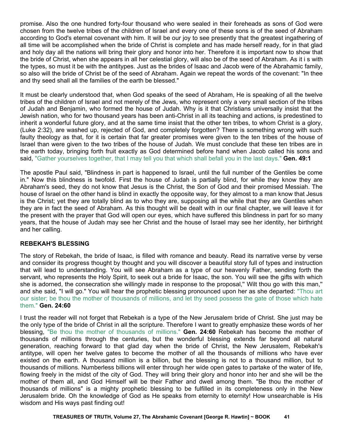promise. Also the one hundred forty-four thousand who were sealed in their foreheads as sons of God were chosen from the twelve tribes of the children of Israel and every one of these sons is of the seed of Abraham according to God's eternal covenant with him. It will be our joy to see presently that the greatest ingathering of all time will be accomplished when the bride of Christ is complete and has made herself ready, for in that glad and holy day all the nations will bring their glory and honor into her. Therefore it is important now to show that the bride of Christ, when she appears in all her celestial glory, will also be of the seed of Abraham. As it i s with the types, so must it be with the antitypes. Just as the brides of Isaac and Jacob were of the Abrahamic family, so also will the bride of Christ be of the seed of Abraham. Again we repeat the words of the covenant: "In thee and thy seed shall all the families of the earth be blessed."

It must be clearly understood that, when God speaks of the seed of Abraham, He is speaking of all the twelve tribes of the children of Israel and not merely of the Jews, who represent only a very small section of the tribes of Judah and Benjamin, who formed the house of Judah. Why is it that Christians universally insist that the Jewish nation, who for two thousand years has been anti-Christ in all its teaching and actions, is predestined to inherit a wonderful future glory, and at the same time insist that the other ten tribes, to whom Christ is a glory, (Luke 2:32), are washed up, rejected of God, and completely forgotten? There is something wrong with such faulty theology as that, for it is certain that far greater promises were given to the ten tribes of the house of Israel than were given to the two tribes of the house of Judah. We must conclude that these ten tribes are in the earth today, bringing forth fruit exactly as God determined before hand when Jacob called his sons and said, "Gather yourselves together, that I may tell you that which shall befall you in the last days." **Gen. 49:1**

The apostle Paul said, "Blindness in part is happened to Israel, until the full number of the Gentiles be come in." Now this blindness is twofold. First the house of Judah is partially blind, for while they know they are Abraham's seed, they do not know that Jesus is the Christ, the Son of God and their promised Messiah. The house of Israel on the other hand is blind in exactly the opposite way, for they almost to a man know that Jesus is the Christ; yet they are totally blind as to who they are, supposing all the while that they are Gentiles when they are in fact the seed of Abraham. As this thought will be dealt with in our final chapter, we will leave it for the present with the prayer that God will open our eyes, which have suffered this blindness in part for so many years, that the house of Judah may see her Christ and the house of Israel may see her identity, her birthright and her calling.

## **REBEKAH'S BLESSING**

The story of Rebekah, the bride of Isaac, is filled with romance and beauty. Read its narrative verse by verse and consider its progress thought by thought and you will discover a beautiful story full of types and instruction that will lead to understanding. You will see Abraham as a type of our heavenly Father, sending forth the servant, who represents the Holy Spirit, to seek out a bride for Isaac, the son. You will see the gifts with which she is adorned, the consecration she willingly made in response to the proposal,'' Wilt thou go with this man,'' and she said, "I will go." You will hear the prophetic blessing pronounced upon her as she departed: "Thou art our sister; be thou the mother of thousands of millions, and let thy seed possess the gate of those which hate them." **Gen. 24:60**

I trust the reader will not forget that Rebekah is a type of the New Jerusalem bride of Christ. She just may be the only type of the bride of Christ in all the scripture. Therefore I want to greatly emphasize these words of her blessing, "Be thou the mother of thousands of millions." **Gen. 24:60** Rebekah has become the mother of thousands of millions through the centuries, but the wonderful blessing extends far beyond all natural generation, reaching forward to that glad day when the bride of Christ, the New Jerusalem, Rebekah's antitype, will open her twelve gates to become the mother of all the thousands of millions who have ever existed on the earth. A thousand million is a billion, but the blessing is not to a thousand million, but to thousands of millions. Numberless billions will enter through her wide open gates to partake of the water of life, flowing freely in the midst of the city of God. They will bring their glory and honor into her and she will be the mother of them all, and God Himself will be their Father and dwell among them. "Be thou the mother of thousands of millions" is a mighty prophetic blessing to be fulfilled in its completeness only in the New Jerusalem bride. Oh the knowledge of God as He speaks from eternity to eternity! How unsearchable is His wisdom and His ways past finding out!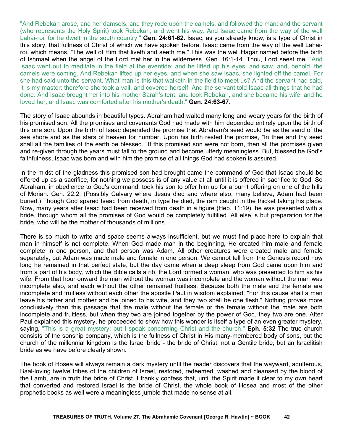"And Rebekah arose, and her damsels, and they rode upon the camels, and followed the man: and the servant (who represents the Holy Spirit) took Rebekah, and went his way. And Isaac came from the way of the well Lahai-roi; for he dwelt in the south country." **Gen. 24:61-62.** Isaac, as you already know, is a type of Christ in this story, that fullness of Christ of which we have spoken before. Isaac came from the way of the well Lahairoi, which means, "The well of Him that liveth and seeth me." This was the well Hagar named before the birth of Ishmael when the angel of the Lord met her in the wilderness. Gen. 16:1-14. Thou, Lord seest me. "And Isaac went out to meditate in the field at the eventide; and he lifted up his eyes, and saw, and, behold, the camels were coming. And Rebekah lifted up her eyes, and when she saw Isaac, she lighted off the camel. For she had said unto the servant, What man is this that walketh in the field to meet us? And the servant had said, It is my master: therefore she took a vail, and covered herself. And the servant told Isaac all things that he had done. And Isaac brought her into his mother Sarah's tent, and took Rebekah, and she became his wife; and he loved her; and Isaac was comforted after his mother's death." **Gen. 24:63-67.**

The story of Isaac abounds in beautiful types. Abraham had waited many long and weary years for the birth of his promised son. All the promises and covenants God had made with him depended entirely upon the birth of this one son. Upon the birth of Isaac depended the promise that Abraham's seed would be as the sand of the sea shore and as the stars of heaven for number. Upon his birth rested the promise, "In thee and thy seed shall all the families of the earth be blessed." If this promised son were not born, then all the promises given and re-given through the years must fall to the ground and become utterly meaningless. But, blessed be God's faithfulness, Isaac was born and with him the promise of all things God had spoken is assured.

In the midst of the gladness this promised son had brought came the command of God that Isaac should be offered up as a sacrifice, for nothing we possess is of any value at all until it is offered in sacrifice to God. So Abraham, in obedience to God's command, took his son to offer him up for a burnt offering on one of the hills of Moriah. Gen. 22:2. (Possibly Calvary where Jesus died and where also, many believe, Adam had been buried.) Though God spared Isaac from death, in type he died, the ram caught in the thicket taking his place. Now, many years after Isaac had been received from death in a figure (Heb. 11:19), he was presented with a bride, through whom all the promises of God would be completely fulfilled. All else is but preparation for the bride, who will be the mother of thousands of millions.

There is so much to write and space seems always insufficient, but we must find place here to explain that man in himself is not complete. When God made man in the beginning, He created him male and female complete in one person, and that person was Adam. All other creatures were created male and female separately, but Adam was made male and female in one person. We cannot tell from the Genesis record how long he remained in that perfect state, but the day came when a deep sleep from God came upon him and from a part of his body, which the Bible calls a rib, the Lord formed a woman, who was presented to him as his wife. From that hour onward the man without the woman was incomplete and the woman without the man was incomplete also, and each without the other remained fruitless. Because both the male and the female are incomplete and fruitless without each other the apostle Paul in wisdom explained, "For this cause shall a man leave his father and mother and be joined to his wife, and they two shall be one flesh." Nothing proves more conclusively than this passage that the male without the female or the female without the male are both incomplete and fruitless, but when they two are joined together by the power of God, they two are one. After Paul explained this mystery, he proceeded to show how this wonder is itself a type of an even greater mystery, saying, "This is a great mystery: but I speak concerning Christ and the church." **Eph. 5:32** The true church consists of the sonship company, which is the fullness of Christ in His many-membered body of sons, but the church of the millennial kingdom is the Israel bride - the bride of Christ, not a Gentile bride, but an Israelitish bride as we have before clearly shown.

The book of Hosea will always remain a dark mystery until the reader discovers that the wayward, adulterous, Baal-loving twelve tribes of the children of Israel, restored, redeemed, washed and cleansed by the blood of the Lamb, are in truth the bride of Christ. I frankly confess that, until the Spirit made it clear to my own heart that converted and restored Israel is the bride of Christ, the whole book of Hosea and most of the other prophetic books as well were a meaningless jumble that made no sense at all.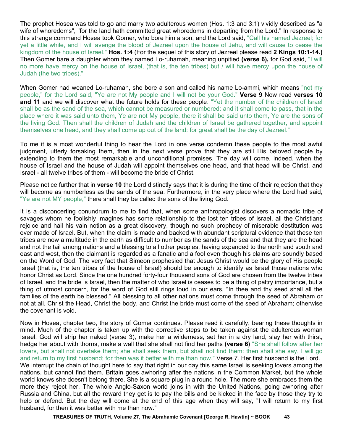The prophet Hosea was told to go and marry two adulterous women (Hos. 1:3 and 3:1) vividly described as "a wife of whoredoms", "for the land hath committed great whoredoms in departing from the Lord." In response to this strange command Hosea took Gomer, who bore him a son, and the Lord said, "Call his named Jezreel; for yet a little while, and I will avenge the blood of Jezreel upon the house of Jehu, and will cause to cease the kingdom of the house of Israel." **Hos. 1:4** (For the sequel of this story of Jezreel please read **2 Kings 10:1-14.)** Then Gomer bare a daughter whom they named Lo-ruhamah, meaning unpitied **(verse 6),** for God said, "I will no more have mercy on the house of Israel, (that is, the ten tribes) but / will have mercy upon the house of Judah (the two tribes)."

When Gomer had weaned Lo-ruhamah, she bore a son and called his name Lo-ammi, which means "not my people," for the Lord said, "Ye are not My people and I will not be your God." **Verse 9** Now read **verses 10 and 11** and we will discover what the future holds for these people. "Yet the number of the children of Israel shall be as the sand of the sea, which cannot be measured or numbered: and it shall come to pass, that in the place where it was said unto them, Ye are not My people, there it shall be said unto them, Ye are the sons of the living God. Then shall the children of Judah and the children of Israel be gathered together, and appoint themselves one head, and they shall come up out of the land: for great shall be the day of Jezreel."

To me it is a most wonderful thing to hear the Lord in one verse condemn these people to the most awful judgment, utterly forsaking them, then in the next verse prove that they are still His beloved people by extending to them the most remarkable and unconditional promises. The day will come, indeed, when the house of Israel and the house of Judah will appoint themselves one head, and that head will be Christ, and Israel - all twelve tribes of them - will become the bride of Christ.

Please notice further that in **verse 10** the Lord distinctly says that it is during the time of their rejection that they will become as numberless as the sands of the sea. Furthermore, in the very place where the Lord had said, "Ye are not MY people," there shall they be called the sons of the living God.

It is a disconcerting conundrum to me to find that, when some anthropologist discovers a nomadic tribe of savages whom he foolishly imagines has some relationship to the lost ten tribes of Israel, all the Christians rejoice and hail his vain notion as a great discovery, though no such prophecy of miserable destitution was ever made of Israel. But, when the claim is made and backed with abundant scriptural evidence that these ten tribes are now a multitude in the earth as difficult to number as the sands of the sea and that they are the head and not the tail among nations and a blessing to all other peoples, having expanded to the north and south and east and west, then the claimant is regarded as a fanatic and a fool even though his claims are soundly based on the Word of God. The very fact that Simeon prophesied that Jesus Christ would be the glory of His people Israel (that is, the ten tribes of the house of Israel) should be enough to identify as Israel those nations who honor Christ as Lord. Since the one hundred forty-four thousand sons of God are chosen from the twelve tribes of Israel, and the bride is Israel, then the matter of who Israel is ceases to be a thing of paltry importance, but a thing of utmost concern, for the word of God still rings loud in our ears, "In thee and thy seed shall all the families of the earth be blessed." All blessing to all other nations must come through the seed of Abraham or not at all. Christ the Head, Christ the body, and Christ the bride must come of the seed of Abraham; otherwise the covenant is void.

Now in Hosea, chapter two, the story of Gomer continues. Please read it carefully, bearing these thoughts in mind. Much of the chapter is taken up with the corrective steps to be taken against the adulterous woman Israel. God will strip her naked (verse 3), make her a wilderness, set her in a dry land, slay her with thirst, hedge her about with thorns, make a wall that she shall not find her paths **(verse 6)** "She shall follow after her lovers, but shall not overtake them; she shall seek them, but shall not find them: then shall she say, I will go and return to my first husband; for then was it better with me than now." Verse 7. Her first husband is the Lord. We interrupt the chain of thought here to say that right in our day this same Israel is seeking lovers among the nations, but cannot find them. Britain goes awhoring after the nations in the Common Market, but the whole world knows she doesn't belong there. She is a square plug in a round hole. The more she embraces them the more they reject her. The whole Anglo-Saxon world joins in with the United Nations, going awhoring after Russia and China, but all the reward they get is to pay the bills and be kicked in the face by those they try to help or defend. But the day will come at the end of this age when they will say, "I will return to my first husband, for then it was better with me than now."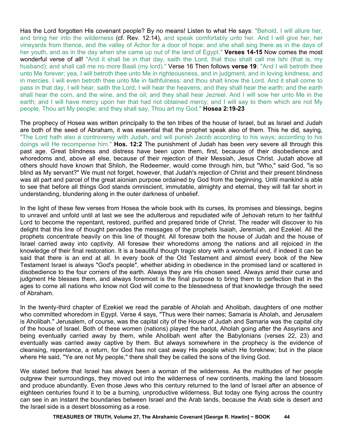Has the Lord forgotten His covenant people? By no means! Listen to what He says: "Behold, I will allure her, and bring her into the wilderness (cf. Rev. 12:14), and speak comfortably unto her. And I will give her, her vineyards from thence, and the valley of Achor for a door of hope: and she shall sing there as in the days of her youth, and as in the day when she came up out of the land of Egypt." **Verses 14-15** Now comes the most wonderful verse of all! "And it shall be in that day, saith the Lord, that thou shalt call me Ishi (that is, my husband); and shall call me no more Baali (my lord)." Verse 16 Then follows **verse 19:** "And I will betroth thee unto Me forever; yea, I will betroth thee unto Me in righteousness, and in judgment, and in loving kindness, and in mercies. I will even betroth thee unto Me in faithfulness: and thou shalt know the Lord. And it shall come to pass in that day, I will hear, saith the Lord, I will hear the heavens, and they shall hear the earth; and the earth shall hear the corn, and the wine, and the oil; and they shall hear Jezreel. And I will sow her unto Me in the earth; and I will have mercy upon her that had not obtained mercy; and I will say to them which are not My people, Thou art My people; and they shall say, Thou art my God." **Hosea 2:19-23**

The prophecy of Hosea was written principally to the ten tribes of the house of Israel, but as Israel and Judah are both of the seed of Abraham, it was essential that the prophet speak also of them. This he did, saying, "The Lord hath also a controversy with Judah, and will punish Jacob according to his ways; according to his doings will He recompense him." **Hos. 12:2** The punishment of Judah has been very severe all through this past age. Great blindness and distress have been upon them, first, because of their disobedience and whoredoms and, above all else, because of their rejection of their Messiah, Jesus Christ. Judah above all others should have known that Shiloh, the Redeemer, would come through him, but "Who," said God, "is so blind as My servant?" We must not forget, however, that Judah's rejection of Christ and their present blindness was all part and parcel of the great aionian purpose ordained by God from the beginning. Until mankind is able to see that before all things God stands omniscient, immutable, almighty and eternal, they will fall far short in understanding, blundering along in the outer darkness of unbelief.

In the light of these few verses from Hosea the whole book with its curses, its promises and blessings, begins to unravel and unfold until at last we see the adulterous and repudiated wife of Jehovah return to her faithful Lord to become the repentant, restored, purified and prepared bride of Christ. The reader will discover to his delight that this line of thought pervades the messages of the prophets Isaiah, Jeremiah, and Ezekiel. All the prophets concentrate heavily on this line of thought. All foresaw both the house of Judah and the house of Israel carried away into captivity. All foresaw their whoredoms among the nations and all rejoiced in the knowledge of their final restoration. It is a beautiful though tragic story with a wonderful end, if indeed it can be said that there is an end at all. In every book of the Old Testament and almost every book of the New Testament Israel is always "God's people", whether abiding in obedience in the promised land or scattered in disobedience to the four corners of the earth. Always they are His chosen seed. Always amid their curse and judgment He blesses them, and always foremost is the final purpose to bring them to perfection that in the ages to come all nations who know not God will come to the blessedness of that knowledge through the seed of Abraham.

In the twenty-third chapter of Ezekiel we read the parable of Aholah and Aholibah, daughters of one mother who committed whoredom in Egypt. Verse 4 says, "Thus were their names; Samaria is Aholah, and Jerusalem is Aholibah." Jerusalem, of course, was the capital city of the House of Judah and Samaria was the capital city of the house of Israel. Both of these women (nations) played the harlot, Aholah going after the Assyrians and being eventually carried away by them, while Aholibah went after the Babylonians (verses 22, 23) and eventually was carried away captive by them. But always somewhere in the prophecy is the evidence of cleansing, repentance, a return, for God has not cast away His people which He foreknew; but in the place where He said, "Ye are not My people," there shall they be called the sons of the living God.

We stated before that Israel has always been a woman of the wilderness. As the multitudes of her people outgrew their surroundings, they moved out into the wilderness of new continents, making the land blossom and produce abundantly. Even those Jews who this century returned to the land of Israel after an absence of eighteen centuries found it to be a burning, unproductive wilderness. But today one flying across the country can see in an instant the boundaries between Israel and the Arab lands, because the Arab side is desert and the Israel side is a desert blossoming as a rose.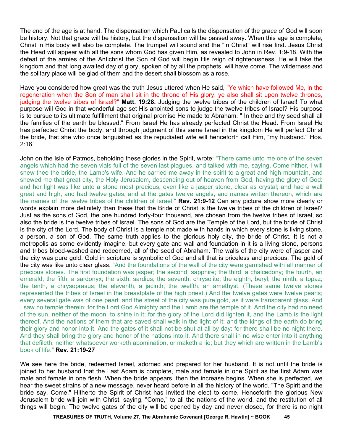The end of the age is at hand. The dispensation which Paul calls the dispensation of the grace of God will soon be history. Not that grace will be history, but the dispensation will be passed away. When this age is complete, Christ in His body will also be complete. The trumpet will sound and the "in Christ" will rise first. Jesus Christ the Head will appear with all the sons whom God has given Him, as revealed to John in Rev. 1:9-18. With the defeat of the armies of the Antichrist the Son of God will begin His reign of righteousness. He will take the kingdom and that long awaited day of glory, spoken of by all the prophets, will have come. The wilderness and the solitary place will be glad of them and the desert shall blossom as a rose.

Have you considered how great was the truth Jesus uttered when He said, "Ye which have followed Me, in the regeneration when the Son of man shall sit in the throne of His glory, ye also shall sit upon twelve thrones, judging the twelve tribes of Israel?" **Matt. 19:28.** Judging the twelve tribes of the children of Israel! To what purpose will God in that wonderful age set His anointed sons to judge the twelve tribes of Israel? His purpose is to pursue to its ultimate fulfillment that original promise He made to Abraham: '' In thee and thy seed shall all the families of the earth be blessed." From Israel He has already perfected Christ the Head. From Israel He has perfected Christ the body, and through judgment of this same Israel in the kingdom He will perfect Christ the bride, that she who once languished as the repudiated wife will henceforth call Him, "my husband." Hos. 2:16.

John on the Isle of Patmos, beholding these glories in the Spirit, wrote: "There came unto me one of the seven angels which had the seven vials full of the seven last plagues, and talked with me, saying, Come hither, I will shew thee the bride, the Lamb's wife. And he carried me away in the spirit to a great and high mountain, and shewed me that great city, the Holy Jerusalem, descending out of heaven from God, having the glory of God: and her light was like unto a stone most precious, even like a jasper stone, clear as crystal; and had a wall great and high, and had twelve gates, and at the gates twelve angels, and names written thereon, which are the names of the twelve tribes of the children of Israel:" **Rev. 21:9-12** Can any picture show more clearly or words explain more definitely than these that the Bride of Christ is the twelve tribes of the children of Israel? Just as the sons of God, the one hundred forty-four thousand, are chosen from the twelve tribes of Israel, so also the bride is the twelve tribes of Israel. The sons of God are the Temple of the Lord, but the bride of Christ is the city of the Lord. The body of Christ is a temple not made with hands in which every stone is living stone, a person, a son of God. The same truth applies to the glorious holy city, the bride of Christ. It is not a metropolis as some evidently imagine, but every gate and wall and foundation in it is a living stone, persons and tribes blood-washed and redeemed, all of the seed of Abraham. The walls of the city were of jasper and the city was pure gold. Gold in scripture is symbolic of God and all that is priceless and precious. The gold of the city was like unto clear glass. "And the foundations of the wall of the city were garnished with all manner of precious stones. The first foundation was jasper; the second, sapphire; the third, a chalcedony; the fourth, an emerald; the fifth, a sardonyx; the sixth, sardius; the seventh, chrysolite; the eighth, beryl; the ninth, a topaz; the tenth, a chrysoprasus; the eleventh, a jacinth; the twelfth, an amethyst. (These same twelve stones represented the tribes of Israel in the breastplate of the high priest.) And the twelve gates were twelve pearls; every several gate was of one pearl: and the street of the city was pure gold, as it were transparent glass. And I saw no temple therein: for the Lord God Almighty and the Lamb are the temple of it. And the city had no need of the sun, neither of the moon, to shine in it; for the glory of the Lord did lighten it, and the Lamb is the light thereof. And the nations of them that are saved shall walk in the light of it: and the kings of the earth do bring their glory and honor into it. And the gates of it shall not be shut at all by day: for there shall be no night there. And they shall bring the glory and honor of the nations into it. And there shall in no wise enter into it anything that defileth, neither whatsoever worketh abomination, or maketh a lie; but they which are written in the Lamb's book of life." **Rev. 21:19-27**

We see here the bride, redeemed Israel, adorned and prepared for her husband. It is not until the bride is joined to her husband that the Last Adam is complete, male and female in one Spirit as the first Adam was male and female in one flesh. When the bride appears, then the increase begins. When she is perfected, we hear the sweet strains of a new message, never heard before in all the history of the world. "The Spirit and the bride say, Come." Hitherto the Spirit of Christ has invited the elect to come. Henceforth the glorious New Jerusalem bride will join with Christ, saying, "Come," to all the nations of the world, and the restitution of all things will begin. The twelve gates of the city will be opened by day and never closed, for there is no night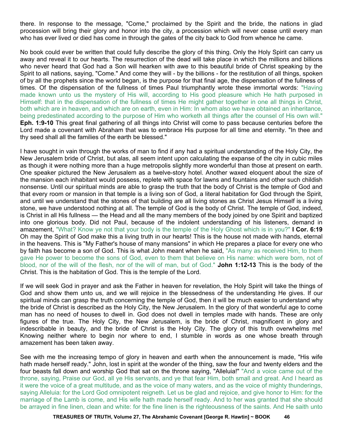there. In response to the message, "Come," proclaimed by the Spirit and the bride, the nations in glad procession will bring their glory and honor into the city, a procession which will never cease until every man who has ever lived or died has come in through the gates of the city back to God from whence he came.

No book could ever be written that could fully describe the glory of this thing. Only the Holy Spirit can carry us away and reveal it to our hearts. The resurrection of the dead will take place in which the millions and billions who never heard that God had a Son will hearken with awe to this beautiful bride of Christ speaking by the Spirit to all nations, saying, "Come." And come they will - by the billions - for the restitution of all things, spoken of by all the prophets since the world began, is the purpose for that final age, the dispensation of the fullness of times. Of the dispensation of the fullness of times Paul triumphantly wrote these immortal words: "Having made known unto us the mystery of His will, according to His good pleasure which He hath purposed in Himself: that in the dispensation of the fullness of times He might gather together in one all things in Christ, both which are in heaven, and which are on earth, even in Him: In whom also we have obtained an inheritance, being predestinated according to the purpose of Him who worketh all things after the counsel of His own will." **Eph. 1:9-10** This great final gathering of all things into Christ will come to pass because centuries before the Lord made a covenant with Abraham that was to embrace His purpose for all time and eternity. "In thee and thy seed shall all the families of the earth be blessed."

I have sought in vain through the works of man to find if any had a spiritual understanding of the Holy City, the New Jerusalem bride of Christ, but alas, all seem intent upon calculating the expanse of the city in cubic miles as though it were nothing more than a huge metropolis slightly more wonderful than those at present on earth. One speaker pictured the New Jerusalem as a twelve-story hotel. Another waxed eloquent about the size of the mansion each inhabitant would possess, replete with space for lawns and fountains and other such childish nonsense. Until our spiritual minds are able to grasp the truth that the body of Christ is the temple of God and that every room or mansion in that temple is a living son of God, a literal habitation for God through the Spirit, and until we understand that the stones of that building are all living stones as Christ Jesus Himself is a living stone, we have understood nothing at all. The temple of God is the body of Christ. The temple of God, indeed, is Christ in all His fullness — the Head and all the many members of the body joined by one Spirit and baptized into one glorious body. Did not Paul, because of the indolent understanding of his listeners, demand in amazement, "What? Know ye not that your body is the temple of the Holy Ghost which is in you?" **I Cor. 6:19** Oh may the Spirit of God make this a living truth in our hearts! This is the house not made with hands, eternal in the heavens. This is "My Father's house of many mansions" in which He prepares a place for every one who by faith has become a son of God. This is what John meant when he said, "As many as received Him, to them gave He power to become the sons of God, even to them that believe on His name: which were born, not of blood, nor of the will of the flesh, nor of the will of man, but of God." **John 1:12-13** This is the body of the Christ. This is the habitation of God. This is the temple of the Lord.

If we will seek God in prayer and ask the Father in heaven for revelation, the Holy Spirit will take the things of God and show them unto us, and we will rejoice in the blessedness of the understanding He gives. If our spiritual minds can grasp the truth concerning the temple of God, then it will be much easier to understand why the bride of Christ is described as the Holy City, the New Jerusalem. In the glory of that wonderful age to come man has no need of houses to dwell in. God does not dwell in temples made with hands. These are only figures of the true. The Holy City, the New Jerusalem, is the bride of Christ, magnificent in glory and indescribable in beauty, and the bride of Christ is the Holy City. The glory of this truth overwhelms me! Knowing neither where to begin nor where to end, I stumble in words as one whose breath through amazement has been taken away.

See with me the increasing tempo of glory in heaven and earth when the announcement is made, "His wife hath made herself ready." John, lost in spirit at the wonder of the thing, saw the four and twenty elders and the four beasts fall down and worship God that sat on the throne saying, "Alleluia!" "And a voice came out of the throne, saying, Praise our God, all ye His servants, and ye that fear Him, both small and great. And I heard as it were the voice of a great multitude, and as the voice of many waters, and as the voice of mighty thunderings, saying Alleluia: for the Lord God omnipotent reigneth. Let us be glad and rejoice, and give honor to Him: for the marriage of the Lamb is come, and His wife hath made herself ready. And to her was granted that she should be arrayed in fine linen, clean and white: for the fine linen is the righteousness of the saints. And He saith unto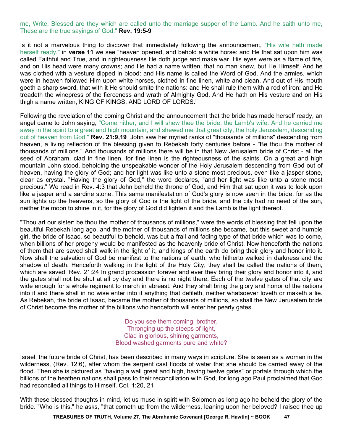#### me, Write, Blessed are they which are called unto the marriage supper of the Lamb. And he saith unto me, These are the true sayings of God." **Rev. 19:5-9**

Is it not a marvelous thing to discover that immediately following the announcement, "His wife hath made herself ready," in **verse 11** we see "heaven opened, and behold a white horse: and He that sat upon him was called Faithful and True, and in righteousness He doth judge and make war. His eyes were as a flame of fire, and on His head were many crowns; and He had a name written, that no man knew, but He Himself. And he was clothed with a vesture dipped in blood: and His name is called the Word of God. And the armies, which were in heaven followed Him upon white horses, clothed in fine linen, white and clean. And out of His mouth goeth a sharp sword, that with it He should smite the nations: and He shall rule them with a rod of iron: and He treadeth the winepress of the fierceness and wrath of Almighty God. And He hath on His vesture and on His thigh a name written, KING OF KINGS, AND LORD OF LORDS."

Following the revelation of the coming Christ and the announcement that the bride has made herself ready, an angel came to John saying, "Come hither, and I will shew thee the bride, the Lamb's wife. And he carried me away in the spirit to a great and high mountain, and shewed me that great city, the holy Jerusalem, descending out of heaven from God." **Rev. 21:9,19** John saw her myriad ranks of "thousands of millions" descending from heaven, a living reflection of the blessing given to Rebekah forty centuries before - "Be thou the mother of thousands of millions." And thousands of millions there will be in that New Jerusalem bride of Christ - all the seed of Abraham, clad in fine linen, for fine linen is the righteousness of the saints. On a great and high mountain John stood, beholding the unspeakable wonder of the Holy Jerusalem descending from God out of heaven, having the glory of God; and her light was like unto a stone most precious, even like a jasper stone, clear as crystal. "Having the glory of God," the word declares, "and her light was like unto a stone most precious." We read in Rev. 4:3 that John beheld the throne of God, and Him that sat upon it was to look upon like a jasper and a sardine stone. This same manifestation of God's glory is now seen in the bride, for as the sun lights up the heavens, so the glory of God is the light of the bride, and the city had no need of the sun, neither the moon to shine in it, for the glory of God did lighten it and the Lamb is the light thereof.

"Thou art our sister: be thou the mother of thousands of millions," were the words of blessing that fell upon the beautiful Rebekah long ago, and the mother of thousands of millions she became, but this sweet and humble girl, the bride of Isaac, so beautiful to behold, was but a frail and fading type of that bride which was to come, when billions of her progeny would be manifested as the heavenly bride of Christ. Now henceforth the nations of them that are saved shall walk in the light of it, and kings of the earth do bring their glory and honor into it. Now shall the salvation of God be manifest to the nations of earth, who hitherto walked in darkness and the shadow of death. Henceforth walking in the light of the Holy City, they shall be called the nations of them, which are saved. Rev. 21:24 In grand procession forever and ever they bring their glory and honor into it, and the gates shall not be shut at all by day and there is no night there. Each of the twelve gates of that city are wide enough for a whole regiment to march in abreast. And they shall bring the glory and honor of the nations into it and there shall in no wise enter into it anything that defileth, neither whatsoever loveth or maketh a lie. As Rebekah, the bride of Isaac, became the mother of thousands of millions, so shall the New Jerusalem bride of Christ become the mother of the billions who henceforth will enter her pearly gates.

> Do you see them coming, brother, Thronging up the steeps of light, Clad in glorious, shining garments, Blood washed garments pure and white?

Israel, the future bride of Christ, has been described in many ways in scripture. She is seen as a woman in the wilderness, (Rev. 12:6), after whom the serpent cast floods of water that she should be carried away of the flood. Then she is pictured as "having a wall great and high, having twelve gates" or portals through which the billions of the heathen nations shall pass to their reconciliation with God, for long ago Paul proclaimed that God had reconciled all things to Himself. Col. 1:20, 21

With these blessed thoughts in mind, let us muse in spirit with Solomon as long ago he beheld the glory of the bride. "Who is this," he asks, "that cometh up from the wilderness, leaning upon her beloved? I raised thee up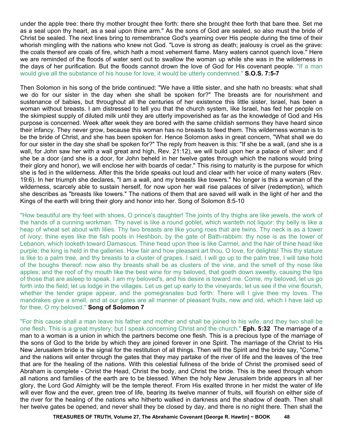under the apple tree: there thy mother brought thee forth: there she brought thee forth that bare thee. Set me as a seal upon thy heart, as a seal upon thine arm." As the sons of God are sealed, so also must the bride of Christ be sealed. The next lines bring to remembrance God's yearning over His people during the time of their whorish mingling with the nations who knew not God. "Love is strong as death; jealousy is cruel as the grave: the coals thereof are coals of fire, which hath a most vehement flame. Many waters cannot quench love." Here we are reminded of the floods of water sent out to swallow the woman up while she was in the wilderness in the days of her purification. But the floods cannot drown the love of God for His covenant people. "If a man would give all the substance of his house for love, it would be utterly condemned." **S.O.S. 7:5-7**

Then Solomon in his song of the bride continued: "We have a little sister, and she hath no breasts: what shall we do for our sister in the day when she shall be spoken for?" The breasts are for nourishment and sustenance of babies, but throughout all the centuries of her existence this little sister, Israel, has been a woman without breasts. I am distressed to tell you that the church system, like Israel, has fed her people on the skimpiest supply of diluted milk until they are utterly impoverished as far as the knowledge of God and His purpose is concerned. Week after week they are bored with the same childish sermons they have heard since their infancy. They never grow, because this woman has no breasts to feed them. This wilderness woman is to be the bride of Christ, and she has been spoken for. Hence Solomon asks in great concern, "What shall we do for our sister in the day she shall be spoken for?" The reply from heaven is this: "If she be a wall, (and she is a wall, for John saw her with a wall great and high, Rev. 21:12), we will build upon her a palace of silver: and if she be a door (and she is a door, for John beheld in her twelve gates through which the nations would bring their glory and honor), we will enclose her with boards of cedar." This rising to maturity is the purpose for which she is fed in the wilderness. After this the bride speaks out loud and clear with her voice of many waters (Rev. 19:6). In her triumph she declares, "I am a wall, and my breasts like towers." No longer is this a woman of the wilderness, scarcely able to sustain herself, for now upon her wall rise palaces of silver (redemption), which she describes as "breasts like towers." The nations of them that are saved will walk in the light of her and the Kings of the earth will bring their glory and honor into her. Song of Solomon 8:5-10

"How beautiful are thy feet with shoes, O prince's daughter! The joints of thy thighs are like jewels, the work of the hands of a cunning workman. Thy navel is like a round goblet, which wanteth not liquor: thy belly is like a heap of wheat set about with lilies. Thy two breasts are like young roes that are twins. Thy neck is as a tower of ivory; thine eyes like the fish pools in Heshbon, by the gate of Bath-rabbim: thy nose is as the tower of Lebanon, which looketh toward Damascus. Thine head upon thee is like Carmel, and the hair of thine head like purple; the king is held in the galleries. How fair and how pleasant art thou, O love, for delights! This thy stature is like to a palm tree, and thy breasts to a cluster of grapes. I said, I will go up to the palm tree, I will take hold of the boughs thereof: now also thy breasts shall be as clusters of the vine, and the smell of thy nose like apples; and the roof of thy mouth like the best wine for my beloved, that goeth down sweetly, causing the lips of those that are asleep to speak. I am my beloved's, and his desire is toward me. Come, my beloved, let us go forth into the field; let us lodge in the villages. Let us get up early to the vineyards; let us see if the vine flourish, whether the tender grape appear, and the pomegranates bud forth: There will I give thee my loves. The mandrakes give a smell, and at our gates are all manner of pleasant fruits, new and old, which I have laid up for thee, O my beloved." **Song of Solomon 7**

"For this cause shall a man leave his father and mother and shall be joined to his wife, and they two shall be one flesh. This is a great mystery; but I speak concerning Christ and the church." **Eph. 5:32** The marriage of a man to a woman is a union in which the partners become one flesh. This is a precious type of the marriage of the sons of God to the bride by which they are joined forever in one Spirit. The marriage of the Christ to His New Jerusalem bride is the signal for the restitution of all things. Then will the Spirit and the bride say, "Come," and the nations will enter through the gates that they may partake of the river of life and the leaves of the tree that are for the healing of the nations. With this celestial fullness of the bride of Christ the promised seed of Abraham is complete - Christ the Head, Christ the body, and Christ the bride. This is the seed through whom all nations and families of the earth are to be blessed. When the holy New Jerusalem bride appears in all her glory, the Lord God Almighty will be the temple thereof. From His exalted throne in her midst the water of life will ever flow and the ever, green tree of life, bearing its twelve manner of fruits, will flourish on either side of the river for the healing of the nations who hitherto walked in darkness and the shadow of death. Then shall her twelve gates be opened, and never shall they be closed by day, and there is no night there. Then shall the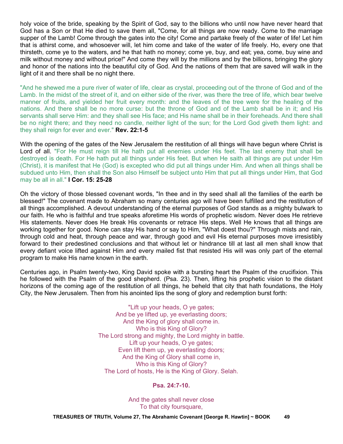holy voice of the bride, speaking by the Spirit of God, say to the billions who until now have never heard that God has a Son or that He died to save them all, "Come, for all things are now ready. Come to the marriage supper of the Lamb! Come through the gates into the city! Come and partake freely of the water of life! Let him that is athirst come, and whosoever will, let him come and take of the water of life freely. Ho, every one that thirsteth, come ye to the waters, and he that hath no money; come ye, buy, and eat; yea, come, buy wine and milk without money and without price!" And come they will by the millions and by the billions, bringing the glory and honor of the nations into the beautiful city of God. And the nations of them that are saved will walk in the light of it and there shall be no night there.

"And he shewed me a pure river of water of life, clear as crystal, proceeding out of the throne of God and of the Lamb. In the midst of the street of it, and on either side of the river, was there the tree of life, which bear twelve manner of fruits, and yielded her fruit every month: and the leaves of the tree were for the healing of the nations. And there shall be no more curse: but the throne of God and of the Lamb shall be in it; and His servants shall serve Him: and they shall see His face; and His name shall be in their foreheads. And there shall be no night there; and they need no candle, neither light of the sun; for the Lord God giveth them light: and they shall reign for ever and ever." **Rev. 22:1-5**

With the opening of the gates of the New Jerusalem the restitution of all things will have begun where Christ is Lord of all. "For He must reign till He hath put all enemies under His feet. The last enemy that shall be destroyed is death. For He hath put all things under His feet. But when He saith all things are put under Him (Christ), it is manifest that He (God) is excepted who did put all things under Him. And when all things shall be subdued unto Him, then shall the Son also Himself be subject unto Him that put all things under Him, that God may be all in all." **I Cor. 15: 25-28**

Oh the victory of those blessed covenant words, "In thee and in thy seed shall all the families of the earth be blessed!" The covenant made to Abraham so many centuries ago will have been fulfilled and the restitution of all things accomplished. A devout understanding of the eternal purposes of God stands as a mighty bulwark to our faith. He who is faithful and true speaks aforetime His words of prophetic wisdom. Never does He retrieve His statements. Never does He break His covenants or retrace His steps. Well He knows that all things are working together for good. None can stay His hand or say to Him, "What doest thou?" Through mists and rain, through cold and heat, through peace and war, through good and evil His eternal purposes move irresistibly forward to their predestined conclusions and that without let or hindrance till at last all men shall know that every defiant voice lifted against Him and every mailed fist that resisted His will was only part of the eternal program to make His name known in the earth.

Centuries ago, in Psalm twenty-two, King David spoke with a bursting heart the Psalm of the crucifixion. This he followed with the Psalm of the good shepherd. (Psa. 23). Then, lifting his prophetic vision to the distant horizons of the coming age of the restitution of all things, he beheld that city that hath foundations, the Holy City, the New Jerusalem. Then from his anointed lips the song of glory and redemption burst forth:

> "Lift up your heads, O ye gates; And be ye lifted up, ye everlasting doors; And the King of glory shall come in. Who is this King of Glory? The Lord strong and mighty, the Lord mighty in battle. Lift up your heads, O ye gates; Even lift them up, ye everlasting doors; And the King of Glory shall come in, Who is this King of Glory? The Lord of hosts, He is the King of Glory. Selah.

## **Psa. 24:7-10.**

And the gates shall never close To that city foursquare,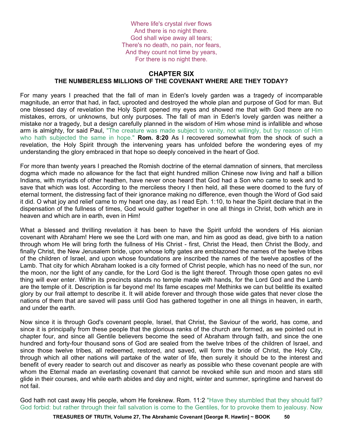Where life's crystal river flows And there is no night there. God shall wipe away all tears; There's no death, no pain, nor fears, And they count not time by years, For there is no night there.

## **CHAPTER SIX**

# **THE NUMBERLESS MILLIONS OF THE COVENANT WHERE ARE THEY TODAY?**

For many years I preached that the fall of man in Eden's lovely garden was a tragedy of incomparable magnitude, an error that had, in fact, uprooted and destroyed the whole plan and purpose of God for man. But one blessed day of revelation the Holy Spirit opened my eyes and showed me that with God there are no mistakes, errors, or unknowns, but only purposes. The fall of man in Eden's lovely garden was neither a mistake nor a tragedy, but a design carefully planned in the wisdom of Him whose mind is infallible and whose arm is almighty, for said Paul, "The creature was made subject to vanity, not willingly, but by reason of Him who hath subjected the same in hope." **Rom. 8:20** As I recovered somewhat from the shock of such a revelation, the Holy Spirit through the intervening years has unfolded before the wondering eyes of my understanding the glory embraced in that hope so deeply conceived in the heart of God.

For more than twenty years I preached the Romish doctrine of the eternal damnation of sinners, that merciless dogma which made no allowance for the fact that eight hundred million Chinese now living and half a billion Indians, with myriads of other heathen, have never once heard that God had a Son who came to seek and to save that which was lost. According to the merciless theory I then held, all these were doomed to the fury of eternal torment, the distressing fact of their ignorance making no difference, even though the Word of God said it did. O what joy and relief came to my heart one day, as I read Eph. 1:10, to hear the Spirit declare that in the dispensation of the fullness of times, God would gather together in one all things in Christ, both which are in heaven and which are in earth, even in Him!

What a blessed and thrilling revelation it has been to have the Spirit unfold the wonders of His aionian covenant with Abraham! Here we see the Lord with one man, and him as good as dead, give birth to a nation through whom He will bring forth the fullness of His Christ - first, Christ the Head, then Christ the Body, and finally Christ, the New Jerusalem bride, upon whose lofty gates are emblazoned the names of the twelve tribes of the children of Israel, and upon whose foundations are inscribed the names of the twelve apostles of the Lamb. That city for which Abraham looked is a city formed of Christ people, which has no need of the sun, nor the moon, nor the light of any candle, for the Lord God is the light thereof. Through those open gates no evil thing will ever enter. Within its precincts stands no temple made with hands, for the Lord God and the Lamb are the temple of it. Description is far beyond me! Its fame escapes me! Methinks we can but belittle its exalted glory by our frail attempt to describe it. It will abide forever and through those wide gates that never close the nations of them that are saved will pass until God has gathered together in one all things in heaven, in earth, and under the earth.

Now since it is through God's covenant people, Israel, that Christ, the Saviour of the world, has come, and since it is principally from these people that the glorious ranks of the church are formed, as we pointed out in chapter four, and since all Gentile believers become the seed of Abraham through faith, and since the one hundred and forty-four thousand sons of God are sealed from the twelve tribes of the children of Israel, and since those twelve tribes, all redeemed, restored, and saved, will form the bride of Christ, the Holy City, through which all other nations will partake of the water of life, then surely it should be to the interest and benefit of every reader to search out and discover as nearly as possible who these covenant people are with whom the Eternal made an everlasting covenant that cannot be revoked while sun and moon and stars still glide in their courses, and while earth abides and day and night, winter and summer, springtime and harvest do not fail.

God hath not cast away His people, whom He foreknew. Rom. 11:2 "Have they stumbled that they should fall? God forbid: but rather through their fall salvation is come to the Gentiles, for to provoke them to jealousy. Now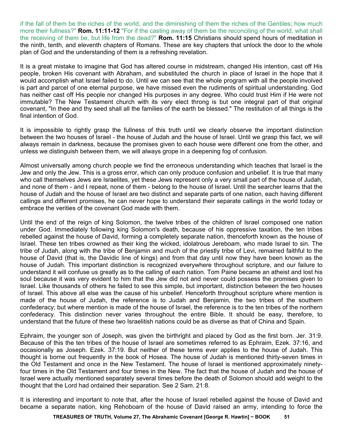if the fall of them be the riches of the world, and the diminishing of them the riches of the Gentiles; how much more their fullness?" **Rom. 11:11-12** "For if the casting away of them be the reconciling of the world, what shall the receiving of them be, but life from the dead?" **Rom. 11:15** Christians should spend hours of meditation in the ninth, tenth, and eleventh chapters of Romans. These are key chapters that unlock the door to the whole plan of God and the understanding of them is a refreshing revelation.

It is a great mistake to imagine that God has altered course in midstream, changed His intention, cast off His people, broken His covenant with Abraham, and substituted the church in place of Israel in the hope that it would accomplish what Israel failed to do. Until we can see that the whole program with all the people involved is part and parcel of one eternal purpose, we have missed even the rudiments of spiritual understanding. God has neither cast off His people nor changed His purposes in any degree. Who could trust Him if He were not immutable? The New Testament church with its very elect throng is but one integral part of that original covenant, "In thee and thy seed shall all the families of the earth be blessed." The restitution of all things is the final intention of God.

It is impossible to rightly grasp the fullness of this truth until we clearly observe the important distinction between the two houses of Israel - the house of Judah and the house of Israel. Until we grasp this fact, we will always remain in darkness, because the promises given to each house were different one from the other, and unless we distinguish between them, we will always grope in a deepening fog of confusion.

Almost universally among church people we find the erroneous understanding which teaches that Israel is the Jew and only the Jew. This is a gross error, which can only produce confusion and unbelief. It is true that many who call themselves Jews are Israelites, yet these Jews represent only a very small part of the house of Judah, and none of them - and I repeat, none of them - belong to the house of Israel. Until the searcher learns that the house of Judah and the house of Israel are two distinct and separate parts of one nation, each having different callings and different promises, he can never hope to understand their separate callings in the world today or embrace the verities of the covenant God made with them.

Until the end of the reign of king Solomon, the twelve tribes of the children of Israel composed one nation under God. Immediately following king Solomon's death, because of his oppressive taxation, the ten tribes rebelled against the house of David, forming a completely separate nation, thenceforth known as the house of Israel. These ten tribes crowned as their king the wicked, idolatrous Jereboam, who made Israel to sin. The tribe of Judah, along with the tribe of Benjamin and much of the priestly tribe of Levi, remained faithful to the house of David (that is, the Davidic line of kings) and from that day until now they have been known as the house of Judah. This important distinction is recognized everywhere throughout scripture, and our failure to understand it will confuse us greatly as to the calling of each nation. Tom Paine became an atheist and lost his soul because it was very evident to him that the Jew did not and never could possess the promises given to Israel. Like thousands of others he failed to see this simple, but important, distinction between the two houses of Israel. This above all else was the cause of his unbelief. Henceforth throughout scripture where mention is made of the house of Judah, the reference is to Judah and Benjamin, the two tribes of the southern confederacy; but where mention is made of the house of Israel, the reference is to the ten tribes of the northern confederacy. This distinction never varies throughout the entire Bible. It should be easy, therefore, to understand that the future of these two Israelitish nations could be as diverse as that of China and Spain.

Ephraim, the younger son of Joseph, was given the birthright and placed by God as the first born. Jer. 31:9. Because of this the ten tribes of the house of Israel are sometimes referred to as Ephraim, Ezek. 37:16, and occasionally as Joseph. Ezek. 37:19. But neither of these terms ever applies to the house of Judah. This thought is borne out frequently in the book of Hosea. The house of Judah is mentioned thirty-seven times in the Old Testament and once in the New Testament. The house of Israel is mentioned approximately ninetyfour times in the Old Testament and four times in the New. The fact that the house of Judah and the house of Israel were actually mentioned separately several times before the death of Solomon should add weight to the thought that the Lord had ordained their separation. See 2 Sam. 21:8.

It is interesting and important to note that, after the house of Israel rebelled against the house of David and became a separate nation, king Rehoboam of the house of David raised an army, intending to force the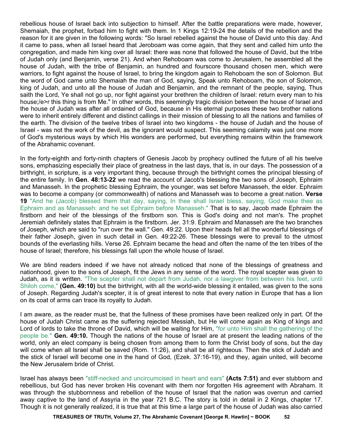rebellious house of Israel back into subjection to himself. After the battle preparations were made, however, Shemaiah, the prophet, forbad him to fight with them. In 1 Kings 12:19-24 the details of the rebellion and the reason for it are given in the following words: "So Israel rebelled against the house of David unto this day. And it came to pass, when all Israel heard that Jeroboam was come again, that they sent and called him unto the congregation, and made him king over all Israel: there was none that followed the house of David, but the tribe of Judah only (and Benjamin, verse 21). And when Rehoboam was come to Jerusalem, he assembled all the house of Judah, with the tribe of Benjamin, an hundred and fourscore thousand chosen men, which were warriors, to fight against the house of Israel, to bring the kingdom again to Rehoboam the son of Solomon. But the word of God came unto Shemaiah the man of God, saying, Speak unto Rehoboam, the son of Solomon, king of Judah, and unto all the house of Judah and Benjamin, and the remnant of the people, saying, Thus saith the Lord, Ye shall not go up, nor fight against your brethren the children of Israel: return every man to his house;/e>r this thing is from Me." In other words, this seemingly tragic division between the house of Israel and the house of Judah was after all ordained of God, because in His eternal purposes these two brother nations were to inherit entirely different and distinct callings in their mission of blessing to all the nations and families of the earth. The division of the twelve tribes of Israel into two kingdoms - the house of Judah and the house of Israel - was not the work of the devil, as the ignorant would suspect. This seeming calamity was just one more of God's mysterious ways by which His wonders are performed, but everything remains within the framework of the Abrahamic covenant.

In the forty-eighth and forty-ninth chapters of Genesis Jacob by prophecy outlined the future of all his twelve sons, emphasizing especially their place of greatness in the last days, that is, in our days. The possession of a birthright, in scripture, is a very important thing, because through the birthright comes the principal blessing of the entire family. In **Gen**. **48:13-22** we read the account of Jacob's blessing the two sons of Joseph, Ephraim and Manasseh. In the prophetic blessing Ephraim, the younger, was set before Manasseh, the elder. Ephraim was to become a company (or commonwealth) of nations and Manasseh was to become a great nation. **Verse 19** "And he (Jacob) blessed them that day, saying, In thee shall Israel bless, saying, God make thee as Ephraim and as Manasseh: and he set Ephraim before Manasseh." That is to say, Jacob made Ephraim the firstborn and heir of the blessings of the firstborn son. This is God's doing and not man's. The prophet Jeremiah definitely states that Ephraim is the firstborn. Jer. 31:9. Ephraim and Manasseh are the two branches of Joseph, which are said to "run over the wall." Gen. 49:22. Upon their heads fell all the wonderful blessings of their father Joseph, given in such detail in Gen. 49:22-26. These blessings were to prevail to the utmost bounds of the everlasting hills. Verse 26. Ephraim became the head and often the name of the ten tribes of the house of Israel; therefore, his blessings fall upon the whole house of Israel.

We are blind readers indeed if we have not already noticed that none of the blessings of greatness and nationhood, given to the sons of Joseph, fit the Jews in any sense of the word. The royal scepter was given to Judah, as it is written. "The scepter shall not depart from Judah, nor a lawgiver from between his feet, until Shiloh come," **(Gen. 49:10)** but the birthright, with all the world-wide blessing it entailed, was given to the sons of Joseph. Regarding Judah's scepter, it is of great interest to note that every nation in Europe that has a lion on its coat of arms can trace its royalty to Judah.

I am aware, as the reader must be, that the fullness of these promises have been realized only in part. Of the house of Judah Christ came as the suffering rejected Messiah, but He will come again as King of kings and Lord of lords to take the throne of David, which will be waiting for Him, "for unto Him shall the gathering of the people be." **Gen. 49:10.** Though the nations of the house of Israel are at present the leading nations of the world, only an elect company is being chosen from among them to form the Christ body of sons, but the day will come when all Israel shall be saved (Rom. 11:26), and shall be all righteous. Then the stick of Judah and the stick of Israel will become one in the hand of God, (Ezek. 37:16-19), and they, again united, will become the New Jerusalem bride of Christ.

Israel has always been "stiff-necked and uncircumcised in heart and ears" **(Acts 7:51)** and ever stubborn and rebellious, but God has never broken His covenant with them nor forgotten His agreement with Abraham. It was through the stubbornness and rebellion of the house of Israel that the nation was overrun and carried away captive to the land of Assyria in the year 721 B.C. The story is told in detail in 2 Kings, chapter 17. Though it is not generally realized, it is true that at this time a large part of the house of Judah was also carried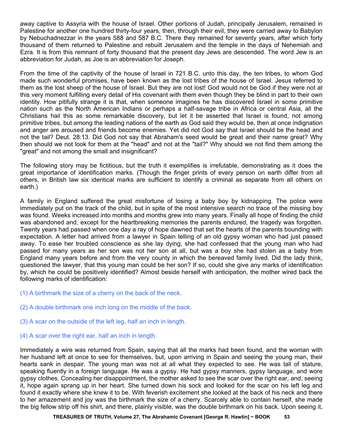away captive to Assyria with the house of Israel. Other portions of Judah, principally Jerusalem, remained in Palestine for another one hundred thirty-four years, then, through their evil, they were carried away to Babylon by Nebuchadnezzar in the years 588 and 587 B.C. There they remained for seventy years, after which forty thousand of them returned to Palestine and rebuilt Jerusalem and the temple in the days of Nehemiah and Ezra. It is from this remnant of forty thousand that the present day Jews are descended. The word Jew is an abbreviation for Judah, as Joe is an abbreviation for Joseph.

From the time of the captivity of the house of Israel in 721 B.C. unto this day, the ten tribes, to whom God made such wonderful promises, have been known as the lost tribes of the house of Israel. Jesus referred to them as the lost sheep of the house of Israel. But they are not lost! God would not be God if they were not at this very moment fulfilling every detail of His covenant with them even though they be blind in part to their own identity. How pitifully strange it is that, when someone imagines he has discovered Israel in some primitive nation such as the North American Indians or perhaps a half-savage tribe in Africa or central Asia, all the Christians hail this as some remarkable discovery, but let it be asserted that Israel is found, not among primitive tribes, but among the leading nations of the earth as God said they would be, then at once indignation and anger are aroused and friends become enemies. Yet did not God say that Israel should be the head and not the tail? Deut. 28:13. Did God not say that Abraham's seed would be great and their name great? Why then should we not look for them at the "head" and not at the "tail?" Why should we not find them among the "great" and not among the small and insignificant?

The following story may be fictitious, but the truth it exemplifies is irrefutable, demonstrating as it does the great importance of identification marks. (Though the finger prints of every person on earth differ from all others, in British law six identical marks are sufficient to identify a criminal as separate from all others on earth.)

A family in England suffered the great misfortune of losing a baby boy by kidnapping. The police were immediately put on the track of the child, but in spite of the most intensive search no trace of the missing boy was found. Weeks increased into months and months grew into many years. Finally all hope of finding the child was abandoned and, except for the heartbreaking memories the parents endured, the tragedy was forgotten. Twenty years had passed when one day a ray of hope dawned that set the hearts of the parents bounding with expectation. A letter had arrived from a lawyer in Spain telling of an old gypsy woman who had just passed away. To ease her troubled conscience as she lay dying, she had confessed that the young man who had passed for many years as her son was not her son at all, but was a boy she had stolen as a baby from England many years before and from the very county in which the bereaved family lived. Did the lady think, questioned the lawyer, that this young man could be her son? If so, could she give any marks of identification by, which he could be positively identified? Almost beside herself with anticipation, the mother wired back the following marks of identification:

- (1) A birthmark the size of a cherry on the back of the neck.
- (2) A double birthmark one inch long on the middle of the back.
- (3) A scar on the outside of the left leg, half an inch in length.
- (4) A scar over the right ear, half an inch in length.

Immediately a wire was returned from Spain, saying that all the marks had been found, and the woman with her husband left at once to see for themselves, but, upon arriving in Spain and seeing the young man, their hearts sank in despair. The young man was not at all what they expected to see. He was tall of stature, speaking fluently in a foreign language. He was a gypsy. He had gypsy manners, gypsy language, and wore gypsy clothes. Concealing her disappointment, the mother asked to see the scar over the right ear, and, seeing it, hope again sprang up in her heart. She turned down his sock and looked for the scar on his left leg and found it exactly where she knew it to be. With feverish excitement she looked at the back of his neck and there to her amazement and joy was the birthmark the size of a cherry. Scarcely able to contain herself, she made the big fellow strip off his shirt, and there, plainly visible, was the double birthmark on his back. Upon seeing it,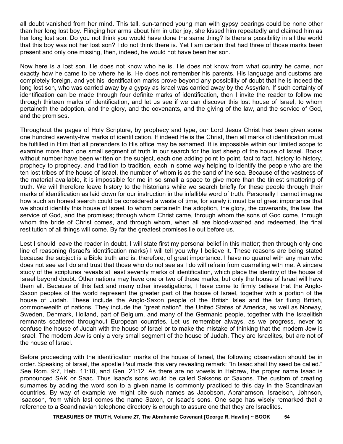all doubt vanished from her mind. This tall, sun-tanned young man with gypsy bearings could be none other than her long lost boy. Flinging her arms about him in utter joy, she kissed him repeatedly and claimed him as her long lost son. Do you not think you would have done the same thing? Is there a possibility in all the world that this boy was not her lost son? I do not think there is. Yet I am certain that had three of those marks been present and only one missing, then, indeed, he would not have been her son.

Now here is a lost son. He does not know who he is. He does not know from what country he came, nor exactly how he came to be where he is. He does not remember his parents. His language and customs are completely foreign, and yet his identification marks prove beyond any possibility of doubt that he is indeed the long lost son, who was carried away by a gypsy as Israel was carried away by the Assyrian. If such certainty of identification can be made through four definite marks of identification, then I invite the reader to follow me through thirteen marks of identification, and let us see if we can discover this lost house of Israel, to whom pertaineth the adoption, and the glory, and the covenants, and the giving of the law, and the service of God, and the promises.

Throughout the pages of Holy Scripture, by prophecy and type, our Lord Jesus Christ has been given some one hundred seventy-five marks of identification. If indeed He is the Christ, then all marks of identification must be fulfilled in Him that all pretenders to His office may be ashamed. It is impossible within our limited scope to examine more than one small segment of truth in our search for the lost sheep of the house of Israel. Books without number have been written on the subject, each one adding point to point, fact to fact, history to history, prophecy to prophecy, and tradition to tradition, each in some way helping to identify the people who are the ten lost tribes of the house of Israel, the number of whom is as the sand of the sea. Because of the vastness of the material available, it is impossible for me in so small a space to give more than the tiniest smattering of truth. We will therefore leave history to the historians while we search briefly for these people through their marks of identification as laid down for our instruction in the infallible word of truth. Personally I cannot imagine how such an honest search could be considered a waste of time, for surely it must be of great importance that we should identify this house of Israel, to whom pertaineth the adoption, the glory, the covenants, the law, the service of God, and the promises; through whom Christ came, through whom the sons of God come, through whom the bride of Christ comes, and through whom, when all are blood-washed and redeemed, the final restitution of all things will come. By far the greatest promises lie out before us.

Lest I should leave the reader in doubt, I will state first my personal belief in this matter; then through only one line of reasoning (Israel's identification marks) I will tell you why I believe it. These reasons are being stated because the subject is a Bible truth and is, therefore, of great importance. I have no quarrel with any man who does not see as I do and trust that those who do not see as I do will refrain from quarrelling with me. A sincere study of the scriptures reveals at least seventy marks of identification, which place the identity of the house of Israel beyond doubt. Other nations may have one or two of these marks, but only the house of Israel will have them all. Because of this fact and many other investigations, I have come to firmly believe that the Anglo-Saxon peoples of the world represent the greater part of the house of Israel, together with a portion of the house of Judah. These include the Anglo-Saxon people of the British Isles and the far flung British, commonwealth of nations. They include the "great nation", the United States of America, as well as Norway, Sweden, Denmark, Holland, part of Belgium, and many of the Germanic people, together with the Israelitish remnants scattered throughout European countries. Let us remember always, as we progress, never to confuse the house of Judah with the house of Israel or to make the mistake of thinking that the modern Jew is Israel. The modern Jew is only a very small segment of the house of Judah. They are Israelites, but are not of the house of Israel.

Before proceeding with the identification marks of the house of Israel, the following observation should be in order. Speaking of Israel, the apostle Paul made this very revealing remark: "In Isaac shall thy seed be called." See Rom. 9:7, Heb. 11:18, and Gen. 21:12. As there are no vowels in Hebrew, the proper name Isaac is pronounced SAK or Saac. Thus Isaac's sons would be called Saksons or Saxons. The custom of creating surnames by adding the word son to a given name is commonly practiced to this day in the Scandinavian countries. By way of example we might cite such names as Jacobson, Abrahamson, Israelson, Johnson, Isaacson, from which last comes the name Saxon, or Isaac's sons. One sage has wisely remarked that a reference to a Scandinavian telephone directory is enough to assure one that they are Israelites.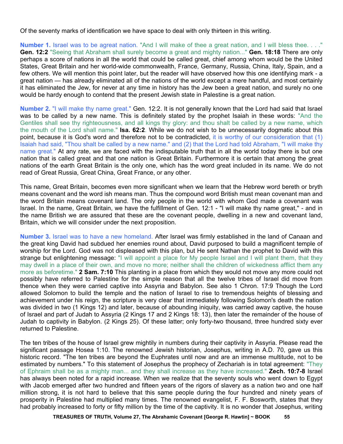Of the seventy marks of identification we have space to deal with only thirteen in this writing.

**Number 1.** Israel was to be agreat nation. "And I will make of thee a great nation, and I will bless thee. . . ." **Gen. 12:2** "Seeing that Abraham shall surely become a great and mighty nation..." **Gen. 18:18** There are only perhaps a score of nations in all the world that could be called great, chief among whom would be the United States, Great Britain and her world-wide commonwealth, France, Germany, Russia, China, Italy, Spain, and a few others. We will mention this point later, but the reader will have observed how this one identifying mark - a great nation — has already eliminated all of the nations of the world except a mere handful, and most certainly it has eliminated the Jew, for never at any time in history has the Jew been a great nation, and surely no one would be hardy enough to contend that the present Jewish state in Palestine is a great nation.

**Number 2.** "I will make thy name great." Gen. 12:2. It is not generally known that the Lord had said that Israel was to be called by a new name. This is definitely stated by the prophet Isaiah in these words: "And the Gentiles shall see thy righteousness, and all kings thy glory: and thou shalt be called by a new name, which the mouth of the Lord shall name." **Isa. 62:2**. While we do not wish to be unnecessarily dogmatic about this point, because it is God's word and therefore not to be contradicted, it is worthy of our consideration that (1) Isaiah had said, "Thou shalt be called by a new name." and (2) that the Lord had told Abraham, "I will make thy name great." At any rate, we are faced with the indisputable truth that in all the world today there is but one nation that is called great and that one nation is Great Britain. Furthermore it is certain that among the great nations of the earth Great Britain is the only one, which has the word great included in its name. We do not read of Great Russia, Great China, Great France, or any other.

This name, Great Britain, becomes even more significant when we learn that the Hebrew word bereth or bryth means covenant and the word ish means man. Thus the compound word British must mean covenant man and the word Britain means covenant land. The only people in the world with whom God made a covenant was Israel. In the name, Great Britain, we have the fulfillment of Gen. 12:1 - "I will make thy name great,'' - and in the name British we are assured that these are the covenant people, dwelling in a new and covenant land, Britain, which we will consider under the next proposition.

**Number 3.** Israel was to have a new homeland. After Israel was firmly established in the land of Canaan and the great king David had subdued her enemies round about, David purposed to build a magnificent temple of worship for the Lord. God was not displeased with this plan, but He sent Nathan the prophet to David with this strange but enlightening message: "I will appoint a place for My people Israel and I will plant them, that they may dwell in a place of their own, and move no more; neither shall the children of wickedness afflict them any more as beforetime." **2 Sam. 7:10** This planting in a place from which they would not move any more could not possibly have referred to Palestine for the simple reason that all the twelve tribes of Israel did move from thence when they were carried captive into Assyria and Babylon. See also 1 Chron. 17:9 Though the Lord allowed Solomon to build the temple and the nation of Israel to rise to tremendous heights of blessing and achievement under his reign, the scripture is very clear that immediately following Solomon's death the nation was divided in two (1 Kings 12) and later, because of abounding iniquity, was carried away captive, the house of Israel and part of Judah to Assyria (2 Kings 17 and 2 Kings 18: 13), then later the remainder of the house of Judah to captivity in Babylon. (2 Kings 25). Of these latter; only forty-two thousand, three hundred sixty ever returned to Palestine.

The ten tribes of the house of Israel grew mightily in numbers during their captivity in Assyria. Please read the significant passage Hosea 1:10. The renowned Jewish historian, Josephus, writing in A.D. 70, gave us this historic record. "The ten tribes are beyond the Euphrates until now and are an immense multitude, not to be estimated by numbers." To this statement of Josephus the prophecy of Zechariah is in total agreement: "They of Ephraim shall be as a mighty man... and they shall increase as they have increased." **Zech. 10:7-8** Israel has always been noted for a rapid increase. When we realize that the seventy souls who went down to Egypt with Jacob emerged after two hundred and fifteen years of the rigors of slavery as a nation two and one half million strong, it is not hard to believe that this same people during the four hundred and ninety years of prosperity in Palestine had multiplied many times. The renowned evangelist, F. F. Bosworth, states that they had probably increased to forty or fifty million by the time of the captivity. It is no wonder that Josephus, writing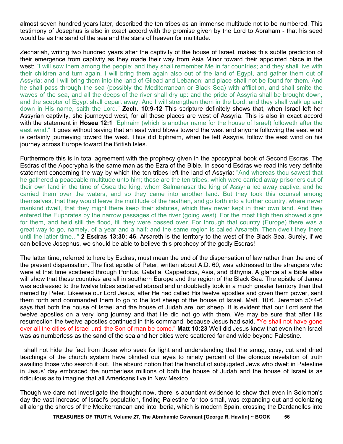almost seven hundred years later, described the ten tribes as an immense multitude not to be numbered. This testimony of Josephus is also in exact accord with the promise given by the Lord to Abraham - that his seed would be as the sand of the sea and the stars of heaven for multitude.

Zechariah, writing two hundred years after the captivity of the house of Israel, makes this subtle prediction of their emergence from captivity as they made their way from Asia Minor toward their appointed place in the west: "I will sow them among the people: and they shall remember Me in far countries; and they shall live with their children and turn again. I will bring them again also out of the land of Egypt, and gather them out of Assyria; and I will bring them into the land of Gilead and Lebanon; and place shall not be found for them. And he shall pass through the sea (possibly the Mediterranean or Black Sea) with affliction, and shall smite the waves of the sea, and all the deeps of the river shall dry up: and the pride of Assyria shall be brought down, and the scepter of Egypt shall depart away. And I will strengthen them in the Lord; and they shall walk up and down in His name, saith the Lord." **Zech. 10:9-12** This scripture definitely shows that, when Israel left her Assyrian captivity, she journeyed west, for all these places are west of Assyria. This is also in exact accord with the statement in **Hosea 12:1** "Ephraim (which is another name for the house of Israel) followeth after the east wind." It goes without saying that an east wind blows toward the west and anyone following the east wind is certainly journeying toward the west. Thus did Ephraim, when he left Assyria, follow the east wind on his journey across Europe toward the British Isles.

Furthermore this is in total agreement with the prophecy given in the apocryphal book of Second Esdras. The Esdras of the Apocrypha is the same man as the Ezra of the Bible. In second Esdras we read this very definite statement concerning the way by which the ten tribes left the land of Assyria: "And whereas thou sawest that he gathered a peaceable multitude unto him; those are the ten tribes, which were carried away prisoners out of their own land in the time of Osea the king, whom Salmanasar the king of Assyria led away captive, and he carried them over the waters, and so they came into another land. But they took this counsel among themselves, that they would leave the multitude of the heathen, and go forth into a further country, where never mankind dwelt, that they might there keep their statutes, which they never kept in their own land. And they entered the Euphrates by the narrow passages of the river (going west). For the most High then showed signs for them, and held still the flood, till they were passed over. For through that country (Europe) there was a great way to go, namely, of a year and a half: and the same region is called Arsareth. Then dwelt they there until the latter time..." **2 Esdras 13:30; 46**. Arsareth is the territory to the west of the Black Sea. Surely, if we can believe Josephus, we should be able to believe this prophecy of the godly Esdras!

The latter time, referred to here by Esdras, must mean the end of the dispensation of law rather than the end of the present dispensation. The first epistle of Peter, written about A.D. 60, was addressed to the strangers who were at that time scattered through Pontus, Galatia, Cappadocia, Asia, and Bithynia. A glance at a Bible atlas will show that these countries are all in southern Europe and the region of the Black Sea. The epistle of James was addressed to the twelve tribes scattered abroad and undoubtedly took in a much greater territory than that named by Peter. Likewise our Lord Jesus, after He had called His twelve apostles and given them power, sent them forth and commanded them to go to the lost sheep of the house of Israel. Matt. 10:6. Jeremiah 50:4-6 says that both the house of Israel and the house of Judah are lost sheep. It is evident that our Lord sent the twelve apostles on a very long journey and that He did not go with them. We may be sure that after His resurrection the twelve apostles continued in this command, because Jesus had said, "Ye shall not have gone over all the cities of Israel until the Son of man be come." **Matt 10:23** Well did Jesus know that even then Israel was as numberless as the sand of the sea and her cities were scattered far and wide beyond Palestine.

I shall not hide the fact from those who seek for light and understanding that the smug, cosy, cut and dried teachings of the church system have blinded our eyes to ninety percent of the glorious revelation of truth awaiting those who search it out. The absurd notion that the handful of subjugated Jews who dwelt in Palestine in Jesus' day embraced the numberless millions of both the house of Judah and the house of Israel is as ridiculous as to imagine that all Americans live in New Mexico.

Though we dare not investigate the thought now, there is abundant evidence to show that even in Solomon's day the vast increase of Israel's population, finding Palestine far too small, was expanding out and colonizing all along the shores of the Mediterranean and into Iberia, which is modern Spain, crossing the Dardanelles into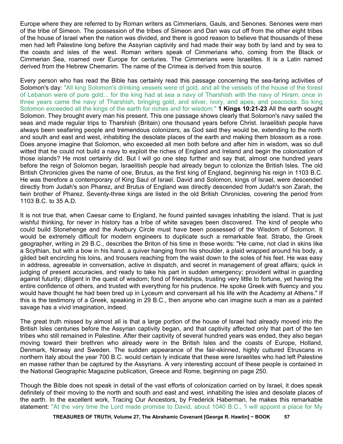Europe where they are referred to by Roman writers as Cimmerians, Gauls, and Senones. Senones were men of the tribe of Simeon. The possession of the tribes of Simeon and Dan was cut off from the other eight tribes of the house of Israel when the nation was divided, and there is good reason to believe that thousands of these men had left Palestine long before the Assyrian captivity and had made their way both by land and by sea to the coasts and isles of the west. Roman writers speak of Cimmerians who, coming from the Black or Cimmerian Sea, roamed over Europe for centuries. The Cimmerians were Israelites. It is a Latin named derived from the Hebrew Chemarim. The name of the Crimea is derived from this source.

Every person who has read the Bible has certainly read this passage concerning the sea-faring activities of Solomon's day: "All king Solomon's drinking vessels were of gold, and all the vessels of the house of the forest of Lebanon were of pure gold... for the king had at sea a navy of Tharshish with the navy of Hiram: once in three years came the navy of Tharshish, bringing gold, and silver, ivory, and apes, and peacocks. So king Solomon exceeded all the kings of the earth for riches and for wisdom." **1 Kings 10:21-23** All the earth sought Solomon. They brought every man his present. This one passage shows clearly that Solomon's navy sailed the seas and made regular trips to Tharshish (Britain) one thousand years before Christ. Israelitish people have always been seafaring people and tremendous colonizers, as God said they would be, extending to the north and south and east and west, inhabiting the desolate places of the earth and making them blossom as a rose. Does anyone imagine that Solomon, who exceeded all men both before and after him in wisdom, was so dull witted that he could not build a navy to exploit the riches of England and Ireland and begin the colonization of those islands? He most certainly did. But I will go one step further and say that, almost one hundred years before the reign of Solomon began, Israelitish people had already begun to colonize the British Isles. The old British Chronicles gives the name of one, Brutus, as the first king of England, beginning his reign in 1103 B.C. He was therefore a contemporary of King Saul of Israel. David and Solomon, kings of Israel, were descended directly from Judah's son Pharez, and Brutus of England was directly descended from Judah's son Zarah, the twin brother of Pharez. Seventy-three kings are listed in the old British Chronicles, covering the period from 1103 B.C. to 35 A.D.

It is not true that, when Caesar came to England, he found painted savages inhabiting the island. That is just wishful thinking, for never in history has a tribe of white savages been discovered. The kind of people who could build Stonehenge and the Avebury Circle must have been possessed of the Wisdom of Solomon. It would be extremely difficult for modern engineers to duplicate such a remarkable feat. Strabo, the Greek geographer, writing in 29 B.C., describes the Briton of his time in these words: "He came, not clad in skins like a Scythian, but with a bow in his hand, a quiver hanging from his shoulder, a plaid wrapped around his body, a gilded belt encircling his loins, and trousers reaching from the waist down to the soles of his feet. He was easy in address, agreeable in conversation, active in dispatch, and secret in management of great affairs; quick in judging of present accuracies, and ready to take his part in sudden emergency; provident withal in guarding against futurity; diligent in the quest of wisdom; fond of friendships, trusting very little to fortune, yet having the entire confidence of others, and trusted with everything for his prudence. He spoke Greek with fluency and you would have thought he had been bred up in Lyceum and conversant all his life with the Academy at Athens." If this is the testimony of a Greek, speaking in 29 B.C., then anyone who can imagine such a man as a painted savage has a vivid imagination, indeed.

The great truth missed by almost all is that a large portion of the house of Israel had already moved into the British Isles centuries before the Assyrian captivity began, and that captivity affected only that part of the ten tribes who still remained in Palestine. After their captivity of several hundred years was ended, they also began moving toward their brethren who already were in the British Isles and the coasts of Europe, Holland, Denmark, Norway and Sweden. The sudden appearance of the fair-skinned, highly cultured Etruscans in northern Italy about the year 700 B.C. would certain ly indicate that these were Israelites who had left Palestine en masse rather than be captured by the Assyrians. A very interesting account of these people is contained in the National Geographic Magazine publication, Greece and Rome, beginning on page 250.

Though the Bible does not speak in detail of the vast efforts of colonization carried on by Israel, it does speak definitely of their moving to the north and south and east and west, inhabiting the isles and desolate places of the earth. In the excellent work, Tracing Our Ancestors, by Frederick Haberman, he makes this remarkable statement: "At the very time the Lord made promise to David, about 1040 B.C., 'I will appoint a place for My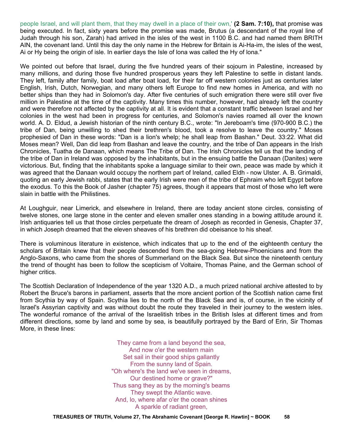people Israel, and will plant them, that they may dwell in a place of their own,' **(2 Sam. 7:10),** that promise was being executed. In fact, sixty years before the promise was made, Brutus (a descendant of the royal line of Judah through his son, Zarah) had arrived in the isles of the west in 1100 B.C. and had named them BRITH AIN, the covenant land. Until this day the only name in the Hebrew for Britain is Ai-Ha-im, the isles of the west, Ai or Hy being the origin of isle. In earlier days the Isle of lona was called the Hy of lona."

We pointed out before that Israel, during the five hundred years of their sojourn in Palestine, increased by many millions, and during those five hundred prosperous years they left Palestine to settle in distant lands. They left, family after family, boat load after boat load, for their far off western colonies just as centuries later English, Irish, Dutch, Norwegian, and many others left Europe to find new homes in America, and with no better ships than they had in Solomon's day. After five centuries of such emigration there were still over five million in Palestine at the time of the captivity. Many times this number, however, had already left the country and were therefore not affected by the captivity at all. It is evident that a constant traffic between Israel and her colonies in the west had been in progress for centuries, and Solomon's navies roamed all over the known world. A. D. Eldud, a Jewish historian of the ninth century B.C., wrote: "In Jereboam's time (970-900 B.C.) the tribe of Dan, being unwilling to shed their brethren's blood, took a resolve to leave the country." Moses prophesied of Dan in these words: "Dan is a lion's whelp; he shall leap from Bashan." Deut. 33:22. What did Moses mean? Well, Dan did leap from Bashan and leave the country, and the tribe of Dan appears in the Irish Chronicles, Tuatha de Danaan, which means The Tribe of Dan. The Irish Chronicles tell us that the landing of the tribe of Dan in Ireland was opposed by the inhabitants, but in the ensuing battle the Danaan (Danites) were victorious. But, finding that the inhabitants spoke a language similar to their own, peace was made by which it was agreed that the Danaan would occupy the northern part of Ireland, called Eldh - now Ulster. A. B. Grimaldi, quoting an early Jewish rabbi, states that the early Irish were men of the tribe of Ephraim who left Egypt before the exodus. To this the Book of Jasher (chapter 75) agrees, though it appears that most of those who left were slain in battle with the Philistines.

At Loughguir, near Limerick, and elsewhere in Ireland, there are today ancient stone circles, consisting of twelve stones, one large stone in the center and eleven smaller ones standing in a bowing attitude around it. Irish antiquaries tell us that those circles perpetuate the dream of Joseph as recorded in Genesis, Chapter 37, in which Joseph dreamed that the eleven sheaves of his brethren did obeisance to his sheaf.

There is voluminous literature in existence, which indicates that up to the end of the eighteenth century the scholars of Britain knew that their people descended from the sea-going Hebrew-Phoenicians and from the Anglo-Saxons, who came from the shores of Summerland on the Black Sea. But since the nineteenth century the trend of thought has been to follow the scepticism of Voltaire, Thomas Paine, and the German school of higher critics.

The Scottish Declaration of Independence of the year 1320 A.D., a much prized national archive attested to by Robert the Bruce's barons in parliament, asserts that the more ancient portion of the Scottish nation came first from Scythia by way of Spain. Scythia lies to the north of the Black Sea and is, of course, in the vicinity of Israel's Assyrian captivity and was without doubt the route they traveled in their journey to the western isles. The wonderful romance of the arrival of the Israelitish tribes in the British Isles at different times and from different directions, some by land and some by sea, is beautifully portrayed by the Bard of Erin, Sir Thomas More, in these lines:

> They came from a land beyond the sea, And now o'er the western main Set sail in their good ships gallantly From the sunny land of Spain. "Oh where's the land we've seen in dreams, Our destined home or grave?" Thus sang they as by the morning's beams They swept the Atlantic wave. And, lo, where afar o'er the ocean shines A sparkle of radiant green,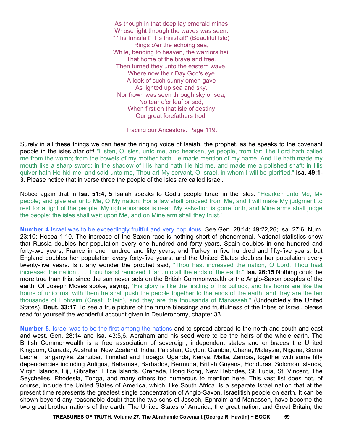As though in that deep lay emerald mines Whose light through the waves was seen. " 'Tis Innisfail! 'Tis Innisfail!" (Beautiful Isle) Rings o'er the echoing sea, While, bending to heaven, the warriors hail That home of the brave and free. Then turned they unto the eastern wave, Where now their Day God's eye A look of such sunny omen gave As lighted up sea and sky. Nor frown was seen through sky or sea, No tear o'er leaf or sod, When first on that isle of destiny Our great forefathers trod.

Tracing our Ancestors. Page 119.

Surely in all these things we can hear the ringing voice of Isaiah, the prophet, as he speaks to the covenant people in the isles afar off! "Listen, O isles, unto me, and hearken, ye people, from far; The Lord hath called me from the womb; from the bowels of my mother hath He made mention of my name. And He hath made my mouth like a sharp sword; in the shadow of His hand hath He hid me, and made me a polished shaft; in His quiver hath He hid me; and said unto me, Thou art My servant, O Israel, in whom I will be glorified." **Isa. 49:1- 3.** Please notice that in verse three the people of the isles are called Israel.

Notice again that in **Isa. 51:4, 5** Isaiah speaks to God's people Israel in the isles. "Hearken unto Me, My people; and give ear unto Me, O My nation: For a law shall proceed from Me, and I will make My judgment to rest for a light of the people. My righteousness is near; My salvation is gone forth, and Mine arms shall judge the people; the isles shall wait upon Me, and on Mine arm shall they trust."

**Number 4** Israel was to be exceedingly fruitful and very populous. See Gen. 28:14; 49:22,26; Isa. 27:6; Num. 23:10; Hosea 1:10. The increase of the Saxon race is nothing short of phenomenal. National statistics show that Russia doubles her population every one hundred and forty years. Spain doubles in one hundred and forty-two years, France in one hundred and fifty years, and Turkey in five hundred and fifty-five years, but England doubles her population every forty-five years, and the United States doubles her population every twenty-five years. Is it any wonder the prophet said, "Thou hast increased the nation, O Lord, Thou hast increased the nation . . . Thou hadst removed it far unto all the ends of the earth." **Isa. 26:15** Nothing could be more true than this, since the sun never sets on the British Commonwealth or the Anglo-Saxon peoples of the earth. Of Joseph Moses spoke, saying, "His glory is like the firstling of his bullock, and his horns are like the horns of unicorns: with them he shall push the people together to the ends of the earth: and they are the ten thousands of Ephraim (Great Britain), and they are the thousands of Manasseh." (Undoubtedly the United States). **Deut. 33:17** To see a true picture of the future blessings and fruitfulness of the tribes of Israel, please read for yourself the wonderful account given in Deuteronomy, chapter 33.

**Number 5.** Israel was to be the first among the nations and to spread abroad to the north and south and east and west. Gen. 28:14 and Isa. 43:5,6. Abraham and his seed were to be the heirs of the whole earth. The British Commonwealth is a free association of sovereign, independent states and embraces the United Kingdom, Canada, Australia, New Zealand, India, Pakistan, Ceylon, Gambia, Ghana, Malaysia, Nigeria, Sierra Leone, Tanganyika, Zanzibar, Trinidad and Tobago, Uganda, Kenya, Malta, Zambia, together with some fifty dependencies including Antigua, Bahamas, Barbados, Bermuda, British Guyana, Honduras, Solomon Islands, Virgin Islands, Fiji, Gibralter, Ellice Islands, Grenada, Hong Kong, New Hebrides, St. Lucia, St. Vincent, The Seychelles, Rhodesia, Tonga, and many others too numerous to mention here. This vast list does not, of course, include the United States of America, which, like South Africa, is a separate Israel nation that at the present time represents the greatest single concentration of Anglo-Saxon, Israelitish people on earth. It can be shown beyond any reasonable doubt that the two sons of Joseph, Ephraim and Manasseh, have become the two great brother nations of the earth. The United States of America, the great nation, and Great Britain, the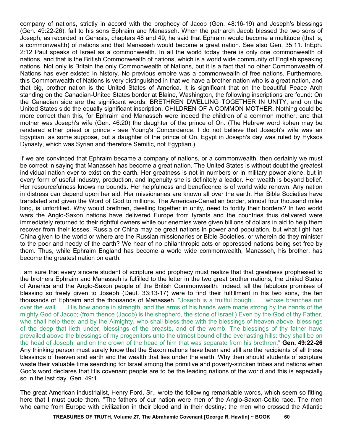company of nations, strictly in accord with the prophecy of Jacob (Gen. 48:16-19) and Joseph's blessings (Gen. 49:22-26), fall to his sons Ephraim and Manasseh. When the patriarch Jacob blessed the two sons of Joseph, as recorded in Genesis, chapters 48 and 49, he said that Ephraim would become a multitude (that is, a commonwealth) of nations and that Manasseh would become a great nation. See also Gen. 35:11. InEph. 2:12 Paul speaks of Israel as a commonwealth. In all the world today there is only one commonwealth of nations, and that is the British Commonwealth of nations, which is a world wide community of English speaking nations. Not only is Britain the only Commonwealth of Nations, but it is a fact that no other Commonwealth of Nations has ever existed in history. No previous empire was a commonwealth of free nations. Furthermore, this Commonwealth of Nations is very distinguished in that we have a brother nation who is a great nation, and that big, brother nation is the United States of America. It is significant that on the beautiful Peace Arch standing on the Canadian-United States border at Blaine, Washington, the following inscriptions are found: On the Canadian side are the significant words; BRETHREN DWELLING TOGETHER IN UNITY, and on the United States side the equally significant inscription, CHILDREN OF A COMMON MOTHER. Nothing could be more correct than this, for Ephraim and Manasseh were indeed the children of a common mother, and that mother was Joseph's wife (Gen. 46:20) the daughter of the prince of On. (The Hebrew word kohen may be rendered either priest or prince - see Young's Concordance. I do not believe that Joseph's wife was an Egyptian, as some suppose, but a daughter of the prince of On. Egypt in Joseph's day was ruled by Hyksos Dynasty, which was Syrian and therefore Semitic, not Egyptian.)

If we are convinced that Ephraim became a company of nations, or a commonwealth, then certainly we must be correct in saying that Manasseh has become a great nation. The United States is without doubt the greatest individual nation ever to exist on the earth. Her greatness is not in numbers or in military power alone, but in every form of useful industry, production, and ingenuity she is definitely a leader. Her wealth is beyond belief. Her resourcefulness knows no bounds. Her helpfulness and beneficence is of world wide renown. Any nation in distress can depend upon her aid. Her missionaries are known all over the earth. Her Bible Societies have translated and given the Word of God to millions. The American-Canadian border, almost four thousand miles long, is unfortified. Why would brethren, dwelling together in unity, need to fortify their borders? In two world wars the Anglo-Saxon nations have delivered Europe from tyrants and the countries thus delivered were immediately returned to their rightful owners while our enemies were given billions of dollars in aid to help them recover from their losses. Russia or China may be great nations in power and population, but what light has China given to the world or where are the Russian missionaries or Bible Societies, or wherein do they minister to the poor and needy of the earth? We hear of no philanthropic acts or oppressed nations being set free by them. Thus, while Ephraim England has become a world wide commonwealth, Manasseh, his brother, has become the greatest nation on earth.

I am sure that every sincere student of scripture and prophecy must realize that that greatness prophesied to the brothers Ephraim and Manasseh is fulfilled to the letter in the two great brother nations, the United States of America and the Anglo-Saxon people of the British Commonwealth. Indeed, all the fabulous promises of blessing so freely given to Joseph (Deut. 33:13-17) were to find their fulfillment in his two sons, the ten thousands of Ephraim and the thousands of Manasseh. "Joseph is a fruitful bough . . . whose branches run over the wall . . . His bow abode in strength, and the arms of his hands were made strong by the hands of the mighty God of Jacob; (from thence (Jacob) is the shepherd, the stone of Israel:) Even by the God of thy Father, who shall help thee; and by the Almighty, who shall bless thee with the blessings of heaven above, blessings of the deep that lieth under, blessings of the breasts, and of the womb. The blessings of thy father have prevailed above the blessings of my progenitors unto the utmost bound of the everlasting hills: they shall be on the head of Joseph, and on the crown of the head of him that was separate from his brethren." **Gen. 49:22-26** Any thinking person must surely know that the Saxon nations have been and still are the recipients of all these blessings of heaven and earth and the wealth that lies under the earth. Why then should students of scripture waste their valuable time searching for Israel among the primitive and poverty-stricken tribes and nations when God's word declares that His covenant people are to be the leading nations of the world and this is especially so in the last day. Gen. 49:1.

The great American industrialist, Henry Ford, Sr., wrote the following remarkable words, which seem so fitting here that I must quote them. "The fathers of our nation were men of the Anglo-Saxon-Celtic race. The men who came from Europe with civilization in their blood and in their destiny; the men who crossed the Atlantic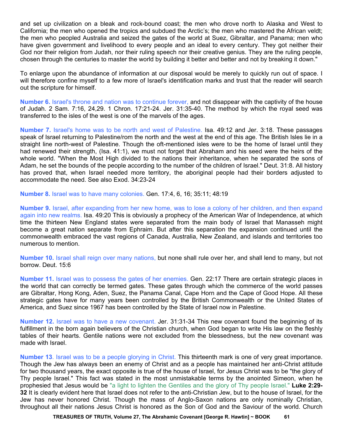and set up civilization on a bleak and rock-bound coast; the men who drove north to Alaska and West to California; the men who opened the tropics and subdued the Arctic's; the men who mastered the African veldt; the men who peopled Australia and seized the gates of the world at Suez, Gibraltar, and Panama; men who have given government and livelihood to every people and an ideal to every century. They got neither their God nor their religion from Judah, nor their ruling speech nor their creative genius. They are the ruling people, chosen through the centuries to master the world by building it better and better and not by breaking it down."

To enlarge upon the abundance of information at our disposal would be merely to quickly run out of space. I will therefore confine myself to a few more of Israel's identification marks and trust that the reader will search out the scripture for himself.

**Number 6.** Israel's throne and nation was to continue forever, and not disappear with the captivity of the house of Judah. 2 Sam. 7:16, 24,29. 1 Chron. 17:21-24. Jer. 31:35-40. The method by which the royal seed was transferred to the isles of the west is one of the marvels of the ages.

**Number 7.** Israel's home was to be north and west of Palestine. Isa. 49:12 and Jer. 3:18. These passages speak of Israel returning to Palestine/rom the north and the west at the end of this age. The British Isles lie in a straight line north-west of Palestine. Though the oft-mentioned isles were to be the home of Israel until they had renewed their strength, (Isa. 41:1), we must not forget that Abraham and his seed were the heirs of the whole world. "When the Most High divided to the nations their inheritance, when he separated the sons of Adam, he set the bounds of the people according to the number of the children of Israel." Deut. 31:8. All history has proved that, when Israel needed more territory, the aboriginal people had their borders adjusted to accommodate the need. See also Exod. 34:23-24

**Number 8.** Israel was to have many colonies. Gen. 17:4, 6, 16; 35:11; 48:19

**Number 9.** Israel, after expanding from her new home, was to lose a colony of her children, and then expand again into new realms. Isa. 49:20 This is obviously a prophecy of the American War of Independence, at which time the thirteen New England states were separated from the main body of Israel that Manasseh might become a great nation separate from Ephraim. But after this separation the expansion continued until the commonwealth embraced the vast regions of Canada, Australia, New Zealand, and islands and territories too numerous to mention.

**Number 10.** Israel shall reign over many nations, but none shall rule over her, and shall lend to many, but not borrow. Deut. 15:6

**Number 11.** Israel was to possess the gates of her enemies. Gen. 22:17 There are certain strategic places in the world that can correctly be termed gates. These gates through which the commerce of the world passes are Gibraltar, Hong Kong, Aden, Suez, the Panama Canal, Cape Horn and the Cape of Good Hope. All these strategic gates have for many years been controlled by the British Commonwealth or the United States of America, and Suez since 1967 has been controlled by the State of Israel now in Palestine.

**Number 12.** Israel was to have a new covenant. Jer. 31:31-34 This new covenant found the beginning of its fulfillment in the born again believers of the Christian church, when God began to write His law on the fleshly tables of their hearts. Gentile nations were not excluded from the blessedness, but the new covenant was made with Israel.

**Number 13**. Israel was to be a people glorying in Christ. This thirteenth mark is one of very great importance. Though the Jew has always been an enemy of Christ and as a people has maintained her anti-Christ attitude for two thousand years, the exact opposite is true of the house of Israel, for Jesus Christ was to be "the glory of Thy people Israel." This fact was stated in the most unmistakable terms by the anointed Simeon, when he prophesied that Jesus would be "a light to lighten the Gentiles and the glory of Thy people Israel." **Luke 2:29- 32** It is clearly evident here that Israel does not refer to the anti-Christian Jew, but to the house of Israel, for the Jew has never honored Christ. Though the mass of Anglo-Saxon nations are only nominally Christian, throughout all their nations Jesus Christ is honored as the Son of God and the Saviour of the world. Church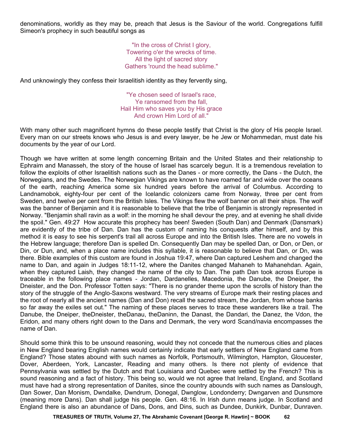denominations, worldly as they may be, preach that Jesus is the Saviour of the world. Congregations fulfill Simeon's prophecy in such beautiful songs as

> "In the cross of Christ I glory, Towering o'er the wrecks of time. All the light of sacred story Gathers 'round the head sublime."

And unknowingly they confess their Israelitish identity as they fervently sing,

"Ye chosen seed of Israel's race, Ye ransomed from the fall, Hail Him who saves you by His grace And crown Him Lord of all."

With many other such magnificent hymns do these people testify that Christ is the glory of His people Israel. Every man on our streets knows who Jesus is and every lawyer, be he Jew or Mohammedan, must date his documents by the year of our Lord.

Though we have written at some length concerning Britain and the United States and their relationship to Ephraim and Manasseh, the story of the house of Israel has scarcely begun. It is a tremendous revelation to follow the exploits of other Israelitish nations such as the Danes - or more correctly, the Dans - the Dutch, the Norwegians, and the Swedes. The Norwegian Vikings are known to have roamed far and wide over the oceans of the earth, reaching America some six hundred years before the arrival of Columbus. According to Landnamobok, eighty-four per cent of the Icelandic colonizers came from Norway, three per cent from Sweden, and twelve per cent from the British Isles. The Vikings flew the wolf banner on all their ships. The wolf was the banner of Benjamin and it is reasonable to believe that the tribe of Benjamin is strongly represented in Norway. "Benjamin shall ravin as a wolf: in the morning he shall devour the prey, and at evening he shall divide the spoil." Gen. 49:27 How accurate this prophecy has been! Sweden (South Dan) and Denmark (Dansmark) are evidently of the tribe of Dan. Dan has the custom of naming his conquests after himself, and by this method it is easy to see his serpent's trail all across Europe and into the British Isles. There are no vowels in the Hebrew language; therefore Dan is spelled Dn. Consequently Dan may be spelled Dan, or Don, or Den, or Din, or Dun, and, when a place name includes this syllable, it is reasonable to believe that Dan, or Dn, was there. Bible examples of this custom are found in Joshua 19:47, where Dan captured Leshem and changed the name to Dan, and again in Judges 18:11-12, where the Danites changed Mahaneh to Mahanehdan. Again, when they captured Laish, they changed the name of the city to Dan. The path Dan took across Europe is traceable in the following place names - Jordan, Dardanelles, Macedonia, the Danube, the Dneiper, the Dneister, and the Don. Professor Totten says: "There is no grander theme upon the scrolls of history than the story of the struggle of the Anglo-Saxons westward. The very streams of Europe mark their resting places and the root of nearly all the ancient names (Dan and Don) recall the sacred stream, the Jordan, from whose banks so far away the exiles set out." The naming of these places serves to trace these wanderers like a trail. The Danube, the Dneiper, theDneister, theDanau, theDaninn, the Danast, the Dandari, the Danez, the Vdon, the Eridon, and many others right down to the Dans and Denmark, the very word Scand/navia encompasses the name of Dan.

Should some think this to be unsound reasoning, would they not concede that the numerous cities and places in New England bearing English names would certainly indicate that early settlers of New England came from England? Those states abound with such names as Norfolk, Portsmouth, Wilmington, Hampton, Gloucester, Dover, Aberdeen, York, Lancaster, Reading and many others. Is there not plenty of evidence that Pennsylvania was settled by the Dutch and that Louisiana and Quebec were settled by the French? This is sound reasoning and a fact of history. This being so, would we not agree that Ireland, England, and Scotland must have had a strong representation of Danites, since the country abounds with such names as Danslough, Dan Sower, Dan Monism, Dwndalke, Dwndrum, Donegal, Dwnglow, Londonderry; Dwngarven and Dunsmore (meaning more Dans). Dan shall judge his people. Gen. 48:16. In Irish dunn means judge. In Scotland and England there is also an abundance of Dans, Dons, and Dins, such as Dundee, Dunkirk, Dunbar, Dunraven.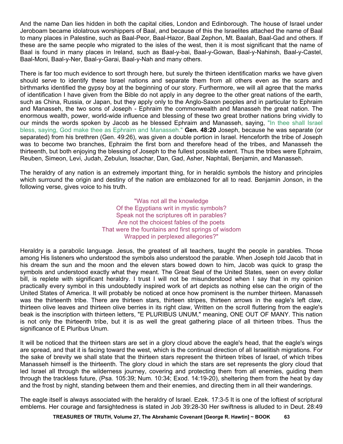And the name Dan lies hidden in both the capital cities, London and Edinborough. The house of Israel under Jeroboam became idolatrous worshippers of Baal, and because of this the Israelites attached the name of Baal to many places in Palestine, such as Baal-Peor, Baal-Hazor, Baal Zephon, Mt. Baalah, Baal-Gad and others. If these are the same people who migrated to the isles of the west, then it is most significant that the name of Baal is found in many places in Ireland, such as Baal-y-bai, Baal-y-Gowan, Baal-y-Nahinsh, Baal-y-Castel, Baal-Moni, Baal-y-Ner, Baal-y-Garai, Baal-y-Nah and many others.

There is far too much evidence to sort through here, but surely the thirteen identification marks we have given should serve to identify these Israel nations and separate them from all others even as the scars and birthmarks identified the gypsy boy at the beginning of our story. Furthermore, we will all agree that the marks of identification I have given from the Bible do not apply in any degree to the other great nations of the earth, such as China, Russia, or Japan, but they apply only to the Anglo-Saxon peoples and in particular to Ephraim and Manasseh, the two sons of Joseph - Ephraim the commonwealth and Manasseh the great nation. The enormous wealth, power, world-wide influence and blessing of these two great brother nations bring vividly to our minds the words spoken by Jacob as he blessed Ephraim and Manasseh, saying, "In thee shall Israel bless, saying, God make thee as Ephraim and Manasseh." **Gen. 48:20** Joseph, because he was separate (or separated) from his brethren (Gen. 49:26), was given a double portion in Israel. Henceforth the tribe of Joseph was to become two branches, Ephraim the first born and therefore head of the tribes, and Manasseh the thirteenth, but both enjoying the blessing of Joseph to the fullest possible extent. Thus the tribes were Ephraim, Reuben, Simeon, Levi, Judah, Zebulun, Issachar, Dan, Gad, Asher, Naphtali, Benjamin, and Manasseh.

The heraldry of any nation is an extremely important thing, for in heraldic symbols the history and principles which surround the origin and destiny of the nation are emblazoned for all to read. Benjamin Jonson, in the following verse, gives voice to his truth.

> "Was not all the knowledge Of the Egyptians writ in mystic symbols? Speak not the scriptures oft in parables? Are not the choicest fables of the poets That were the fountains and first springs of wisdom Wrapped in perplexed allegories?"

Heraldry is a parabolic language. Jesus, the greatest of all teachers, taught the people in parables. Those among His listeners who understood the symbols also understood the parable. When Joseph told Jacob that in his dream the sun and the moon and the eleven stars bowed down to him, Jacob was quick to grasp the symbols and understood exactly what they meant. The Great Seal of the United States, seen on every dollar bill, is replete with significant heraldry. I trust I will not be misunderstood when I say that in my opinion practically every symbol in this undoubtedly inspired work of art depicts as nothing else can the origin of the United States of America. It will probably be noticed at once how prominent is the number thirteen. Manasseh was the thirteenth tribe. There are thirteen stars, thirteen stripes, thirteen arrows in the eagle's left claw, thirteen olive leaves and thirteen olive berries in its right claw, Written on the scroll fluttering from the eagle's beak is the inscription with thirteen letters, "E PLURIBUS UNUM," meaning, ONE OUT OF MANY. This nation is not only the thirteenth tribe, but it is as well the great gathering place of all thirteen tribes. Thus the significance of E Pluribus Unum.

It will be noticed that the thirteen stars are set in a glory cloud above the eagle's head, that the eagle's wings are spread, and that it is facing toward the west, which is the continual direction of all Israelitish migrations. For the sake of brevity we shall state that the thirteen stars represent the thirteen tribes of Israel, of which tribes Manasseh himself is the thirteenth. The glory cloud in which the stars are set represents the glory cloud that led Israel all through the wilderness journey, covering and protecting them from all enemies, guiding them through the trackless future, (Psa. 105:39; Num. 10:34; Exod. 14:19-20), sheltering them from the heat by day and the frost by night, standing between them and their enemies, and directing them in all their wanderings.

The eagle itself is always associated with the heraldry of Israel. Ezek. 17:3-5 It is one of the loftiest of scriptural emblems. Her courage and farsightedness is stated in Job 39:28-30 Her swiftness is alluded to in Deut. 28:49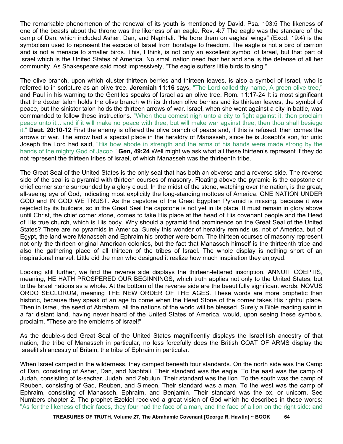The remarkable phenomenon of the renewal of its youth is mentioned by David. Psa. 103:5 The likeness of one of the beasts about the throne was the likeness of an eagle. Rev. 4:7 The eagle was the standard of the camp of Dan, which included Asher, Dan, and Naphtali. "He bore them on eagles' wings" (Exod. 19:4) is the symbolism used to represent the escape of Israel from bondage to freedom. The eagle is not a bird of carrion and is not a menace to smaller birds. This, I think, is not only an excellent symbol of Israel, but that part of Israel which is the United States of America. No small nation need fear her and she is the defense of all her community. As Shakespeare said most impressively, "The eagle suffers little birds to sing."

The olive branch, upon which cluster thirteen berries and thirteen leaves, is also a symbol of Israel, who is referred to in scripture as an olive tree. **Jeremiah 11:16** says, "The Lord called thy name, A green olive tree," and Paul in his warning to the Gentiles speaks of Israel as an olive tree. Rom. 11:17-24 It is most significant that the dexter talon holds the olive branch with its thirteen olive berries and its thirteen leaves, the symbol of peace, but the sinister talon holds the thirteen arrows of war. Israel, when she went against a city in battle, was commanded to follow these instructions. "When thou comest nigh unto a city to fight against it, then proclaim peace unto it... and if it will make no peace with thee, but will make war against thee, then thou shall besiege it." **Deut. 20:10-12** First the enemy is offered the olive branch of peace and, if this is refused, then comes the arrows of war. The arrow had a special place in the heraldry of Manasseh, since he is Joseph's son, for unto Joseph the Lord had said, "His bow abode in strength and the arms of his hands were made strong by the hands of the mighty God of Jacob." **Gen, 49:24** Well might we ask what all these thirteen's represent if they do not represent the thirteen tribes of Israel, of which Manasseh was the thirteenth tribe.

The Great Seal of the United States is the only seal that has both an obverse and a reverse side. The reverse side of the seal is a pyramid with thirteen courses of masonry. Floating above the pyramid is the capstone or chief corner stone surrounded by a glory cloud. In the midst of the stone, watching over the nation, is the great, all-seeing eye of God, indicating most explicitly the long-standing mottoes of America. ONE NATION UNDER GOD and IN GOD WE TRUST. As the capstone of the Great Egyptian Pyramid is missing, because it was rejected by its builders, so in the Great Seal the capstone is not yet in its place. It must remain in glory above until Christ, the chief corner stone, comes to take His place at the head of His covenant people and the Head of His true church, which is His body. Why should a pyramid find prominence on the Great Seal of the United States? There are no pyramids in America. Surely this wonder of heraldry reminds us, not of America, but of Egypt, the land were Manasseh and Ephraim his brother were born. The thirteen courses of masonry represent not only the thirteen original American colonies, but the fact that Manasseh himself is the thirteenth tribe and also the gathering place of all thirteen of the tribes of Israel. The whole display is nothing short of an inspirational marvel. Little did the men who designed it realize how much inspiration they enjoyed.

Looking still further, we find the reverse side displays the thirteen-lettered inscription, ANNUIT COEPTIS, meaning, HE HATH PROSPERED OUR BEGINNINGS, which truth applies not only to the United States, but to the Israel nations as a whole. At the bottom of the reverse side are the beautifully significant words, NOVUS ORDO SECLORUM, meaning THE NEW ORDER OF THE AGES. These words are more prophetic than historic, because they speak of an age to come when the Head Stone of the corner takes His rightful place. Then in Israel, the seed of Abraham, all the nations of the world will be blessed. Surely a Bible reading saint in a far distant land, having never heard of the United States of America, would, upon seeing these symbols, proclaim. "These are the emblems of Israel!"

As the double-sided Great Seal of the United States magnificently displays the Israelitish ancestry of that nation, the tribe of Manasseh in particular, no less forcefully does the British COAT OF ARMS display the Israelitish ancestry of Britain, the tribe of Ephraim in particular.

When Israel camped in the wilderness, they camped beneath four standards. On the north side was the Camp of Dan, consisting of Asher, Dan, and Naphtali. Their standard was the eagle. To the east was the camp of Judah, consisting of Is-sachar, Judah, and Zebulun. Their standard was the lion. To the south was the camp of Reuben, consisting of Gad, Reuben, and Simeon. Their standard was a man. To the west was the camp of Ephraim, consisting of Manasseh, Ephraim, and Benjamin. Their standard was the ox, or unicorn. See Numbers chapter 2. The prophet Ezekiel received a great vision of God which he describes in these words: "As for the likeness of their faces, they four had the face of a man, and the face of a lion on the right side: and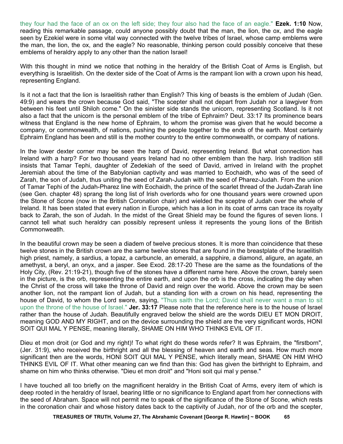they four had the face of an ox on the left side; they four also had the face of an eagle." **Ezek. 1:10** Now, reading this remarkable passage, could anyone possibly doubt that the man, the lion, the ox, and the eagle seen by Ezekiel were in some vital way connected with the twelve tribes of Israel, whose camp emblems were the man, the lion, the ox, and the eagle? No reasonable, thinking person could possibly conceive that these emblems of heraldry apply to any other than the nation Israel!

With this thought in mind we notice that nothing in the heraldry of the British Coat of Arms is English, but everything is Israelitish. On the dexter side of the Coat of Arms is the rampant lion with a crown upon his head, representing England.

Is it not a fact that the lion is Israelitish rather than English? This king of beasts is the emblem of Judah (Gen. 49:9) and wears the crown because God said, "The scepter shall not depart from Judah nor a lawgiver from between his feet until Shiloh come." On the sinister side stands the unicorn, representing Scotland. Is it not also a fact that the unicorn is the personal emblem of the tribe of Ephraim? Deut. 33:17 Its prominence bears witness that England is the new home of Ephraim, to whom the promise was given that he would become a company, or commonwealth, of nations, pushing the people together to the ends of the earth. Most certainly Ephraim England has been and still is the mother country to the entire commonwealth, or company of nations.

In the lower dexter corner may be seen the harp of David, representing Ireland. But what connection has Ireland with a harp? For two thousand years Ireland had no other emblem than the harp. Irish tradition still insists that Tamar Tephi, daughter of Zedekiah of the seed of David, arrived in Ireland with the prophet Jeremiah about the time of the Babylonian captivity and was married to Eochaidh, who was of the seed of Zarah, the son of Judah, thus uniting the seed of Zarah-Judah with the seed of Pharez-Judah. From the union of Tamar Tephi of the Judah-Pharez line with Eochaidh, the prince of the scarlet thread of the Judah-Zarah line (see Gen. chapter 48) sprang the long list of Irish overlords who for one thousand years were crowned upon the Stone of Scone (now in the British Coronation chair) and wielded the sceptre of Judah over the whole of Ireland. It has been stated that every nation in Europe, which has a lion in its coat of arms can trace its royalty back to Zarah, the son of Judah. In the midst of the Great Shield may be found the figures of seven lions. I cannot tell what such heraldry can possibly represent unless it represents the young lions of the British Commonweatlh.

In the beautiful crown may be seen a diadem of twelve precious stones. It is more than coincidence that these twelve stones in the British crown are the same twelve stones that are found in the breastplate of the Israelitish high priest, namely, a sardius, a topaz, a carbuncle, an emerald, a sapphire, a diamond, aligure, an agate, an amethyst, a beryl, an onyx, and a jasper. See Exod. 28:17-20 These are the same as the foundations of the Holy City, (Rev. 21:19-21), though five of the stones have a different name here. Above the crown, barely seen in the picture, is the orb, representing the entire earth, and upon the orb is the cross, indicating the day when the Christ of the cross will take the throne of David and reign over the world. Above the crown may be seen another lion, not the rampant lion of Judah, but a standing lion with a crown on his head, representing the house of David, to whom the Lord swore, saying, "Thus saith the Lord; David shall never want a man to sit upon the throne of the house of Israel." **Jer. 33:17** Please note that the reference here is to the house of Israel rather than the house of Judah. Beautifully engraved below the shield are the words DIEU ET MON DROIT, meaning GOD AND MY RIGHT, and on the device surrounding the shield are the very significant words, HONI SOIT QUI MAL Y PENSE, meaning literally, SHAME ON HIM WHO THINKS EVIL OF IT.

Dieu et mon droit (or God and my right)! To what right do these words refer? It was Ephraim, the "firstborn", (Jer. 31:9), who received the birthright and all the blessing of heaven and earth and seas. How much more significant then are the words, HONI SOIT QUI MAL Y PENSE, which literally mean, SHAME ON HIM WHO THINKS EVIL OF IT. What other meaning can we find than this: God has given the birthright to Ephraim, and shame on him who thinks otherwise. "Dieu et mon droit" and "Honi soit qui mal y pense."

I have touched all too briefly on the magnificent heraldry in the British Coat of Arms, every item of which is deep rooted in the heraldry of Israel, bearing little or no significance to England apart from her connections with the seed of Abraham. Space will not permit me to speak of the significance of the Stone of Scone, which rests in the coronation chair and whose history dates back to the captivity of Judah, nor of the orb and the scepter,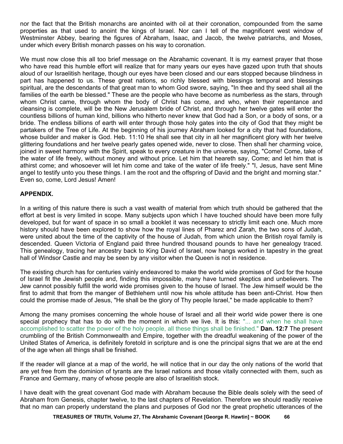nor the fact that the British monarchs are anointed with oil at their coronation, compounded from the same properties as that used to anoint the kings of Israel. Nor can I tell of the magnificent west window of Westminster Abbey, bearing the figures of Abraham, Isaac, and Jacob, the twelve patriarchs, and Moses, under which every British monarch passes on his way to coronation.

We must now close this all too brief message on the Abrahamic covenant. It is my earnest prayer that those who have read this humble effort will realize that for many years our eyes have gazed upon truth that shouts aloud of our Israelitish heritage, though our eyes have been closed and our ears stopped because blindness in part has happened to us. These great nations, so richly blessed with blessings temporal and blessings spiritual, are the descendants of that great man to whom God swore, saying, "In thee and thy seed shall all the families of the earth be blessed." These are the people who have become as numberless as the stars, through whom Christ came, through whom the body of Christ has come, and who, when their repentance and cleansing is complete, will be the New Jerusalem bride of Christ, and through her twelve gates will enter the countless billions of human kind, billions who hitherto never knew that God had a Son, or a body of sons, or a bride. The endless billions of earth will enter through those holy gates into the city of God that they might be partakers of the Tree of Life. At the beginning of his journey Abraham looked for a city that had foundations, whose builder and maker is God. Heb. 11:10 He shall see that city in all her magnificent glory with her twelve glittering foundations and her twelve pearly gates opened wide, never to close. Then shall her charming voice, joined in sweet harmony with the Spirit, speak to every creature in the universe, saying, "Come! Come, take of the water of life freely, without money and without price. Let him that heareth say, Come; and let him that is athirst come; and whosoever will let him come and take of the water of life freely." "I, Jesus, have sent Mine angel to testify unto you these things. I am the root and the offspring of David and the bright and morning star." Even so, come, Lord Jesus! Amen!

# **APPENDIX.**

In a writing of this nature there is such a vast wealth of material from which truth should be gathered that the effort at best is very limited in scope. Many subjects upon which I have touched should have been more fully developed, but for want of space in so small a booklet it was necessary to strictly limit each one. Much more history should have been explored to show how the royal lines of Pharez and Zarah, the two sons of Judah, were united about the time of the captivity of the house of Judah, from which union the British royal family is descended. Queen Victoria of England paid three hundred thousand pounds to have her genealogy traced. This genealogy, tracing her ancestry back to King David of Israel, now hangs worked in tapestry in the great hall of Windsor Castle and may be seen by any visitor when the Queen is not in residence.

The existing church has for centuries vainly endeavored to make the world wide promises of God for the house of Israel fit the Jewish people and, finding this impossible, many have turned skeptics and unbelievers. The Jew cannot possibly fulfill the world wide promises given to the house of Israel. The Jew himself would be the first to admit that from the manger of Bethlehem until now his whole attitude has been anti-Christ. How then could the promise made of Jesus, "He shall be the glory of Thy people Israel," be made applicable to them?

Among the many promises concerning the whole house of Israel and all their world wide power there is one special prophecy that has to do with the moment in which we live. It is this: "... and when he shall have accomplished to scatter the power of the holy people, all these things shall be finished." **Dan. 12:7** The present crumbling of the British Commonwealth and Empire, together with the dreadful weakening of the power of the United States of America, is definitely foretold in scripture and is one the principal signs that we are at the end of the age when all things shall be finished.

If the reader will glance at a map of the world, he will notice that in our day the only nations of the world that are yet free from the dominion of tyrants are the Israel nations and those vitally connected with them, such as France and Germany, many of whose people are also of Israelitish stock.

I have dealt with the great covenant God made with Abraham because the Bible deals solely with the seed of Abraham from Genesis, chapter twelve, to the last chapters of Revelation. Therefore we should readily receive that no man can properly understand the plans and purposes of God nor the great prophetic utterances of the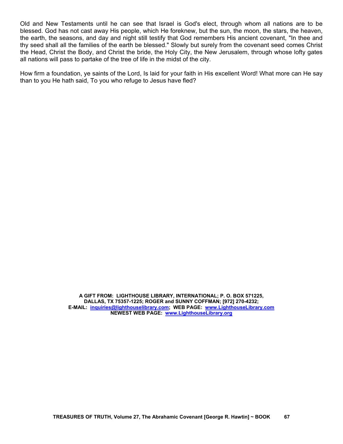Old and New Testaments until he can see that Israel is God's elect, through whom all nations are to be blessed. God has not cast away His people, which He foreknew, but the sun, the moon, the stars, the heaven, the earth, the seasons, and day and night still testify that God remembers His ancient covenant, "In thee and thy seed shall all the families of the earth be blessed." Slowly but surely from the covenant seed comes Christ the Head, Christ the Body, and Christ the bride, the Holy City, the New Jerusalem, through whose lofty gates all nations will pass to partake of the tree of life in the midst of the city.

How firm a foundation, ye saints of the Lord, Is laid for your faith in His excellent Word! What more can He say than to you He hath said, To you who refuge to Jesus have fled?

> **A GIFT FROM: LIGHTHOUSE LIBRARY, INTERNATIONAL; P. O. BOX 571225, DALLAS, TX 75357-1225; ROGER and SUNNY COFFMAN; [972] 270-4232; E-MAIL: inquiries@lighthouselibrary.com; WEB PAGE: www.LighthouseLibrary.com NEWEST WEB PAGE: www.LighthouseLibrary.org**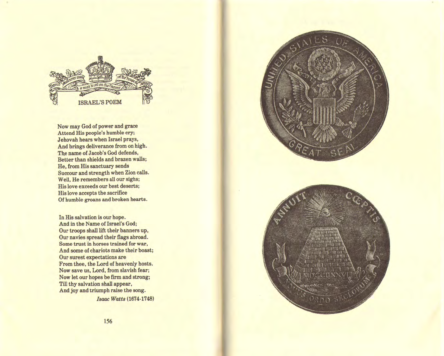

Now may God of power and grace Attend His people's humble cry; Jehovah hears when Israel prays, And brings deliverance from on high. The name of Jacob's God defends, Better than shields and brazen walls; He, from His sanctuary sends Succour and strength when Zion calls. Well, He remembers all our sighs; His love exceeds our best deserts; His love accepts the sacrifice Of humble groans and broken hearts.

In His salvation is our hope. And in the Name of Israel's God; Our troops shall lift their banners up, Our navies spread their flags abroad. Some trust in horses trained for war, And some of chariots make their boast; Our surest expectations are From thee, the Lord of heavenly hosts. Now save us, Lord, from slavish fear; Now let our hopes be firm and strong; Till thy salvation shall appear, And joy and triumph raise the song.

**Isaac Watts (1674-1748)**